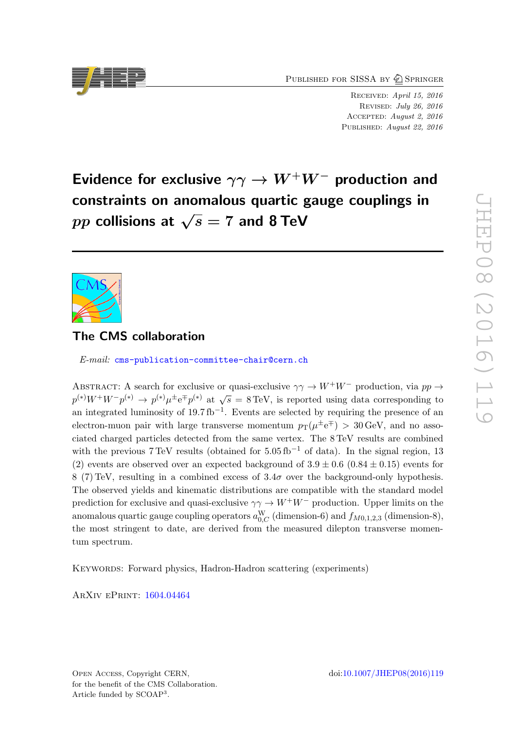PUBLISHED FOR SISSA BY 2 SPRINGER

Received: April 15, 2016 Revised: July 26, 2016 Accepted: August 2, 2016 PUBLISHED: August 22, 2016

Evidence for exclusive  $\gamma\gamma\to W^+W^-$  production and constraints on anomalous quartic gauge couplings in *pp* collisions at  $\sqrt{s} = 7$  and 8 TeV



# The CMS collaboration

E-mail: [cms-publication-committee-chair@cern.ch](mailto:cms-publication-committee-chair@cern.ch)

ABSTRACT: A search for exclusive or quasi-exclusive  $\gamma\gamma \to W^+W^-$  production, via  $pp \to$  $p^{(*)}W^+W^-p^{(*)} \rightarrow p^{(*)}\mu^{\pm}e^{\mp}p^{(*)}$  at  $\sqrt{s} = 8 \text{ TeV}$ , is reported using data corresponding to an integrated luminosity of  $19.7 \text{ fb}^{-1}$ . Events are selected by requiring the presence of an electron-muon pair with large transverse momentum  $p_T(\mu^{\pm}e^{\mp}) > 30 \,\text{GeV}$ , and no associated charged particles detected from the same vertex. The 8 TeV results are combined with the previous 7 TeV results (obtained for  $5.05 \text{ fb}^{-1}$  of data). In the signal region, 13 (2) events are observed over an expected background of  $3.9 \pm 0.6$  (0.84  $\pm$  0.15) events for 8 (7) TeV, resulting in a combined excess of  $3.4\sigma$  over the background-only hypothesis. The observed yields and kinematic distributions are compatible with the standard model prediction for exclusive and quasi-exclusive  $\gamma \gamma \rightarrow W^+W^-$  production. Upper limits on the anomalous quartic gauge coupling operators  $a_{0,C}^{\rm W}$  (dimension-6) and  $f_{M0,1,2,3}$  (dimension-8), the most stringent to date, are derived from the measured dilepton transverse momentum spectrum.

KEYWORDS: Forward physics, Hadron-Hadron scattering (experiments)

ArXiv ePrint: [1604.04464](http://arxiv.org/abs/1604.04464)

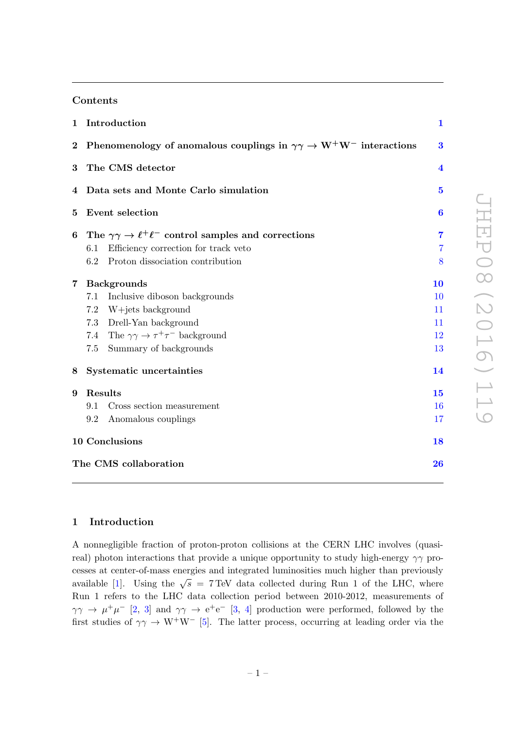# Contents

| $\mathbf{1}$   | Introduction                                                                   | $\mathbf{1}$     |  |  |  |  |
|----------------|--------------------------------------------------------------------------------|------------------|--|--|--|--|
| $\bf{2}$       | Phenomenology of anomalous couplings in $\gamma\gamma \to W^+W^-$ interactions | 3                |  |  |  |  |
| 3              | The CMS detector<br>Data sets and Monte Carlo simulation                       |                  |  |  |  |  |
| 4              |                                                                                |                  |  |  |  |  |
| 5              | <b>Event selection</b>                                                         | $\boldsymbol{6}$ |  |  |  |  |
| $6\phantom{1}$ | The $\gamma\gamma \to \ell^+\ell^-$ control samples and corrections            | 7                |  |  |  |  |
|                | Efficiency correction for track veto<br>6.1                                    | 7                |  |  |  |  |
|                | 6.2<br>Proton dissociation contribution                                        | 8                |  |  |  |  |
| $\overline{7}$ | <b>Backgrounds</b>                                                             |                  |  |  |  |  |
|                | Inclusive diboson backgrounds<br>7.1                                           | 10               |  |  |  |  |
|                | 7.2<br>W+jets background                                                       | 11               |  |  |  |  |
|                | Drell-Yan background<br>7.3                                                    | 11               |  |  |  |  |
|                | 7.4 The $\gamma\gamma \to \tau^+\tau^-$ background                             | 12               |  |  |  |  |
|                | Summary of backgrounds<br>7.5                                                  | 13               |  |  |  |  |
| 8              | Systematic uncertainties                                                       | 14               |  |  |  |  |
| 9              | Results                                                                        | 15               |  |  |  |  |
|                | Cross section measurement<br>9.1                                               | <b>16</b>        |  |  |  |  |
|                | Anomalous couplings<br>9.2                                                     | 17               |  |  |  |  |
|                | 10 Conclusions                                                                 | 18               |  |  |  |  |
|                | The CMS collaboration                                                          | 26               |  |  |  |  |
|                |                                                                                |                  |  |  |  |  |

# JHEP08(2016)112 JHEP08(2016)119

## <span id="page-1-0"></span>1 Introduction

A nonnegligible fraction of proton-proton collisions at the CERN LHC involves (quasireal) photon interactions that provide a unique opportunity to study high-energy  $\gamma\gamma$  processes at center-of-mass energies and integrated luminosities much higher than previously available [\[1\]](#page-21-0). Using the  $\sqrt{s}$  = 7 TeV data collected during Run 1 of the LHC, where Run 1 refers to the LHC data collection period between 2010-2012, measurements of  $\gamma\gamma \to \mu^+\mu^-$  [\[2,](#page-21-1) [3\]](#page-21-2) and  $\gamma\gamma \to e^+e^-$  [\[3,](#page-21-2) [4\]](#page-21-3) production were performed, followed by the first studies of  $\gamma\gamma \to W^+W^-$  [\[5\]](#page-21-4). The latter process, occurring at leading order via the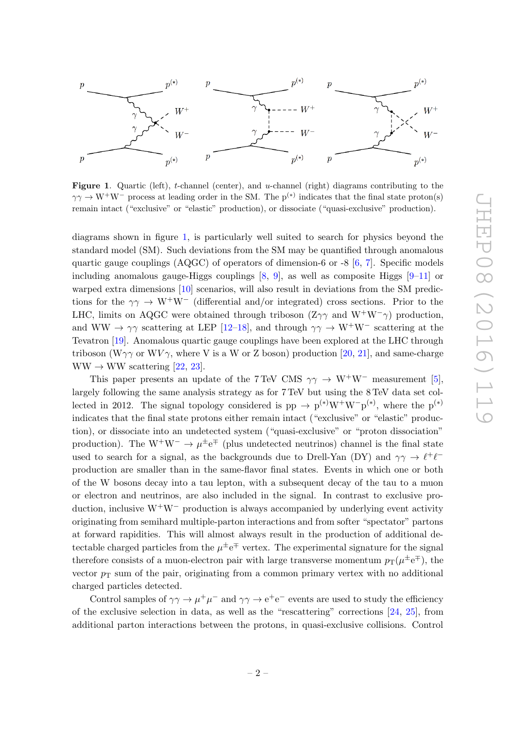

<span id="page-2-0"></span>**Figure 1.** Quartic (left), t-channel (center), and u-channel (right) diagrams contributing to the  $\gamma\gamma \to W^+W^-$  process at leading order in the SM. The  $p^{(*)}$  indicates that the final state proton(s) remain intact ("exclusive" or "elastic" production), or dissociate ("quasi-exclusive" production).

diagrams shown in figure [1,](#page-2-0) is particularly well suited to search for physics beyond the standard model (SM). Such deviations from the SM may be quantified through anomalous quartic gauge couplings (AQGC) of operators of dimension-6 or -8  $[6, 7]$  $[6, 7]$  $[6, 7]$ . Specific models including anomalous gauge-Higgs couplings  $[8, 9]$  $[8, 9]$  $[8, 9]$ , as well as composite Higgs  $[9-11]$  $[9-11]$  or warped extra dimensions [\[10\]](#page-21-10) scenarios, will also result in deviations from the SM predictions for the  $\gamma\gamma \to W^+W^-$  (differential and/or integrated) cross sections. Prior to the LHC, limits on AQGC were obtained through triboson  $(Z\gamma\gamma)$  and  $W^+W^-\gamma$ ) production, and WW  $\rightarrow \gamma\gamma$  scattering at LEP [\[12](#page-21-11)[–18\]](#page-22-0), and through  $\gamma\gamma \rightarrow W^+W^-$  scattering at the Tevatron [\[19\]](#page-22-1). Anomalous quartic gauge couplings have been explored at the LHC through triboson (W $\gamma\gamma$  or WV $\gamma$ , where V is a W or Z boson) production [\[20,](#page-22-2) [21\]](#page-22-3), and same-charge  $WW \rightarrow WW$  scattering [\[22,](#page-22-4) [23\]](#page-22-5).

This paper presents an update of the 7 TeV CMS  $\gamma\gamma \rightarrow W^+W^-$  measurement [\[5\]](#page-21-4), largely following the same analysis strategy as for 7 TeV but using the 8 TeV data set collected in 2012. The signal topology considered is  $pp \to p^{(*)}W^+W^-p^{(*)}$ , where the  $p^{(*)}$ indicates that the final state protons either remain intact ("exclusive" or "elastic" production), or dissociate into an undetected system ("quasi-exclusive" or "proton dissociation" production). The  $W^+W^- \to \mu^{\pm}e^{\mp}$  (plus undetected neutrinos) channel is the final state used to search for a signal, as the backgrounds due to Drell-Yan (DY) and  $\gamma\gamma \to \ell^+ \ell^$ production are smaller than in the same-flavor final states. Events in which one or both of the W bosons decay into a tau lepton, with a subsequent decay of the tau to a muon or electron and neutrinos, are also included in the signal. In contrast to exclusive production, inclusive W+W<sup>−</sup> production is always accompanied by underlying event activity originating from semihard multiple-parton interactions and from softer "spectator" partons at forward rapidities. This will almost always result in the production of additional detectable charged particles from the  $\mu^{\pm}e^{\mp}$  vertex. The experimental signature for the signal therefore consists of a muon-electron pair with large transverse momentum  $p_T(\mu^{\pm}e^{\mp})$ , the vector  $p_T$  sum of the pair, originating from a common primary vertex with no additional charged particles detected.

Control samples of  $\gamma\gamma \to \mu^+\mu^-$  and  $\gamma\gamma \to e^+e^-$  events are used to study the efficiency of the exclusive selection in data, as well as the "rescattering" corrections [\[24,](#page-22-6) [25\]](#page-22-7), from additional parton interactions between the protons, in quasi-exclusive collisions. Control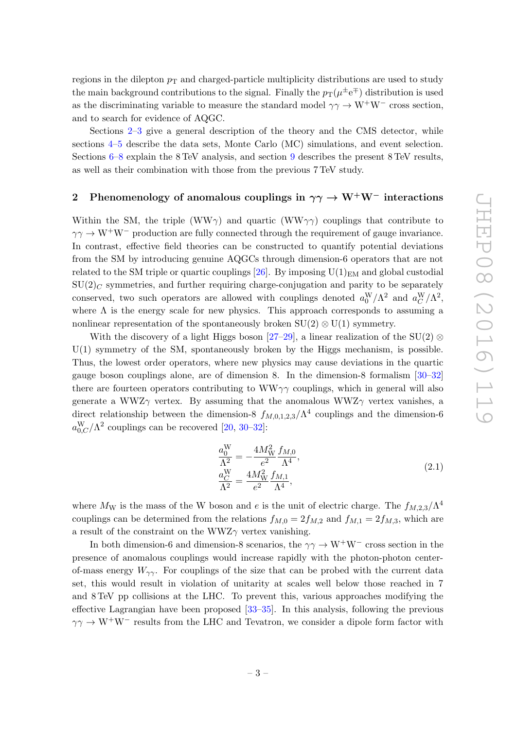regions in the dilepton  $p<sub>T</sub>$  and charged-particle multiplicity distributions are used to study the main background contributions to the signal. Finally the  $p_T(\mu^{\pm}e^{\mp})$  distribution is used as the discriminating variable to measure the standard model  $\gamma \gamma \rightarrow W^+W^-$  cross section, and to search for evidence of AQGC.

Sections [2](#page-3-0)[–3](#page-4-0) give a general description of the theory and the CMS detector, while sections [4](#page-5-0)[–5](#page-6-0) describe the data sets, Monte Carlo (MC) simulations, and event selection. Sections [6](#page-7-0)[–8](#page-14-0) explain the 8 TeV analysis, and section [9](#page-15-0) describes the present 8 TeV results, as well as their combination with those from the previous 7 TeV study.

# <span id="page-3-0"></span>2 Phenomenology of anomalous couplings in  $\gamma\gamma \to W^+W^-$  interactions

Within the SM, the triple (WW $\gamma$ ) and quartic (WW $\gamma\gamma$ ) couplings that contribute to  $\gamma\gamma \rightarrow W^+W^-$  production are fully connected through the requirement of gauge invariance. In contrast, effective field theories can be constructed to quantify potential deviations from the SM by introducing genuine AQGCs through dimension-6 operators that are not related to the SM triple or quartic couplings [\[26\]](#page-22-8). By imposing  $U(1)_{\text{EM}}$  and global custodial  $SU(2)_C$  symmetries, and further requiring charge-conjugation and parity to be separately conserved, two such operators are allowed with couplings denoted  $a_0^W/\Lambda^2$  and  $a_C^W/\Lambda^2$ , where  $\Lambda$  is the energy scale for new physics. This approach corresponds to assuming a nonlinear representation of the spontaneously broken  $SU(2) \otimes U(1)$  symmetry.

With the discovery of a light Higgs boson [\[27](#page-22-9)[–29\]](#page-22-10), a linear realization of the SU(2)  $\otimes$  $U(1)$  symmetry of the SM, spontaneously broken by the Higgs mechanism, is possible. Thus, the lowest order operators, where new physics may cause deviations in the quartic gauge boson couplings alone, are of dimension 8. In the dimension-8 formalism [\[30–](#page-22-11)[32\]](#page-23-0) there are fourteen operators contributing to  $WW\gamma\gamma$  couplings, which in general will also generate a WWZ $\gamma$  vertex. By assuming that the anomalous WWZ $\gamma$  vertex vanishes, a direct relationship between the dimension-8  $f_{M,0,1,2,3}/\Lambda^4$  couplings and the dimension-6  $a_{0,C}^{\rm W}/\Lambda^2$  couplings can be recovered [\[20,](#page-22-2) [30–](#page-22-11)[32\]](#page-23-0):

$$
\frac{a_0^{\text{W}}}{\Lambda^2} = -\frac{4M_{\text{W}}^2}{e^2} \frac{f_{M,0}}{\Lambda^4}, \n\frac{a_C^{\text{W}}}{\Lambda^2} = \frac{4M_{\text{W}}^2}{e^2} \frac{f_{M,1}}{\Lambda^4},
$$
\n(2.1)

where  $M_{\rm W}$  is the mass of the W boson and e is the unit of electric charge. The  $f_{M,2,3}/\Lambda^4$ couplings can be determined from the relations  $f_{M,0} = 2f_{M,2}$  and  $f_{M,1} = 2f_{M,3}$ , which are a result of the constraint on the WWZ $\gamma$  vertex vanishing.

In both dimension-6 and dimension-8 scenarios, the  $\gamma\gamma \to W^+W^-$  cross section in the presence of anomalous couplings would increase rapidly with the photon-photon centerof-mass energy  $W_{\gamma\gamma}$ . For couplings of the size that can be probed with the current data set, this would result in violation of unitarity at scales well below those reached in 7 and 8 TeV pp collisions at the LHC. To prevent this, various approaches modifying the effective Lagrangian have been proposed [\[33–](#page-23-1)[35\]](#page-23-2). In this analysis, following the previous  $\gamma\gamma \to W^+W^-$  results from the LHC and Tevatron, we consider a dipole form factor with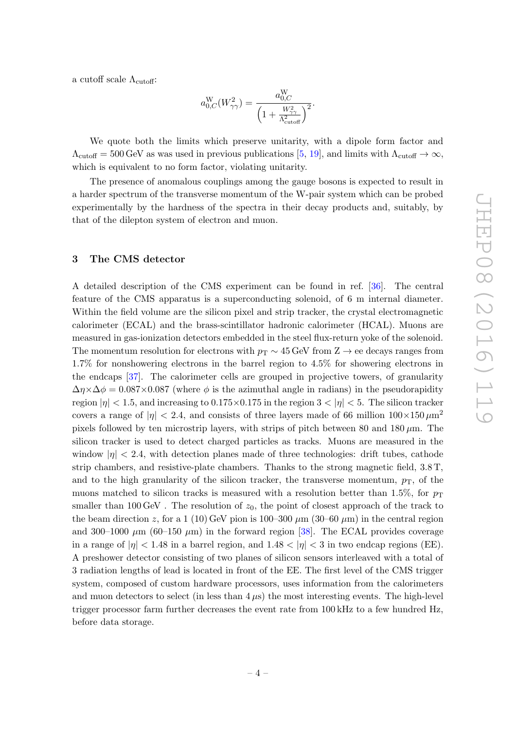a cutoff scale  $\Lambda_{\text{cutoff}}$ :

$$
a_{0,C}^{\rm W}(W_{\gamma\gamma}^2)=\frac{a_{0,C}^{\rm W}}{\left(1+\frac{W_{\gamma\gamma}^2}{\Lambda_{\rm cutoff}^2}\right)^2}.
$$

We quote both the limits which preserve unitarity, with a dipole form factor and  $\Lambda_{\text{cutoff}} = 500 \,\text{GeV}$  as was used in previous publications [\[5,](#page-21-4) [19\]](#page-22-1), and limits with  $\Lambda_{\text{cutoff}} \to \infty$ , which is equivalent to no form factor, violating unitarity.

The presence of anomalous couplings among the gauge bosons is expected to result in a harder spectrum of the transverse momentum of the W-pair system which can be probed experimentally by the hardness of the spectra in their decay products and, suitably, by that of the dilepton system of electron and muon.

#### <span id="page-4-0"></span>3 The CMS detector

A detailed description of the CMS experiment can be found in ref. [\[36\]](#page-23-3). The central feature of the CMS apparatus is a superconducting solenoid, of 6 m internal diameter. Within the field volume are the silicon pixel and strip tracker, the crystal electromagnetic calorimeter (ECAL) and the brass-scintillator hadronic calorimeter (HCAL). Muons are measured in gas-ionization detectors embedded in the steel flux-return yoke of the solenoid. The momentum resolution for electrons with  $p_T \sim 45$  GeV from  $Z \to ee$  decays ranges from 1.7% for nonshowering electrons in the barrel region to 4.5% for showering electrons in the endcaps [\[37\]](#page-23-4). The calorimeter cells are grouped in projective towers, of granularity  $\Delta \eta \times \Delta \phi = 0.087 \times 0.087$  (where  $\phi$  is the azimuthal angle in radians) in the pseudorapidity region  $|\eta| < 1.5$ , and increasing to  $0.175 \times 0.175$  in the region  $3 < |\eta| < 5$ . The silicon tracker covers a range of  $|\eta| < 2.4$ , and consists of three layers made of 66 million  $100 \times 150 \,\mu m^2$ pixels followed by ten microstrip layers, with strips of pitch between 80 and 180  $\mu$ m. The silicon tracker is used to detect charged particles as tracks. Muons are measured in the window  $|\eta| < 2.4$ , with detection planes made of three technologies: drift tubes, cathode strip chambers, and resistive-plate chambers. Thanks to the strong magnetic field, 3.8 T, and to the high granularity of the silicon tracker, the transverse momentum,  $p<sub>T</sub>$ , of the muons matched to silicon tracks is measured with a resolution better than 1.5%, for  $p_T$ smaller than  $100 \,\text{GeV}$ . The resolution of  $z_0$ , the point of closest approach of the track to the beam direction z, for a 1 (10) GeV pion is 100–300  $\mu$ m (30–60  $\mu$ m) in the central region and 300–1000  $\mu$ m (60–150  $\mu$ m) in the forward region [\[38\]](#page-23-5). The ECAL provides coverage in a range of  $|\eta| < 1.48$  in a barrel region, and  $1.48 < |\eta| < 3$  in two endcap regions (EE). A preshower detector consisting of two planes of silicon sensors interleaved with a total of 3 radiation lengths of lead is located in front of the EE. The first level of the CMS trigger system, composed of custom hardware processors, uses information from the calorimeters and muon detectors to select (in less than  $4 \mu s$ ) the most interesting events. The high-level trigger processor farm further decreases the event rate from 100 kHz to a few hundred Hz, before data storage.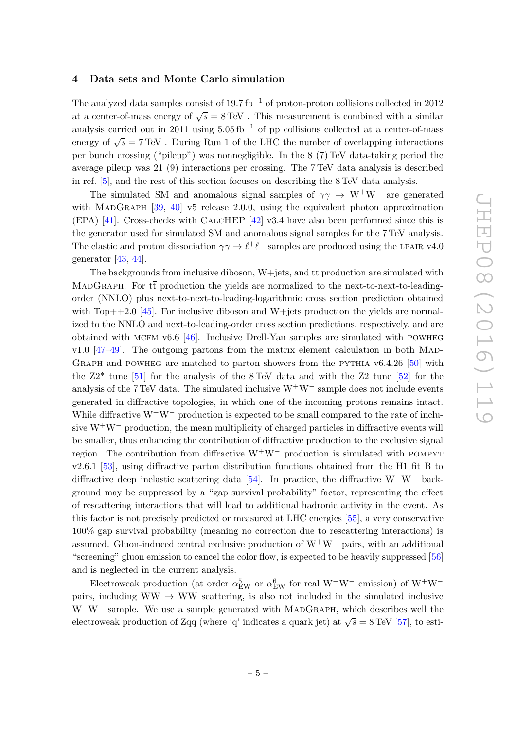#### <span id="page-5-0"></span>4 Data sets and Monte Carlo simulation

The analyzed data samples consist of 19.7 fb<sup>-1</sup> of proton-proton collisions collected in 2012 at a center-of-mass energy of  $\sqrt{s} = 8 \text{ TeV}$ . This measurement is combined with a similar analysis carried out in 2011 using  $5.05 \text{ fb}^{-1}$  of pp collisions collected at a center-of-mass energy of  $\sqrt{s} = 7 \text{ TeV}$ . During Run 1 of the LHC the number of overlapping interactions per bunch crossing ("pileup") was nonnegligible. In the 8 (7) TeV data-taking period the average pileup was 21 (9) interactions per crossing. The 7 TeV data analysis is described in ref. [\[5\]](#page-21-4), and the rest of this section focuses on describing the 8 TeV data analysis.

The simulated SM and anomalous signal samples of  $\gamma\gamma \rightarrow W^+W^-$  are generated with MADGRAPH  $[39, 40]$  $[39, 40]$  $[39, 40]$  v5 release 2.0.0, using the equivalent photon approximation (EPA) [\[41\]](#page-23-8). Cross-checks with CalcHEP [\[42\]](#page-23-9) v3.4 have also been performed since this is the generator used for simulated SM and anomalous signal samples for the 7 TeV analysis. The elastic and proton dissociation  $\gamma \gamma \to \ell^+ \ell^-$  samples are produced using the LPAIR v4.0 generator  $[43, 44]$  $[43, 44]$  $[43, 44]$ .

The backgrounds from inclusive diboson,  $W+jets$ , and  $t\bar{t}$  production are simulated with MADGRAPH. For  $t\bar{t}$  production the yields are normalized to the next-to-next-to-leadingorder (NNLO) plus next-to-next-to-leading-logarithmic cross section prediction obtained with Top $++2.0$  [\[45\]](#page-23-12). For inclusive diboson and W $+$ jets production the yields are normalized to the NNLO and next-to-leading-order cross section predictions, respectively, and are obtained with MCFM v6.6 [\[46\]](#page-23-13). Inclusive Drell-Yan samples are simulated with POWHEG  $v1.0$  [\[47–](#page-23-14)[49\]](#page-24-0). The outgoing partons from the matrix element calculation in both MAD-GRAPH and POWHEG are matched to parton showers from the PYTHIA v6.4.26 [\[50\]](#page-24-1) with the  $Z2^*$  tune [\[51\]](#page-24-2) for the analysis of the 8 TeV data and with the  $Z2$  tune [\[52\]](#page-24-3) for the analysis of the 7 TeV data. The simulated inclusive W+W<sup>−</sup> sample does not include events generated in diffractive topologies, in which one of the incoming protons remains intact. While diffractive  $W^+W^-$  production is expected to be small compared to the rate of inclusive  $W^+W^-$  production, the mean multiplicity of charged particles in diffractive events will be smaller, thus enhancing the contribution of diffractive production to the exclusive signal region. The contribution from diffractive W+W<sup>−</sup> production is simulated with pompyt v2.6.1 [\[53\]](#page-24-4), using diffractive parton distribution functions obtained from the H1 fit B to diffractive deep inelastic scattering data [\[54\]](#page-24-5). In practice, the diffractive  $W^+W^-$  background may be suppressed by a "gap survival probability" factor, representing the effect of rescattering interactions that will lead to additional hadronic activity in the event. As this factor is not precisely predicted or measured at LHC energies [\[55\]](#page-24-6), a very conservative 100% gap survival probability (meaning no correction due to rescattering interactions) is assumed. Gluon-induced central exclusive production of  $W^+W^-$  pairs, with an additional "screening" gluon emission to cancel the color flow, is expected to be heavily suppressed [\[56\]](#page-24-7) and is neglected in the current analysis.

Electroweak production (at order  $\alpha_{\rm EW}^5$  or  $\alpha_{\rm EW}^6$  for real W<sup>+</sup>W<sup>−</sup> emission) of W<sup>+</sup>W<sup>−</sup> pairs, including WW  $\rightarrow$  WW scattering, is also not included in the simulated inclusive W+W<sup>−</sup> sample. We use a sample generated with MadGraph, which describes well the electroweak production of Zqq (where 'q' indicates a quark jet) at  $\sqrt{s} = 8$  TeV [\[57\]](#page-24-8), to esti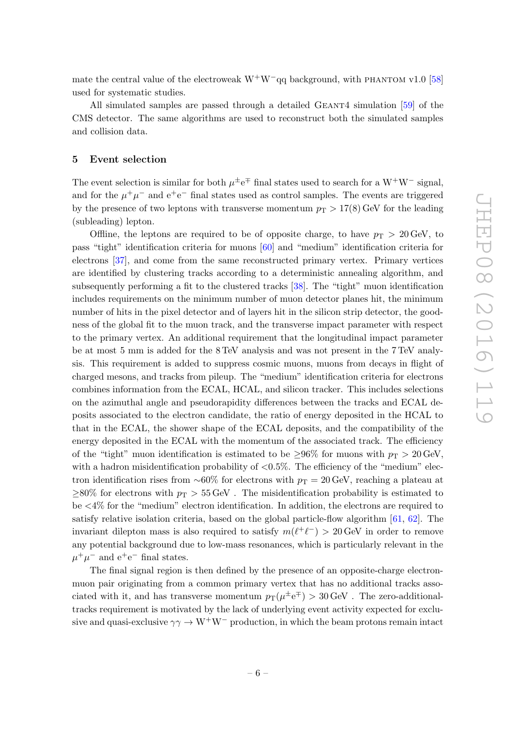mate the central value of the electroweak  $W^+W^-qq$  background, with PHANTOM v1.0 [\[58\]](#page-24-9) used for systematic studies.

All simulated samples are passed through a detailed GEANT4 simulation [\[59\]](#page-24-10) of the CMS detector. The same algorithms are used to reconstruct both the simulated samples and collision data.

## <span id="page-6-0"></span>5 Event selection

The event selection is similar for both  $\mu^{\pm}e^{\mp}$  final states used to search for a W<sup>+</sup>W<sup>-</sup> signal, and for the  $\mu^+\mu^-$  and  $e^+e^-$  final states used as control samples. The events are triggered by the presence of two leptons with transverse momentum  $p_T > 17(8)$  GeV for the leading (subleading) lepton.

Offline, the leptons are required to be of opposite charge, to have  $p_T > 20 \,\text{GeV}$ , to pass "tight" identification criteria for muons [\[60\]](#page-24-11) and "medium" identification criteria for electrons [\[37\]](#page-23-4), and come from the same reconstructed primary vertex. Primary vertices are identified by clustering tracks according to a deterministic annealing algorithm, and subsequently performing a fit to the clustered tracks [\[38\]](#page-23-5). The "tight" muon identification includes requirements on the minimum number of muon detector planes hit, the minimum number of hits in the pixel detector and of layers hit in the silicon strip detector, the goodness of the global fit to the muon track, and the transverse impact parameter with respect to the primary vertex. An additional requirement that the longitudinal impact parameter be at most 5 mm is added for the 8 TeV analysis and was not present in the 7 TeV analysis. This requirement is added to suppress cosmic muons, muons from decays in flight of charged mesons, and tracks from pileup. The "medium" identification criteria for electrons combines information from the ECAL, HCAL, and silicon tracker. This includes selections on the azimuthal angle and pseudorapidity differences between the tracks and ECAL deposits associated to the electron candidate, the ratio of energy deposited in the HCAL to that in the ECAL, the shower shape of the ECAL deposits, and the compatibility of the energy deposited in the ECAL with the momentum of the associated track. The efficiency of the "tight" muon identification is estimated to be  $\geq 96\%$  for muons with  $p_T > 20$  GeV, with a hadron misidentification probability of  $\langle 0.5\% \rangle$ . The efficiency of the "medium" electron identification rises from ~60% for electrons with  $p_T = 20$  GeV, reaching a plateau at  $>80\%$  for electrons with  $p_T > 55 \text{ GeV}$ . The misidentification probability is estimated to be  $\lt 4\%$  for the "medium" electron identification. In addition, the electrons are required to satisfy relative isolation criteria, based on the global particle-flow algorithm [\[61,](#page-24-12) [62\]](#page-24-13). The invariant dilepton mass is also required to satisfy  $m(\ell^+\ell^-) > 20$  GeV in order to remove any potential background due to low-mass resonances, which is particularly relevant in the  $\mu^+\mu^-$  and  $\mathrm{e^+e^-}$  final states.

The final signal region is then defined by the presence of an opposite-charge electronmuon pair originating from a common primary vertex that has no additional tracks associated with it, and has transverse momentum  $p_T(\mu^{\pm}e^{\mp}) > 30 \,\text{GeV}$ . The zero-additionaltracks requirement is motivated by the lack of underlying event activity expected for exclusive and quasi-exclusive  $\gamma \gamma \rightarrow W^{+}W^{-}$  production, in which the beam protons remain intact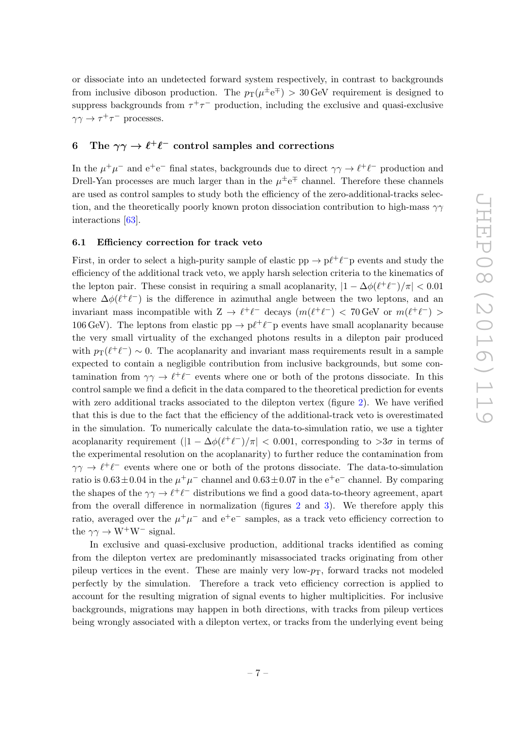or dissociate into an undetected forward system respectively, in contrast to backgrounds from inclusive diboson production. The  $p_T(\mu^{\pm}e^{\mp}) > 30 \,\text{GeV}$  requirement is designed to suppress backgrounds from  $\tau^+\tau^-$  production, including the exclusive and quasi-exclusive  $\gamma\gamma \to \tau^+\tau^-$  processes.

# <span id="page-7-0"></span>6 The  $\gamma\gamma \to \ell^+\ell^-$  control samples and corrections

In the  $\mu^+\mu^-$  and  $e^+e^-$  final states, backgrounds due to direct  $\gamma\gamma \to \ell^+\ell^-$  production and Drell-Yan processes are much larger than in the  $\mu^{\pm}e^{\mp}$  channel. Therefore these channels are used as control samples to study both the efficiency of the zero-additional-tracks selection, and the theoretically poorly known proton dissociation contribution to high-mass  $\gamma\gamma$ interactions [\[63\]](#page-24-14).

#### <span id="page-7-1"></span>6.1 Efficiency correction for track veto

First, in order to select a high-purity sample of elastic  $pp \to p\ell^+\ell^- p$  events and study the efficiency of the additional track veto, we apply harsh selection criteria to the kinematics of the lepton pair. These consist in requiring a small acoplanarity,  $|1 - \Delta \phi(\ell^+ \ell^-)/\pi| < 0.01$ where  $\Delta\phi(\ell^+\ell^-)$  is the difference in azimuthal angle between the two leptons, and an invariant mass incompatible with  $Z \to \ell^+ \ell^-$  decays  $(m(\ell^+ \ell^-) < 70 \,\text{GeV}$  or  $m(\ell^+ \ell^-) >$ 106 GeV). The leptons from elastic  $pp \to p\ell^+\ell^- p$  events have small acoplanarity because the very small virtuality of the exchanged photons results in a dilepton pair produced with  $p_T(\ell^+\ell^-) \sim 0$ . The acoplanarity and invariant mass requirements result in a sample expected to contain a negligible contribution from inclusive backgrounds, but some contamination from  $\gamma \gamma \to \ell^+ \ell^-$  events where one or both of the protons dissociate. In this control sample we find a deficit in the data compared to the theoretical prediction for events with zero additional tracks associated to the dilepton vertex (figure [2\)](#page-8-1). We have verified that this is due to the fact that the efficiency of the additional-track veto is overestimated in the simulation. To numerically calculate the data-to-simulation ratio, we use a tighter acoplanarity requirement  $(|1 - \Delta \phi(\ell^+ \ell^-)/\pi| < 0.001$ , corresponding to  $>3\sigma$  in terms of the experimental resolution on the acoplanarity) to further reduce the contamination from  $\gamma\gamma \to \ell^+\ell^-$  events where one or both of the protons dissociate. The data-to-simulation ratio is  $0.63 \pm 0.04$  in the  $\mu^+ \mu^-$  channel and  $0.63 \pm 0.07$  in the e<sup>+</sup>e<sup>-</sup> channel. By comparing the shapes of the  $\gamma \gamma \to \ell^+ \ell^-$  distributions we find a good data-to-theory agreement, apart from the overall difference in normalization (figures [2](#page-8-1) and [3\)](#page-9-0). We therefore apply this ratio, averaged over the  $\mu^+\mu^-$  and  $e^+e^-$  samples, as a track veto efficiency correction to the  $\gamma \gamma \rightarrow W^{+}W^{-}$  signal.

In exclusive and quasi-exclusive production, additional tracks identified as coming from the dilepton vertex are predominantly misassociated tracks originating from other pileup vertices in the event. These are mainly very low- $p<sub>T</sub>$ , forward tracks not modeled perfectly by the simulation. Therefore a track veto efficiency correction is applied to account for the resulting migration of signal events to higher multiplicities. For inclusive backgrounds, migrations may happen in both directions, with tracks from pileup vertices being wrongly associated with a dilepton vertex, or tracks from the underlying event being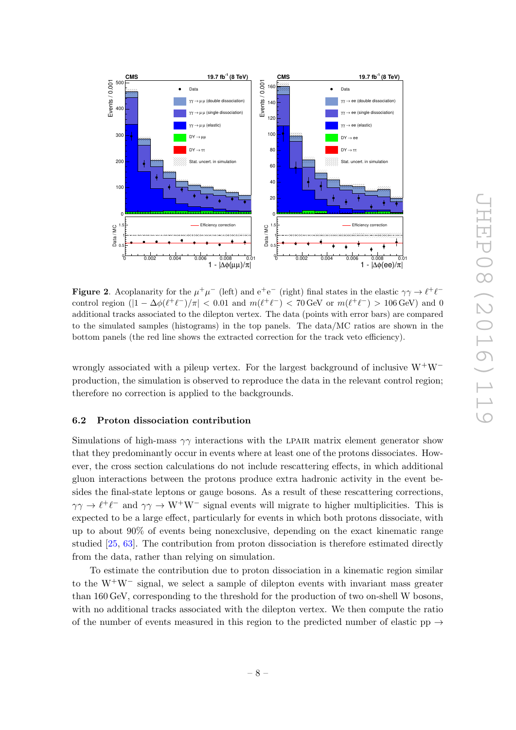

<span id="page-8-1"></span>**Figure 2.** Acoplanarity for the  $\mu^+\mu^-$  (left) and  $e^+e^-$  (right) final states in the elastic  $\gamma\gamma \to \ell^+\ell^$ control region  $(|1 - \Delta \phi(\ell^+ \ell^-)/\pi| < 0.01$  and  $m(\ell^+ \ell^-) < 70$  GeV or  $m(\ell^+ \ell^-) > 106$  GeV) and 0 additional tracks associated to the dilepton vertex. The data (points with error bars) are compared to the simulated samples (histograms) in the top panels. The data/MC ratios are shown in the bottom panels (the red line shows the extracted correction for the track veto efficiency).

wrongly associated with a pileup vertex. For the largest background of inclusive W+W<sup>−</sup> production, the simulation is observed to reproduce the data in the relevant control region; therefore no correction is applied to the backgrounds.

## <span id="page-8-0"></span>6.2 Proton dissociation contribution

Simulations of high-mass  $\gamma\gamma$  interactions with the LPAIR matrix element generator show that they predominantly occur in events where at least one of the protons dissociates. However, the cross section calculations do not include rescattering effects, in which additional gluon interactions between the protons produce extra hadronic activity in the event besides the final-state leptons or gauge bosons. As a result of these rescattering corrections,  $\gamma\gamma \to \ell^+\ell^-$  and  $\gamma\gamma \to W^+W^-$  signal events will migrate to higher multiplicities. This is expected to be a large effect, particularly for events in which both protons dissociate, with up to about 90% of events being nonexclusive, depending on the exact kinematic range studied [\[25,](#page-22-7) [63\]](#page-24-14). The contribution from proton dissociation is therefore estimated directly from the data, rather than relying on simulation.

To estimate the contribution due to proton dissociation in a kinematic region similar to the W+W<sup>−</sup> signal, we select a sample of dilepton events with invariant mass greater than 160 GeV, corresponding to the threshold for the production of two on-shell W bosons, with no additional tracks associated with the dilepton vertex. We then compute the ratio of the number of events measured in this region to the predicted number of elastic pp  $\rightarrow$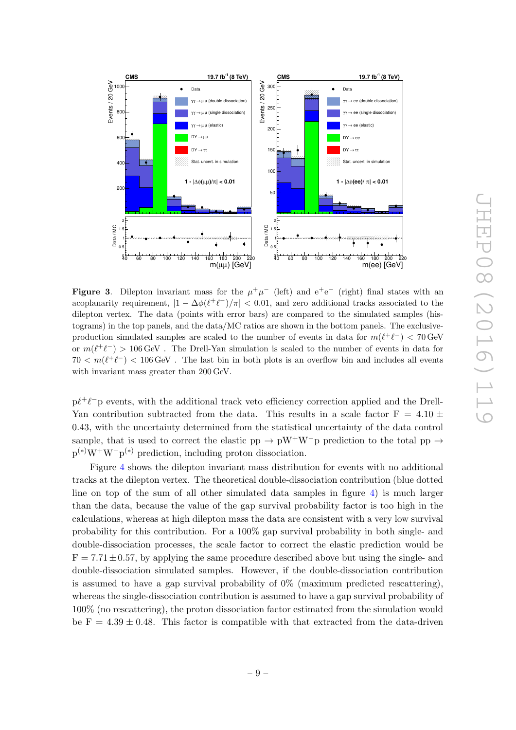

<span id="page-9-0"></span>**Figure 3.** Dilepton invariant mass for the  $\mu^+\mu^-$  (left) and  $e^+e^-$  (right) final states with an acoplanarity requirement,  $|1 - \Delta \phi(\ell^+ \ell^-)/\pi| < 0.01$ , and zero additional tracks associated to the dilepton vertex. The data (points with error bars) are compared to the simulated samples (histograms) in the top panels, and the data/MC ratios are shown in the bottom panels. The exclusiveproduction simulated samples are scaled to the number of events in data for  $m(\ell^+\ell^-) < 70$  GeV or  $m(\ell^+\ell^-) > 106 \,\text{GeV}$ . The Drell-Yan simulation is scaled to the number of events in data for  $70 < m(\ell^+\ell^-) < 106 \,\text{GeV}$ . The last bin in both plots is an overflow bin and includes all events with invariant mass greater than 200 GeV.

 $p\ell^+\ell^-$  p events, with the additional track veto efficiency correction applied and the Drell-Yan contribution subtracted from the data. This results in a scale factor  $F = 4.10 \pm 10^{-10}$ 0.43, with the uncertainty determined from the statistical uncertainty of the data control sample, that is used to correct the elastic pp  $\rightarrow$  pW<sup>+</sup>W<sup>-</sup>p prediction to the total pp  $\rightarrow$  $p^{(*)}W^{+}W^{-}p^{(*)}$  prediction, including proton dissociation.

Figure [4](#page-10-2) shows the dilepton invariant mass distribution for events with no additional tracks at the dilepton vertex. The theoretical double-dissociation contribution (blue dotted line on top of the sum of all other simulated data samples in figure [4\)](#page-10-2) is much larger than the data, because the value of the gap survival probability factor is too high in the calculations, whereas at high dilepton mass the data are consistent with a very low survival probability for this contribution. For a 100% gap survival probability in both single- and double-dissociation processes, the scale factor to correct the elastic prediction would be  $F = 7.71 \pm 0.57$ , by applying the same procedure described above but using the single- and double-dissociation simulated samples. However, if the double-dissociation contribution is assumed to have a gap survival probability of  $0\%$  (maximum predicted rescattering), whereas the single-dissociation contribution is assumed to have a gap survival probability of 100% (no rescattering), the proton dissociation factor estimated from the simulation would be  $F = 4.39 \pm 0.48$ . This factor is compatible with that extracted from the data-driven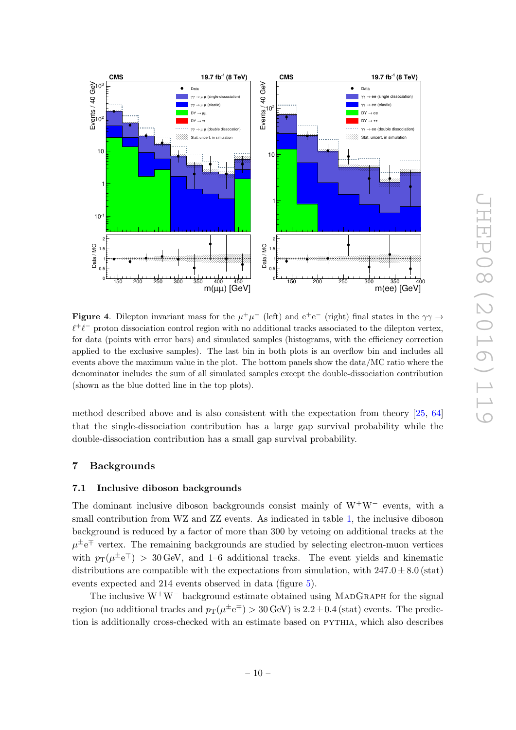

<span id="page-10-2"></span>**Figure 4.** Dilepton invariant mass for the  $\mu^+\mu^-$  (left) and  $e^+e^-$  (right) final states in the  $\gamma\gamma \to$  $\ell^+\ell^-$  proton dissociation control region with no additional tracks associated to the dilepton vertex, for data (points with error bars) and simulated samples (histograms, with the efficiency correction applied to the exclusive samples). The last bin in both plots is an overflow bin and includes all events above the maximum value in the plot. The bottom panels show the data/MC ratio where the denominator includes the sum of all simulated samples except the double-dissociation contribution (shown as the blue dotted line in the top plots).

method described above and is also consistent with the expectation from theory [\[25,](#page-22-7) [64\]](#page-24-15) that the single-dissociation contribution has a large gap survival probability while the double-dissociation contribution has a small gap survival probability.

## <span id="page-10-0"></span>7 Backgrounds

#### <span id="page-10-1"></span>7.1 Inclusive diboson backgrounds

The dominant inclusive diboson backgrounds consist mainly of  $W^+W^-$  events, with a small contribution from WZ and ZZ events. As indicated in table [1,](#page-14-1) the inclusive diboson background is reduced by a factor of more than 300 by vetoing on additional tracks at the  $\mu^{\pm}e^{\mp}$  vertex. The remaining backgrounds are studied by selecting electron-muon vertices with  $p_T(\mu^{\pm}e^{\mp}) > 30 \,\text{GeV}$ , and 1–6 additional tracks. The event yields and kinematic distributions are compatible with the expectations from simulation, with  $247.0 \pm 8.0$  (stat) events expected and 214 events observed in data (figure [5\)](#page-11-2).

The inclusive  $W^+W^-$  background estimate obtained using MADGRAPH for the signal region (no additional tracks and  $p_T(\mu^{\pm}e^{\mp}) > 30$  GeV) is  $2.2 \pm 0.4$  (stat) events. The prediction is additionally cross-checked with an estimate based on pythia, which also describes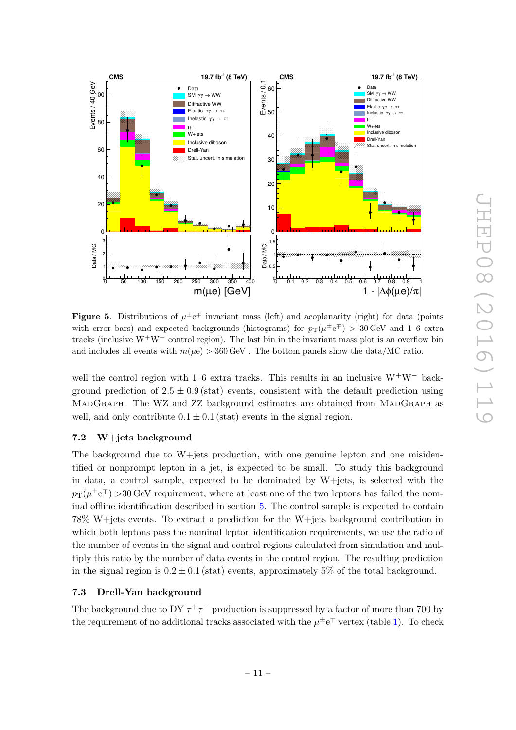

<span id="page-11-2"></span>**Figure 5.** Distributions of  $\mu^{\pm}e^{\mp}$  invariant mass (left) and acoplanarity (right) for data (points with error bars) and expected backgrounds (histograms) for  $p_T(\mu^{\pm}e^{\mp}) > 30 \,\text{GeV}$  and 1–6 extra tracks (inclusive W+W<sup>−</sup> control region). The last bin in the invariant mass plot is an overflow bin and includes all events with  $m(\mu e) > 360 \,\text{GeV}$ . The bottom panels show the data/MC ratio.

well the control region with 1–6 extra tracks. This results in an inclusive  $W^+W^-$  background prediction of  $2.5 \pm 0.9$  (stat) events, consistent with the default prediction using MADGRAPH. The WZ and ZZ background estimates are obtained from MADGRAPH as well, and only contribute  $0.1 \pm 0.1$  (stat) events in the signal region.

## <span id="page-11-0"></span>7.2 W+jets background

The background due to W+jets production, with one genuine lepton and one misidentified or nonprompt lepton in a jet, is expected to be small. To study this background in data, a control sample, expected to be dominated by W+jets, is selected with the  $p_T(\mu^{\pm}e^{\mp}) > 30$  GeV requirement, where at least one of the two leptons has failed the nominal offline identification described in section [5.](#page-6-0) The control sample is expected to contain 78% W+jets events. To extract a prediction for the W+jets background contribution in which both leptons pass the nominal lepton identification requirements, we use the ratio of the number of events in the signal and control regions calculated from simulation and multiply this ratio by the number of data events in the control region. The resulting prediction in the signal region is  $0.2 \pm 0.1$  (stat) events, approximately 5% of the total background.

## <span id="page-11-1"></span>7.3 Drell-Yan background

The background due to DY  $\tau^+\tau^-$  production is suppressed by a factor of more than 700 by the requirement of no additional tracks associated with the  $\mu^{\pm}e^{\mp}$  vertex (table [1\)](#page-14-1). To check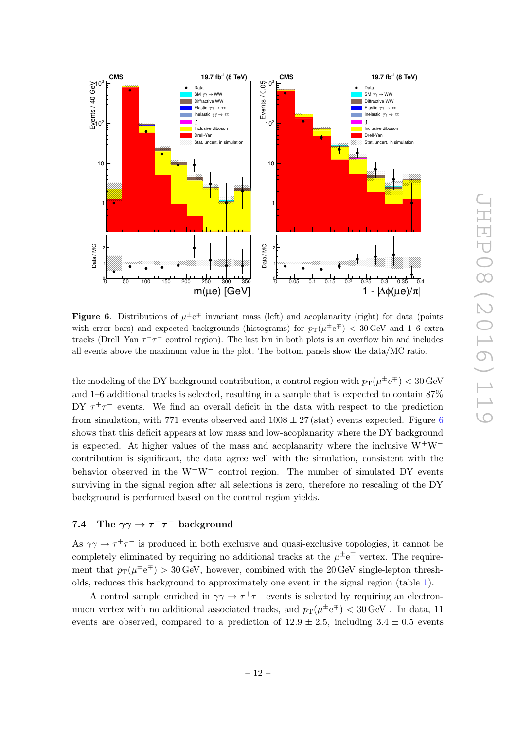

<span id="page-12-1"></span>Figure 6. Distributions of  $\mu^{\pm}e^{\mp}$  invariant mass (left) and acoplanarity (right) for data (points with error bars) and expected backgrounds (histograms) for  $p_T(\mu^{\pm}e^{\mp}) < 30 \,\text{GeV}$  and 1–6 extra tracks (Drell–Yan  $\tau^+\tau^-$  control region). The last bin in both plots is an overflow bin and includes all events above the maximum value in the plot. The bottom panels show the data/MC ratio.

the modeling of the DY background contribution, a control region with  $p_T(\mu^{\pm}e^{\mp}) < 30 \,\text{GeV}$ and 1–6 additional tracks is selected, resulting in a sample that is expected to contain 87% DY  $\tau^+\tau^-$  events. We find an overall deficit in the data with respect to the prediction from simulation, with 771 events observed and  $1008 \pm 27$  (stat) events expected. Figure [6](#page-12-1) shows that this deficit appears at low mass and low-acoplanarity where the DY background is expected. At higher values of the mass and acoplanarity where the inclusive  $W^+W^$ contribution is significant, the data agree well with the simulation, consistent with the behavior observed in the  $W^+W^-$  control region. The number of simulated DY events surviving in the signal region after all selections is zero, therefore no rescaling of the DY background is performed based on the control region yields.

# <span id="page-12-0"></span>7.4 The  $\gamma\gamma\to\tau^+\tau^-$  background

As  $\gamma\gamma \to \tau^+\tau^-$  is produced in both exclusive and quasi-exclusive topologies, it cannot be completely eliminated by requiring no additional tracks at the  $\mu^{\pm}e^{\mp}$  vertex. The requirement that  $p_T(\mu^{\pm}e^{\mp}) > 30$  GeV, however, combined with the 20 GeV single-lepton thresholds, reduces this background to approximately one event in the signal region (table [1\)](#page-14-1).

A control sample enriched in  $\gamma\gamma \to \tau^+\tau^-$  events is selected by requiring an electronmuon vertex with no additional associated tracks, and  $p_T(\mu^{\pm}e^{\mp}) < 30\,\text{GeV}$  . In data, 11 events are observed, compared to a prediction of  $12.9 \pm 2.5$ , including  $3.4 \pm 0.5$  events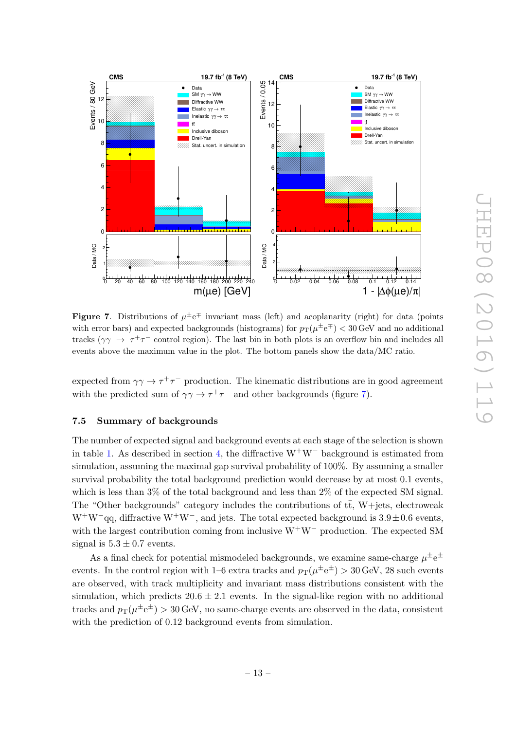

<span id="page-13-1"></span>Figure 7. Distributions of  $\mu^{\pm}e^{\mp}$  invariant mass (left) and acoplanarity (right) for data (points with error bars) and expected backgrounds (histograms) for  $p_T(\mu^{\pm}e^{\mp}) < 30 \,\text{GeV}$  and no additional tracks ( $\gamma\gamma \to \tau^+\tau^-$  control region). The last bin in both plots is an overflow bin and includes all events above the maximum value in the plot. The bottom panels show the data/MC ratio.

expected from  $\gamma \gamma \rightarrow \tau^+ \tau^-$  production. The kinematic distributions are in good agreement with the predicted sum of  $\gamma\gamma \to \tau^+\tau^-$  and other backgrounds (figure [7\)](#page-13-1).

## <span id="page-13-0"></span>7.5 Summary of backgrounds

The number of expected signal and background events at each stage of the selection is shown in table [1.](#page-14-1) As described in section [4,](#page-5-0) the diffractive  $W^+W^-$  background is estimated from simulation, assuming the maximal gap survival probability of 100%. By assuming a smaller survival probability the total background prediction would decrease by at most 0.1 events, which is less than 3% of the total background and less than 2% of the expected SM signal. The "Other backgrounds" category includes the contributions of  $t\bar{t}$ , W+jets, electroweak  $W^+W^-$ qq, diffractive  $W^+W^-$ , and jets. The total expected background is  $3.9\pm0.6$  events, with the largest contribution coming from inclusive W+W<sup>−</sup> production. The expected SM signal is  $5.3 \pm 0.7$  events.

As a final check for potential mismodeled backgrounds, we examine same-charge  $\mu^{\pm}e^{\pm}$ events. In the control region with 1–6 extra tracks and  $p_T(\mu^{\pm}e^{\pm}) > 30\,\text{GeV}, 28$  such events are observed, with track multiplicity and invariant mass distributions consistent with the simulation, which predicts  $20.6 \pm 2.1$  events. In the signal-like region with no additional tracks and  $p_T(\mu^{\pm}e^{\pm}) > 30$  GeV, no same-charge events are observed in the data, consistent with the prediction of 0.12 background events from simulation.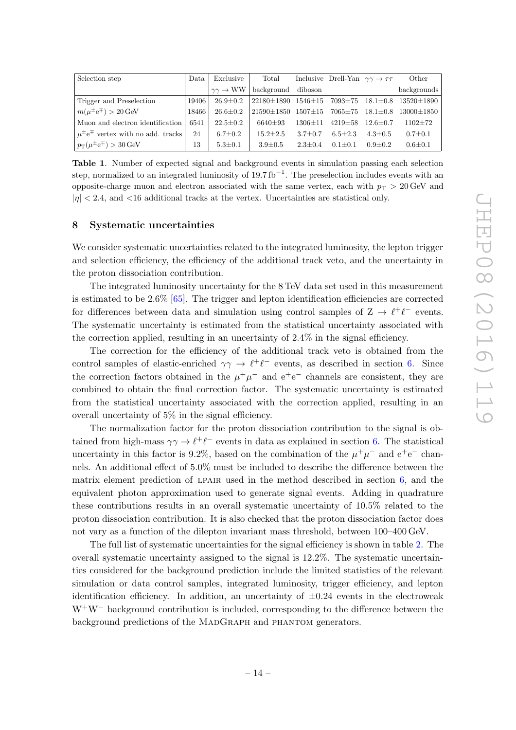| Selection step                                | Data  | Exclusive                     | Total            |               | Inclusive Drell-Yan $\gamma\gamma \to \tau\tau$ |              | Other                                                                          |
|-----------------------------------------------|-------|-------------------------------|------------------|---------------|-------------------------------------------------|--------------|--------------------------------------------------------------------------------|
|                                               |       | $\gamma\gamma \rightarrow WW$ | background       | diboson       |                                                 |              | backgrounds                                                                    |
| Trigger and Preselection                      | 19406 | $26.9 \pm 0.2$                |                  |               |                                                 |              | $22180 \pm 1890$   $1546 \pm 15$ 7093 $\pm 75$ 18.1 $\pm 0.8$ 13520 $\pm 1890$ |
| $m(\mu^{\pm}e^{\mp}) > 20 \,\text{GeV}$       | 18466 | $26.6 \pm 0.2$                | $21590 \pm 1850$ |               | $1507 \pm 15$ 7065 $\pm 75$ 18.1 $\pm 0.8$      |              | $13000 \pm 1850$                                                               |
| Muon and electron identification              | 6541  | $22.5+0.2$                    | $6640 \pm 93$    | $1306 + 11$   | $4219 + 58$                                     | $12.6 + 0.7$ | $1102+72$                                                                      |
| $\mu^{\pm}e^{\mp}$ vertex with no add. tracks | 24    | $6.7 \pm 0.2$                 | $15.2 \pm 2.5$   | $3.7 + 0.7$   | $6.5 + 2.3$                                     | $4.3 + 0.5$  | $0.7 \pm 0.1$                                                                  |
| $p_T(\mu^{\pm}e^{\mp}) > 30 \,\text{GeV}$     | 13    | $5.3 \pm 0.1$                 | $3.9 \pm 0.5$    | $2.3 \pm 0.4$ | $0.1 \pm 0.1$                                   | $0.9 + 0.2$  | $0.6 \pm 0.1$                                                                  |

<span id="page-14-1"></span>Table 1. Number of expected signal and background events in simulation passing each selection step, normalized to an integrated luminosity of  $19.7 \text{ fb}^{-1}$ . The preselection includes events with an opposite-charge muon and electron associated with the same vertex, each with  $p_T > 20$  GeV and  $|\eta|$  < 2.4, and <16 additional tracks at the vertex. Uncertainties are statistical only.

#### <span id="page-14-0"></span>8 Systematic uncertainties

We consider systematic uncertainties related to the integrated luminosity, the lepton trigger and selection efficiency, the efficiency of the additional track veto, and the uncertainty in the proton dissociation contribution.

The integrated luminosity uncertainty for the 8 TeV data set used in this measurement is estimated to be  $2.6\%$  [\[65\]](#page-25-0). The trigger and lepton identification efficiencies are corrected for differences between data and simulation using control samples of  $Z \to \ell^+ \ell^-$  events. The systematic uncertainty is estimated from the statistical uncertainty associated with the correction applied, resulting in an uncertainty of 2.4% in the signal efficiency.

The correction for the efficiency of the additional track veto is obtained from the control samples of elastic-enriched  $\gamma \gamma \to \ell^+ \ell^-$  events, as described in section [6.](#page-7-0) Since the correction factors obtained in the  $\mu^+\mu^-$  and  $e^+e^-$  channels are consistent, they are combined to obtain the final correction factor. The systematic uncertainty is estimated from the statistical uncertainty associated with the correction applied, resulting in an overall uncertainty of 5% in the signal efficiency.

The normalization factor for the proton dissociation contribution to the signal is obtained from high-mass  $\gamma \gamma \to \ell^+ \ell^-$  events in data as explained in section [6.](#page-7-0) The statistical uncertainty in this factor is 9.2%, based on the combination of the  $\mu^+\mu^-$  and  $e^+e^-$  channels. An additional effect of 5.0% must be included to describe the difference between the matrix element prediction of LPAIR used in the method described in section [6,](#page-7-0) and the equivalent photon approximation used to generate signal events. Adding in quadrature these contributions results in an overall systematic uncertainty of 10.5% related to the proton dissociation contribution. It is also checked that the proton dissociation factor does not vary as a function of the dilepton invariant mass threshold, between 100–400 GeV.

The full list of systematic uncertainties for the signal efficiency is shown in table [2.](#page-15-1) The overall systematic uncertainty assigned to the signal is 12.2%. The systematic uncertainties considered for the background prediction include the limited statistics of the relevant simulation or data control samples, integrated luminosity, trigger efficiency, and lepton identification efficiency. In addition, an uncertainty of  $\pm 0.24$  events in the electroweak W+W<sup>−</sup> background contribution is included, corresponding to the difference between the background predictions of the MADGRAPH and PHANTOM generators.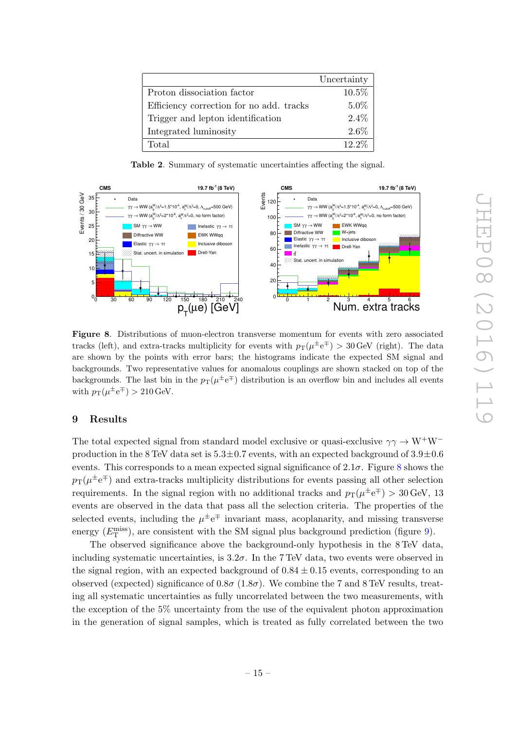|                                          | Uncertainty |
|------------------------------------------|-------------|
| Proton dissociation factor               | 10.5%       |
| Efficiency correction for no add. tracks | $5.0\%$     |
| Trigger and lepton identification        | 2.4%        |
| Integrated luminosity                    | $2.6\%$     |
| Total                                    | 12.2%       |

<span id="page-15-1"></span>Table 2. Summary of systematic uncertainties affecting the signal.



<span id="page-15-2"></span>Figure 8. Distributions of muon-electron transverse momentum for events with zero associated tracks (left), and extra-tracks multiplicity for events with  $p_T(\mu^{\pm}e^{\mp}) > 30 \,\text{GeV}$  (right). The data are shown by the points with error bars; the histograms indicate the expected SM signal and backgrounds. Two representative values for anomalous couplings are shown stacked on top of the backgrounds. The last bin in the  $p_T(\mu^{\pm}e^{\mp})$  distribution is an overflow bin and includes all events with  $p_T(\mu^{\pm}e^{\mp}) > 210 \,\text{GeV}.$ 

## <span id="page-15-0"></span>9 Results

The total expected signal from standard model exclusive or quasi-exclusive  $\gamma \gamma \rightarrow W^{+}W^{-}$ production in the 8 TeV data set is  $5.3\pm0.7$  events, with an expected background of  $3.9\pm0.6$ events. This corresponds to a mean expected signal significance of  $2.1\sigma$ . Figure [8](#page-15-2) shows the  $p_T(\mu^{\pm}e^{\mp})$  and extra-tracks multiplicity distributions for events passing all other selection requirements. In the signal region with no additional tracks and  $p_T(\mu^{\pm}e^{\mp}) > 30$  GeV, 13 events are observed in the data that pass all the selection criteria. The properties of the selected events, including the  $\mu^{\pm}e^{\mp}$  invariant mass, acoplanarity, and missing transverse energy  $(E_{\text{T}}^{\text{miss}})$ , are consistent with the SM signal plus background prediction (figure [9\)](#page-16-1).

The observed significance above the background-only hypothesis in the 8 TeV data, including systematic uncertainties, is  $3.2\sigma$ . In the 7 TeV data, two events were observed in the signal region, with an expected background of  $0.84 \pm 0.15$  events, corresponding to an observed (expected) significance of  $0.8\sigma$  ( $1.8\sigma$ ). We combine the 7 and 8 TeV results, treating all systematic uncertainties as fully uncorrelated between the two measurements, with the exception of the 5% uncertainty from the use of the equivalent photon approximation in the generation of signal samples, which is treated as fully correlated between the two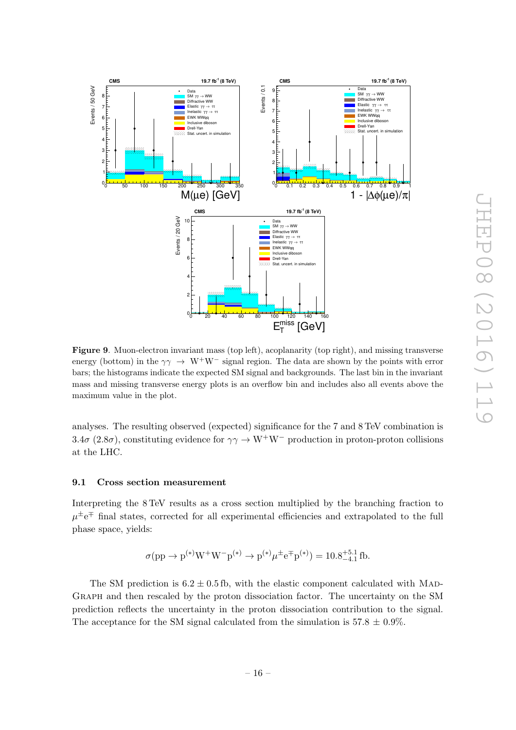

<span id="page-16-1"></span>Figure 9. Muon-electron invariant mass (top left), acoplanarity (top right), and missing transverse energy (bottom) in the  $\gamma\gamma \rightarrow W^+W^-$  signal region. The data are shown by the points with error bars; the histograms indicate the expected SM signal and backgrounds. The last bin in the invariant mass and missing transverse energy plots is an overflow bin and includes also all events above the maximum value in the plot.

analyses. The resulting observed (expected) significance for the 7 and 8 TeV combination is 3.4 $\sigma$  (2.8 $\sigma$ ), constituting evidence for  $\gamma\gamma \to W^+W^-$  production in proton-proton collisions at the LHC.

#### <span id="page-16-0"></span>9.1 Cross section measurement

Interpreting the 8 TeV results as a cross section multiplied by the branching fraction to  $\mu^{\pm}e^{\mp}$  final states, corrected for all experimental efficiencies and extrapolated to the full phase space, yields:

$$
\sigma(pp \to p^{(*)}W^+W^-p^{(*)} \to p^{(*)}\mu^{\pm}e^{\mp}p^{(*)}) = 10.8^{+5.1}_{-4.1} \text{ fb}.
$$

The SM prediction is  $6.2 \pm 0.5$  fb, with the elastic component calculated with MAD-Graph and then rescaled by the proton dissociation factor. The uncertainty on the SM prediction reflects the uncertainty in the proton dissociation contribution to the signal. The acceptance for the SM signal calculated from the simulation is  $57.8 \pm 0.9\%$ .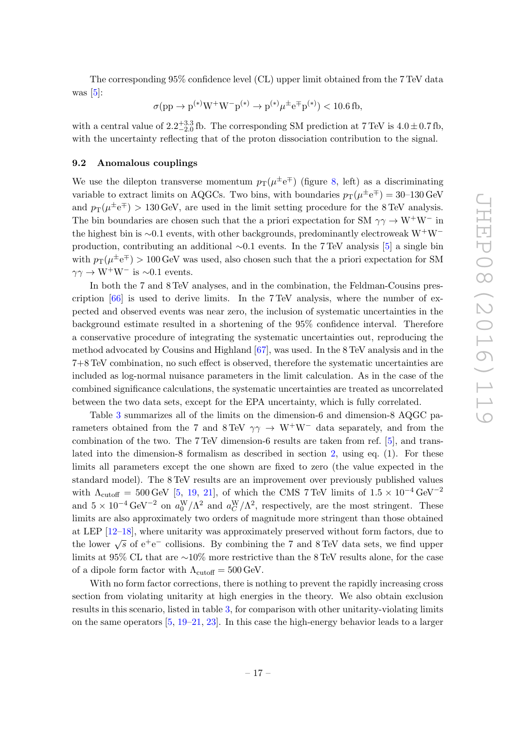The corresponding 95% confidence level (CL) upper limit obtained from the 7 TeV data was  $[5]$ :

$$
\sigma(pp \to p^{(*)}W^+W^-p^{(*)} \to p^{(*)}\mu^{\pm}e^{\mp}p^{(*)}) < 10.6 \,\text{fb},
$$

with a central value of  $2.2^{+3.3}_{-2.0}$  fb. The corresponding SM prediction at 7 TeV is  $4.0 \pm 0.7$  fb, with the uncertainty reflecting that of the proton dissociation contribution to the signal.

#### <span id="page-17-0"></span>9.2 Anomalous couplings

We use the dilepton transverse momentum  $p_T(\mu^{\pm}e^{\mp})$  (figure [8,](#page-15-2) left) as a discriminating variable to extract limits on AQGCs. Two bins, with boundaries  $p_T(\mu^{\pm}e^{\mp}) = 30$ –130 GeV and  $p_T(\mu^{\pm}e^{\mp}) > 130 \,\text{GeV}$ , are used in the limit setting procedure for the 8 TeV analysis. The bin boundaries are chosen such that the a priori expectation for SM  $\gamma\gamma \to W^+W^-$  in the highest bin is ∼0.1 events, with other backgrounds, predominantly electroweak W+W<sup>−</sup> production, contributing an additional ∼0.1 events. In the 7 TeV analysis [\[5\]](#page-21-4) a single bin with  $p_T(\mu^{\pm}e^{\mp}) > 100 \,\text{GeV}$  was used, also chosen such that the a priori expectation for SM  $\gamma\gamma \to W^+W^-$  is ~0.1 events.

In both the 7 and 8 TeV analyses, and in the combination, the Feldman-Cousins prescription  $[66]$  is used to derive limits. In the 7 TeV analysis, where the number of expected and observed events was near zero, the inclusion of systematic uncertainties in the background estimate resulted in a shortening of the 95% confidence interval. Therefore a conservative procedure of integrating the systematic uncertainties out, reproducing the method advocated by Cousins and Highland [\[67\]](#page-25-2), was used. In the 8 TeV analysis and in the 7+8 TeV combination, no such effect is observed, therefore the systematic uncertainties are included as log-normal nuisance parameters in the limit calculation. As in the case of the combined significance calculations, the systematic uncertainties are treated as uncorrelated between the two data sets, except for the EPA uncertainty, which is fully correlated.

Table [3](#page-18-1) summarizes all of the limits on the dimension-6 and dimension-8 AQGC parameters obtained from the 7 and 8 TeV  $\gamma\gamma \rightarrow W^+W^-$  data separately, and from the combination of the two. The 7 TeV dimension-6 results are taken from ref. [\[5\]](#page-21-4), and translated into the dimension-8 formalism as described in section [2,](#page-3-0) using eq. (1). For these limits all parameters except the one shown are fixed to zero (the value expected in the standard model). The 8 TeV results are an improvement over previously published values with  $\Lambda_{\text{cutoff}} = 500 \,\text{GeV}$  [\[5,](#page-21-4) [19,](#page-22-1) [21\]](#page-22-3), of which the CMS 7 TeV limits of  $1.5 \times 10^{-4} \,\text{GeV}^{-2}$ and  $5 \times 10^{-4} \text{ GeV}^{-2}$  on  $a_0^W/\Lambda^2$  and  $a_C^W/\Lambda^2$ , respectively, are the most stringent. These limits are also approximately two orders of magnitude more stringent than those obtained at LEP [\[12–](#page-21-11)[18\]](#page-22-0), where unitarity was approximately preserved without form factors, due to the lower  $\sqrt{s}$  of  $e^+e^-$  collisions. By combining the 7 and 8 TeV data sets, we find upper limits at 95% CL that are ∼10% more restrictive than the 8 TeV results alone, for the case of a dipole form factor with  $\Lambda_{\text{cutoff}} = 500 \,\text{GeV}$ .

With no form factor corrections, there is nothing to prevent the rapidly increasing cross section from violating unitarity at high energies in the theory. We also obtain exclusion results in this scenario, listed in table [3,](#page-18-1) for comparison with other unitarity-violating limits on the same operators  $[5, 19-21, 23]$  $[5, 19-21, 23]$  $[5, 19-21, 23]$  $[5, 19-21, 23]$  $[5, 19-21, 23]$ . In this case the high-energy behavior leads to a larger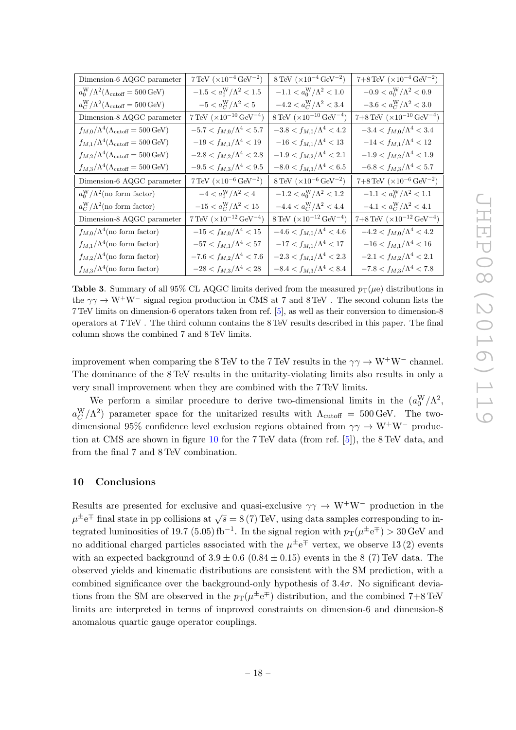| Dimension-6 AQGC parameter                                    | 7 TeV $(\times 10^{-4} \,\text{GeV}^{-2})$             | $8 \,\text{TeV}$ ( $\times 10^{-4} \,\text{GeV}^{-2}$ ) | 7+8 TeV $(\times 10^{-4} \,\text{GeV}^{-2})$            |
|---------------------------------------------------------------|--------------------------------------------------------|---------------------------------------------------------|---------------------------------------------------------|
| $a_0^W/\Lambda^2(\Lambda_{\text{cutoff}} = 500 \,\text{GeV})$ | $-1.5 < a_0^{\rm W}/\Lambda^2 < 1.5$                   | $-1.1 < a_0^{\rm W}/\Lambda^2 < 1.0$                    | $-0.9 < a_0^{\rm W}/\Lambda^2 < 0.9$                    |
| $a_C^{\rm W}/\Lambda^2(\Lambda_{\rm cutoff}=500\,\text{GeV})$ | $-5 < a_C^{\rm W}/\Lambda^2 < 5$                       | $-4.2 < a_C^{\rm W}/\Lambda^2 < 3.4$                    | $-3.6 < a_C^{\rm W}/\Lambda^2 < 3.0$                    |
| Dimension-8 AQGC parameter                                    | $7 \,\text{TeV}$ $(\times 10^{-10} \,\text{GeV}^{-4})$ | 8 TeV $(\times 10^{-10} \,\text{GeV}^{-4})$             | 7+8 TeV $(\times 10^{-10} \,\text{GeV}^{-4})$           |
| $f_{M,0}/\Lambda^4(\Lambda_{\rm cutoff}=500\,\text{GeV})$     | $-5.7 < f_{M,0}/\Lambda^4 < 5.7$                       | $-3.8 < f_{M,0}/\Lambda^4 < 4.2$                        | $-3.4 < f_{M,0}/\Lambda^4 < 3.4$                        |
| $f_{M,1}/\Lambda^4(\Lambda_{\rm cutoff}=500\,\text{GeV})$     | $-19 < f_{M,1}/\Lambda^4 < 19$                         | $-16 < f_{M,1}/\Lambda^4 < 13$                          | $-14 < f_{M,1}/\Lambda^4 < 12$                          |
| $f_{M,2}/\Lambda^4(\Lambda_{\rm cutoff}=500\,\text{GeV})$     | $-2.8 < f_{M,2}/\Lambda^4 < 2.8$                       | $-1.9 < f_{M,2}/\Lambda^4 < 2.1$                        | $-1.9 < f_{M,2}/\Lambda^4 < 1.9$                        |
| $f_{M,3}/\Lambda^4(\Lambda_{\rm cutoff}=500\,\text{GeV})$     | $-9.5 < f_{M,3}/\Lambda^4 < 9.5$                       | $-8.0 < f_{M,3}/\Lambda^4 < 6.5$                        | $-6.8 < f_{M,3}/\Lambda^4 < 5.7$                        |
| Dimension-6 AQGC parameter                                    | $7 \,\mathrm{TeV}~(\times 10^{-6}\,\mathrm{GeV}^{-2})$ | $8 \,\text{TeV}$ $(\times 10^{-6} \,\text{GeV}^{-2})$   | $7+8 \,\text{TeV}$ $(\times 10^{-6} \,\text{GeV}^{-2})$ |
| $a_0^W/\Lambda^2$ (no form factor)                            | $-4 < a_0^{\rm W}/\Lambda^2 < 4$                       | $-1.2 < a_0^{\rm W}/\Lambda^2 < 1.2$                    | $-1.1 < a_0^{\rm W}/\Lambda^2 < 1.1$                    |
| $a_C^{\rm W}/\Lambda^2$ (no form factor)                      | $-15 < a_C^{\rm W}/\Lambda^2 < 15$                     | $-4.4 < a_C^{\rm W}/\Lambda^2 < 4.4$                    | $-4.1 < a_C^{\rm W}/\Lambda^2 < 4.1$                    |
| Dimension-8 AQGC parameter                                    | $7 \,\text{TeV}$ $(\times 10^{-12} \,\text{GeV}^{-4})$ | 8 TeV $(\times 10^{-12} \text{ GeV}^{-4})$              | 7+8 TeV $(\times 10^{-12} \,\text{GeV}^{-4})$           |
| $f_{M,0}/\Lambda^4$ (no form factor)                          | $-15 < f_{M,0}/\Lambda^4 < 15$                         | $-4.6 < f_{M,0}/\Lambda^4 < 4.6$                        | $-4.2 < f_{M,0}/\Lambda^4 < 4.2$                        |
| $f_{M,1}/\Lambda^4$ (no form factor)                          | $-57 < f_{M,1}/\Lambda^4 < 57$                         | $-17 < f_{M,1}/\Lambda^4 < 17$                          | $-16 < f_{M,1}/\Lambda^4 < 16$                          |
| $f_{M,2}/\Lambda^4$ (no form factor)                          | $-7.6 < f_{M,2}/\Lambda^4 < 7.6$                       | $-2.3 < f_{M,2}/\Lambda^4 < 2.3$                        | $-2.1 < f_{M,2}/\Lambda^4 < 2.1$                        |
| $f_{M,3}/\Lambda^4$ (no form factor)                          | $-28 < f_{M,3}/\Lambda^4 < 28$                         | $-8.4 < f_{M,3}/\Lambda^4 < 8.4$                        | $-7.8 < f_{M,3}/\Lambda^4 < 7.8$                        |

<span id="page-18-1"></span>**Table 3.** Summary of all 95% CL AQGC limits derived from the measured  $p_T(\mu e)$  distributions in the  $\gamma\gamma \to W^+W^-$  signal region production in CMS at 7 and 8 TeV. The second column lists the 7 TeV limits on dimension-6 operators taken from ref. [\[5\]](#page-21-4), as well as their conversion to dimension-8 operators at 7 TeV . The third column contains the 8 TeV results described in this paper. The final column shows the combined 7 and 8 TeV limits.

improvement when comparing the 8 TeV to the 7 TeV results in the  $\gamma\gamma \to W^+W^-$  channel. The dominance of the 8 TeV results in the unitarity-violating limits also results in only a very small improvement when they are combined with the 7 TeV limits.

We perform a similar procedure to derive two-dimensional limits in the  $(a_0^W/\Lambda^2,$  $a_C^{\rm W}/\Lambda^2$ ) parameter space for the unitarized results with  $\Lambda_{\rm cutoff} = 500$  GeV. The twodimensional 95% confidence level exclusion regions obtained from  $\gamma\gamma \to W^+W^-$  production at CMS are shown in figure [10](#page-19-0) for the 7 TeV data (from ref. [\[5\]](#page-21-4)), the 8 TeV data, and from the final 7 and 8 TeV combination.

## <span id="page-18-0"></span>10 Conclusions

Results are presented for exclusive and quasi-exclusive  $\gamma\gamma \rightarrow W^+W^-$  production in the  $\mu^{\pm}e^{\mp}$  final state in pp collisions at  $\sqrt{s} = 8(7)$  TeV, using data samples corresponding to integrated luminosities of 19.7 (5.05) fb<sup>-1</sup>. In the signal region with  $p_T(\mu^{\pm}e^{\mp}) > 30$  GeV and no additional charged particles associated with the  $\mu^{\pm}e^{\mp}$  vertex, we observe 13(2) events with an expected background of  $3.9 \pm 0.6$  (0.84  $\pm$  0.15) events in the 8 (7) TeV data. The observed yields and kinematic distributions are consistent with the SM prediction, with a combined significance over the background-only hypothesis of  $3.4\sigma$ . No significant deviations from the SM are observed in the  $p_T(\mu^{\pm}e^{\mp})$  distribution, and the combined 7+8 TeV limits are interpreted in terms of improved constraints on dimension-6 and dimension-8 anomalous quartic gauge operator couplings.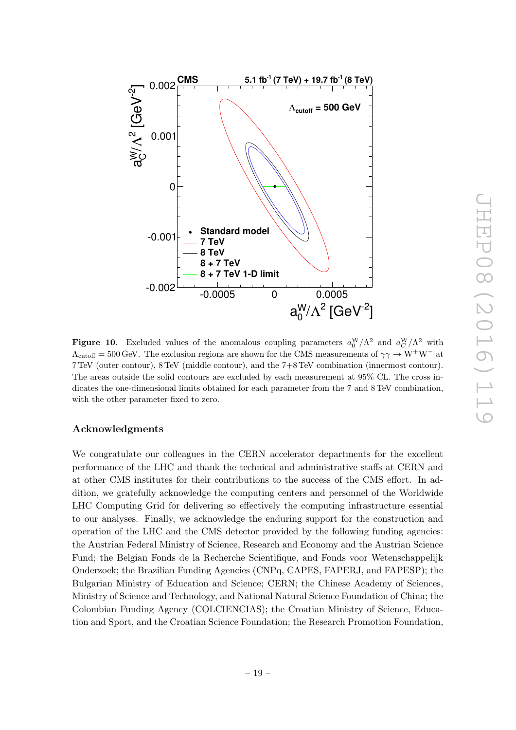

<span id="page-19-0"></span>Figure 10. Excluded values of the anomalous coupling parameters  $a_0^W/\Lambda^2$  and  $a_C^W/\Lambda^2$  with  $\Lambda_{\text{cutoff}} = 500 \,\text{GeV}$ . The exclusion regions are shown for the CMS measurements of  $\gamma \gamma \to W^+W^-$  at 7 TeV (outer contour), 8 TeV (middle contour), and the 7+8 TeV combination (innermost contour). The areas outside the solid contours are excluded by each measurement at 95% CL. The cross indicates the one-dimensional limits obtained for each parameter from the 7 and 8 TeV combination, with the other parameter fixed to zero.

## Acknowledgments

We congratulate our colleagues in the CERN accelerator departments for the excellent performance of the LHC and thank the technical and administrative staffs at CERN and at other CMS institutes for their contributions to the success of the CMS effort. In addition, we gratefully acknowledge the computing centers and personnel of the Worldwide LHC Computing Grid for delivering so effectively the computing infrastructure essential to our analyses. Finally, we acknowledge the enduring support for the construction and operation of the LHC and the CMS detector provided by the following funding agencies: the Austrian Federal Ministry of Science, Research and Economy and the Austrian Science Fund; the Belgian Fonds de la Recherche Scientifique, and Fonds voor Wetenschappelijk Onderzoek; the Brazilian Funding Agencies (CNPq, CAPES, FAPERJ, and FAPESP); the Bulgarian Ministry of Education and Science; CERN; the Chinese Academy of Sciences, Ministry of Science and Technology, and National Natural Science Foundation of China; the Colombian Funding Agency (COLCIENCIAS); the Croatian Ministry of Science, Education and Sport, and the Croatian Science Foundation; the Research Promotion Foundation,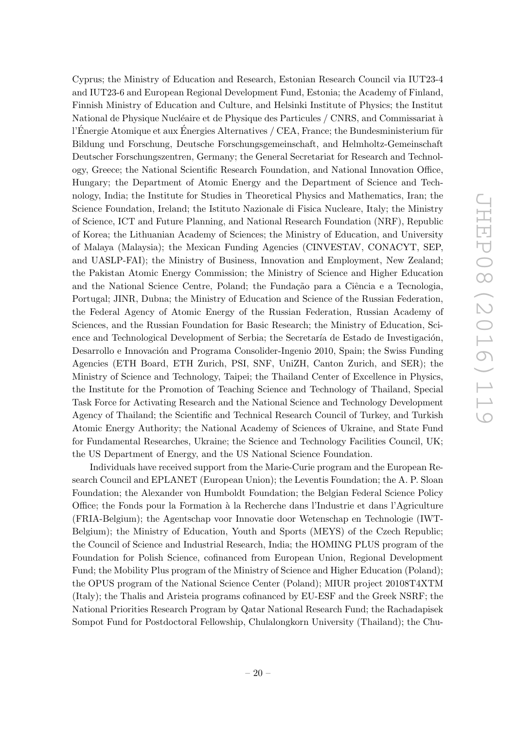Cyprus; the Ministry of Education and Research, Estonian Research Council via IUT23-4 and IUT23-6 and European Regional Development Fund, Estonia; the Academy of Finland, Finnish Ministry of Education and Culture, and Helsinki Institute of Physics; the Institut National de Physique Nucléaire et de Physique des Particules / CNRS, and Commissariat à l'Energie Atomique et aux Energies Alternatives / CEA, France; the Bundesministerium für Bildung und Forschung, Deutsche Forschungsgemeinschaft, and Helmholtz-Gemeinschaft Deutscher Forschungszentren, Germany; the General Secretariat for Research and Technology, Greece; the National Scientific Research Foundation, and National Innovation Office, Hungary; the Department of Atomic Energy and the Department of Science and Technology, India; the Institute for Studies in Theoretical Physics and Mathematics, Iran; the Science Foundation, Ireland; the Istituto Nazionale di Fisica Nucleare, Italy; the Ministry of Science, ICT and Future Planning, and National Research Foundation (NRF), Republic of Korea; the Lithuanian Academy of Sciences; the Ministry of Education, and University of Malaya (Malaysia); the Mexican Funding Agencies (CINVESTAV, CONACYT, SEP, and UASLP-FAI); the Ministry of Business, Innovation and Employment, New Zealand; the Pakistan Atomic Energy Commission; the Ministry of Science and Higher Education and the National Science Centre, Poland; the Fundação para a Ciência e a Tecnologia, Portugal; JINR, Dubna; the Ministry of Education and Science of the Russian Federation, the Federal Agency of Atomic Energy of the Russian Federation, Russian Academy of Sciences, and the Russian Foundation for Basic Research; the Ministry of Education, Science and Technological Development of Serbia; the Secretaría de Estado de Investigación, Desarrollo e Innovación and Programa Consolider-Ingenio 2010, Spain; the Swiss Funding Agencies (ETH Board, ETH Zurich, PSI, SNF, UniZH, Canton Zurich, and SER); the Ministry of Science and Technology, Taipei; the Thailand Center of Excellence in Physics, the Institute for the Promotion of Teaching Science and Technology of Thailand, Special Task Force for Activating Research and the National Science and Technology Development Agency of Thailand; the Scientific and Technical Research Council of Turkey, and Turkish Atomic Energy Authority; the National Academy of Sciences of Ukraine, and State Fund for Fundamental Researches, Ukraine; the Science and Technology Facilities Council, UK; the US Department of Energy, and the US National Science Foundation.

Individuals have received support from the Marie-Curie program and the European Research Council and EPLANET (European Union); the Leventis Foundation; the A. P. Sloan Foundation; the Alexander von Humboldt Foundation; the Belgian Federal Science Policy Office; the Fonds pour la Formation `a la Recherche dans l'Industrie et dans l'Agriculture (FRIA-Belgium); the Agentschap voor Innovatie door Wetenschap en Technologie (IWT-Belgium); the Ministry of Education, Youth and Sports (MEYS) of the Czech Republic; the Council of Science and Industrial Research, India; the HOMING PLUS program of the Foundation for Polish Science, cofinanced from European Union, Regional Development Fund; the Mobility Plus program of the Ministry of Science and Higher Education (Poland); the OPUS program of the National Science Center (Poland); MIUR project 20108T4XTM (Italy); the Thalis and Aristeia programs cofinanced by EU-ESF and the Greek NSRF; the National Priorities Research Program by Qatar National Research Fund; the Rachadapisek Sompot Fund for Postdoctoral Fellowship, Chulalongkorn University (Thailand); the Chu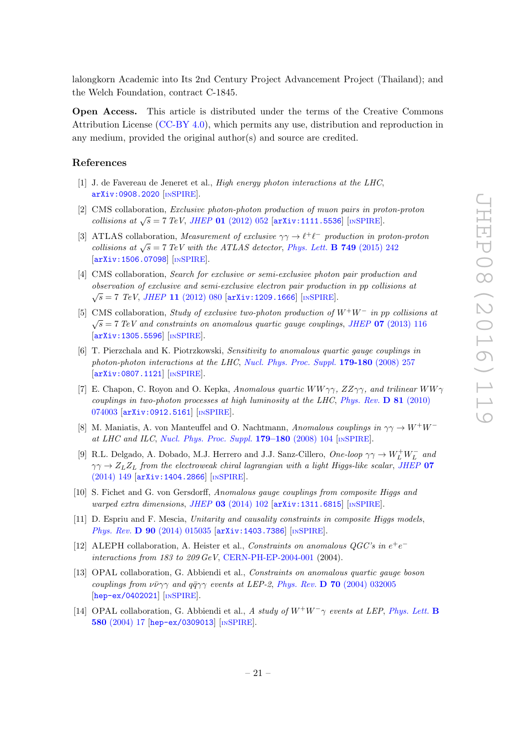lalongkorn Academic into Its 2nd Century Project Advancement Project (Thailand); and the Welch Foundation, contract C-1845.

Open Access. This article is distributed under the terms of the Creative Commons Attribution License [\(CC-BY 4.0\)](http://creativecommons.org/licenses/by/4.0/), which permits any use, distribution and reproduction in any medium, provided the original author(s) and source are credited.

## References

- <span id="page-21-0"></span>[1] J. de Favereau de Jeneret et al., High energy photon interactions at the LHC, [arXiv:0908.2020](http://arxiv.org/abs/0908.2020) [IN[SPIRE](http://inspirehep.net/search?p=find+EPRINT+arXiv:0908.2020)].
- <span id="page-21-1"></span>[2] CMS collaboration, Exclusive photon-photon production of muon pairs in proton-proton collisions at  $\sqrt{s}$  = 7 TeV, JHEP 01 [\(2012\) 052](http://dx.doi.org/10.1007/JHEP01(2012)052) [[arXiv:1111.5536](http://arxiv.org/abs/1111.5536)] [IN[SPIRE](http://inspirehep.net/search?p=find+EPRINT+arXiv:1111.5536)].
- <span id="page-21-2"></span>[3] ATLAS collaboration, Measurement of exclusive  $\gamma \gamma \to \ell^+ \ell^-$  production in proton-proton collisions at  $\sqrt{s} = 7$  TeV with the ATLAS detector, [Phys. Lett.](http://dx.doi.org/10.1016/j.physletb.2015.07.069) **B 749** (2015) 242 [[arXiv:1506.07098](http://arxiv.org/abs/1506.07098)] [IN[SPIRE](http://inspirehep.net/search?p=find+EPRINT+arXiv:1506.07098)].
- <span id="page-21-3"></span>[4] CMS collaboration, Search for exclusive or semi-exclusive photon pair production and observation of exclusive and semi-exclusive electron pair production in pp collisions at  $\sqrt{7}$   $\approx$   $\frac{7}{3}$  M, HHD 11 (2012) 200 m, 1200 1200 [  $\approx$  1707]  $\sqrt{s} = 7$  TeV, JHEP 11 [\(2012\) 080](http://dx.doi.org/10.1007/JHEP11(2012)080) [[arXiv:1209.1666](http://arxiv.org/abs/1209.1666)] [IN[SPIRE](http://inspirehep.net/search?p=find+EPRINT+arXiv:1209.1666)].
- <span id="page-21-4"></span>[5] CMS collaboration, *Study of exclusive two-photon production of*  $W^+W^-$  in pp collisions at  $\sqrt{s}$  = 7 TeV and constraints on anomalous quartic gauge couplings, JHEP 07 [\(2013\) 116](http://dx.doi.org/10.1007/JHEP07(2013)116) [[arXiv:1305.5596](http://arxiv.org/abs/1305.5596)] [IN[SPIRE](http://inspirehep.net/search?p=find+EPRINT+arXiv:1305.5596)].
- <span id="page-21-5"></span>[6] T. Pierzchala and K. Piotrzkowski, Sensitivity to anomalous quartic gauge couplings in photon-photon interactions at the LHC, [Nucl. Phys. Proc. Suppl.](http://dx.doi.org/10.1016/j.nuclphysBPS.2008.07.032) 179-180 (2008) 257 [[arXiv:0807.1121](http://arxiv.org/abs/0807.1121)] [IN[SPIRE](http://inspirehep.net/search?p=find+EPRINT+arXiv:0807.1121)].
- <span id="page-21-6"></span>[7] E. Chapon, C. Royon and O. Kepka, Anomalous quartic  $WW\gamma\gamma$ ,  $ZZ\gamma\gamma$ , and trilinear  $WW\gamma$ couplings in two-photon processes at high luminosity at the LHC, [Phys. Rev.](http://dx.doi.org/10.1103/PhysRevD.81.074003)  $\bf{D} 81$  (2010) [074003](http://dx.doi.org/10.1103/PhysRevD.81.074003) [[arXiv:0912.5161](http://arxiv.org/abs/0912.5161)] [IN[SPIRE](http://inspirehep.net/search?p=find+EPRINT+arXiv:0912.5161)].
- <span id="page-21-7"></span>[8] M. Maniatis, A. von Manteuffel and O. Nachtmann, Anomalous couplings in  $\gamma \gamma \to W^+W^-$ at LHC and ILC, [Nucl. Phys. Proc. Suppl.](http://dx.doi.org/10.1016/j.nuclphysBPS.2008.07.012)  $179-180$  (2008) 104 [IN[SPIRE](http://inspirehep.net/search?p=find+%22Nucl.Phys.Proc.Suppl.,179,104%22)].
- <span id="page-21-8"></span>[9] R.L. Delgado, A. Dobado, M.J. Herrero and J.J. Sanz-Cillero,  $One-loop \gamma \gamma \rightarrow W_L^+ W_L^-$  and  $\gamma\gamma \rightarrow Z_L Z_L$  from the electroweak chiral lagrangian with a light Higgs-like scalar, [JHEP](http://dx.doi.org/10.1007/JHEP07(2014)149) 07 [\(2014\) 149](http://dx.doi.org/10.1007/JHEP07(2014)149) [[arXiv:1404.2866](http://arxiv.org/abs/1404.2866)] [IN[SPIRE](http://inspirehep.net/search?p=find+EPRINT+arXiv:1404.2866)].
- <span id="page-21-10"></span>[10] S. Fichet and G. von Gersdorff, Anomalous gauge couplings from composite Higgs and warped extra dimensions, JHEP  $03$  [\(2014\) 102](http://dx.doi.org/10.1007/JHEP03(2014)102)  $\text{arXiv:1311.6815}$  $\text{arXiv:1311.6815}$  $\text{arXiv:1311.6815}$  [IN[SPIRE](http://inspirehep.net/search?p=find+EPRINT+arXiv:1311.6815)].
- <span id="page-21-9"></span>[11] D. Espriu and F. Mescia, Unitarity and causality constraints in composite Higgs models, Phys. Rev. **D 90** [\(2014\) 015035](http://dx.doi.org/10.1103/PhysRevD.90.015035) [[arXiv:1403.7386](http://arxiv.org/abs/1403.7386)] [IN[SPIRE](http://inspirehep.net/search?p=find+EPRINT+arXiv:1403.7386)].
- <span id="page-21-11"></span>[12] ALEPH collaboration, A. Heister et al., Constraints on anomalous  $QGC's$  in  $e^+e^$ interactions from 183 to 209 GeV, [CERN-PH-EP-2004-001](http://cds.cern.ch/record/705799) (2004).
- [13] OPAL collaboration, G. Abbiendi et al., Constraints on anomalous quartic gauge boson couplings from  $\nu\bar{\nu}\gamma\gamma$  and  $q\bar{q}\gamma\gamma$  events at LEP-2, Phys. Rev. **D** 70 [\(2004\) 032005](http://dx.doi.org/10.1103/PhysRevD.70.032005) [[hep-ex/0402021](http://arxiv.org/abs/hep-ex/0402021)] [IN[SPIRE](http://inspirehep.net/search?p=find+EPRINT+hep-ex/0402021)].
- [14] OPAL collaboration, G. Abbiendi et al., A study of  $W^+W^-\gamma$  events at LEP, [Phys. Lett.](http://dx.doi.org/10.1016/j.physletb.2003.10.063) B 580 [\(2004\) 17](http://dx.doi.org/10.1016/j.physletb.2003.10.063) [[hep-ex/0309013](http://arxiv.org/abs/hep-ex/0309013)] [IN[SPIRE](http://inspirehep.net/search?p=find+EPRINT+hep-ex/0309013)].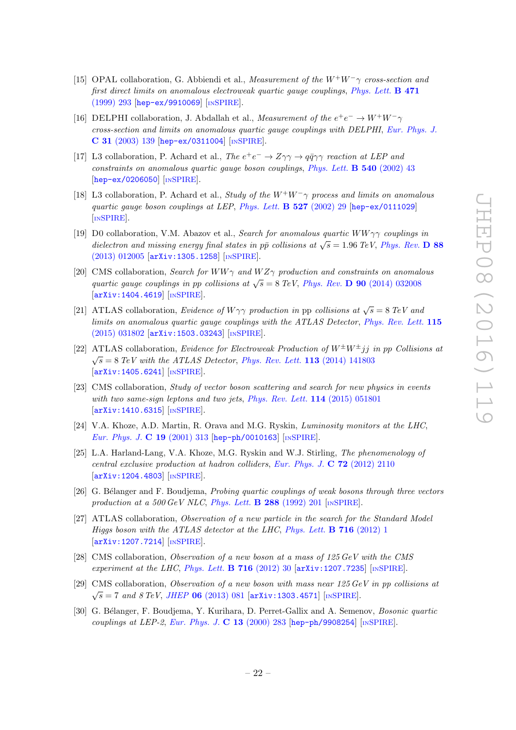- [15] OPAL collaboration, G. Abbiendi et al., Measurement of the  $W^+W^-\gamma$  cross-section and first direct limits on anomalous electroweak quartic gauge couplings, [Phys. Lett.](http://dx.doi.org/10.1016/S0370-2693(99)01357-X) B 471 [\(1999\) 293](http://dx.doi.org/10.1016/S0370-2693(99)01357-X) [[hep-ex/9910069](http://arxiv.org/abs/hep-ex/9910069)] [IN[SPIRE](http://inspirehep.net/search?p=find+EPRINT+hep-ex/9910069)].
- [16] DELPHI collaboration, J. Abdallah et al., Measurement of the  $e^+e^- \rightarrow W^+W^-\gamma$ cross-section and limits on anomalous quartic gauge couplings with DELPHI, [Eur. Phys. J.](http://dx.doi.org/10.1140/epjc/s2003-01350-x) C 31 [\(2003\) 139](http://dx.doi.org/10.1140/epjc/s2003-01350-x) [[hep-ex/0311004](http://arxiv.org/abs/hep-ex/0311004)] [IN[SPIRE](http://inspirehep.net/search?p=find+EPRINT+hep-ex/0311004)].
- [17] L3 collaboration, P. Achard et al., The  $e^+e^- \rightarrow Z\gamma\gamma \rightarrow q\bar{q}\gamma\gamma$  reaction at LEP and  $constraints on anomalous quartic gauge boson couplings, Phys. Lett. **B** 540 (2002) 43$  $constraints on anomalous quartic gauge boson couplings, Phys. Lett. **B** 540 (2002) 43$  $constraints on anomalous quartic gauge boson couplings, Phys. Lett. **B** 540 (2002) 43$ [[hep-ex/0206050](http://arxiv.org/abs/hep-ex/0206050)] [IN[SPIRE](http://inspirehep.net/search?p=find+EPRINT+hep-ex/0206050)].
- <span id="page-22-0"></span>[18] L3 collaboration, P. Achard et al., Study of the  $W^+W^-\gamma$  process and limits on anomalous quartic gauge boson couplings at LEP, [Phys. Lett.](http://dx.doi.org/10.1016/S0370-2693(02)01167-X)  $\bf{B}$  527 (2002) 29 [[hep-ex/0111029](http://arxiv.org/abs/hep-ex/0111029)] [IN[SPIRE](http://inspirehep.net/search?p=find+EPRINT+hep-ex/0111029)].
- <span id="page-22-1"></span>[19] D0 collaboration, V.M. Abazov et al., Search for anomalous quartic  $WW\gamma\gamma$  couplings in  $\omega$  commonlines,  $\sqrt{s}$ ,  $\omega$ ,  $\omega$ ,  $\omega$ ,  $\omega$ ,  $\omega$ ,  $\omega$ ,  $\omega$ ,  $\omega$ ,  $\omega$ ,  $\omega$ ,  $\omega$ ,  $\omega$ ,  $\omega$ ,  $\omega$ ,  $\omega$ ,  $\omega$ ,  $\omega$ ,  $\omega$ ,  $\omega$ ,  $\omega$ ,  $\omega$ ,  $\omega$ ,  $\omega$ ,  $\omega$ ,  $\omega$ ,  $\omega$ ,  $\omega$ ,  $\omega$ ,  $\omega$ ,  $\omega$ ,  $\omega$ ,  $\omega$ ,  $\omega$ [\(2013\) 012005](http://dx.doi.org/10.1103/PhysRevD.88.012005) [[arXiv:1305.1258](http://arxiv.org/abs/1305.1258)] [IN[SPIRE](http://inspirehep.net/search?p=find+EPRINT+arXiv:1305.1258)].
- <span id="page-22-2"></span>[20] CMS collaboration, Search for  $WW\gamma$  and  $WZ\gamma$  production and constraints on anomalous quartic gauge couplings in pp collisions at  $\sqrt{s} = 8 \text{ TeV}$ , Phys. Rev. **D** 90 [\(2014\) 032008](http://dx.doi.org/10.1103/PhysRevD.90.032008) [[arXiv:1404.4619](http://arxiv.org/abs/1404.4619)] [IN[SPIRE](http://inspirehep.net/search?p=find+EPRINT+arXiv:1404.4619)].
- <span id="page-22-3"></span>[21] ATLAS collaboration, Evidence of  $W\gamma\gamma$  production in pp collisions at  $\sqrt{s} = 8 \text{ TeV}$  and limits on anomalous quartic gauge couplings with the ATLAS Detector, [Phys. Rev. Lett.](http://dx.doi.org/10.1103/PhysRevLett.115.031802) 115 [\(2015\) 031802](http://dx.doi.org/10.1103/PhysRevLett.115.031802) [[arXiv:1503.03243](http://arxiv.org/abs/1503.03243)] [IN[SPIRE](http://inspirehep.net/search?p=find+EPRINT+arXiv:1503.03243)].
- <span id="page-22-4"></span>[22] ATLAS collaboration, Evidence for Electroweak Production of  $W^{\pm}W^{\pm}jj$  in pp Collisions at  $\sqrt{s} = 8 \text{ TeV}$  with the ATLAS Detector, [Phys. Rev. Lett.](http://dx.doi.org/10.1103/PhysRevLett.113.141803) 113 (2014) 141803  $\left[$ [arXiv:1405.6241](http://arxiv.org/abs/1405.6241) $\right]$  $\left[$ IN[SPIRE](http://inspirehep.net/search?p=find+EPRINT+arXiv:1405.6241) $\right]$ .
- <span id="page-22-5"></span>[23] CMS collaboration, Study of vector boson scattering and search for new physics in events with two same-sign leptons and two jets, [Phys. Rev. Lett.](http://dx.doi.org/10.1103/PhysRevLett.114.051801)  $114$  (2015) 051801 [[arXiv:1410.6315](http://arxiv.org/abs/1410.6315)] [IN[SPIRE](http://inspirehep.net/search?p=find+EPRINT+arXiv:1410.6315)].
- <span id="page-22-6"></span>[24] V.A. Khoze, A.D. Martin, R. Orava and M.G. Ryskin, *Luminosity monitors at the LHC*, [Eur. Phys. J.](http://dx.doi.org/10.1007/s100520100616) C 19 (2001) 313 [[hep-ph/0010163](http://arxiv.org/abs/hep-ph/0010163)] [IN[SPIRE](http://inspirehep.net/search?p=find+EPRINT+hep-ph/0010163)].
- <span id="page-22-7"></span>[25] L.A. Harland-Lang, V.A. Khoze, M.G. Ryskin and W.J. Stirling, The phenomenology of central exclusive production at hadron colliders, [Eur. Phys. J.](http://dx.doi.org/10.1140/epjc/s10052-012-2110-2)  $\bf{C}$  72 (2012) 2110 [[arXiv:1204.4803](http://arxiv.org/abs/1204.4803)] [IN[SPIRE](http://inspirehep.net/search?p=find+EPRINT+arXiv:1204.4803)].
- <span id="page-22-8"></span>[26] G. Bélanger and F. Boudiema, *Probing quartic couplings of weak bosons through three vectors* production at a 500 GeV NLC, [Phys. Lett.](http://dx.doi.org/10.1016/0370-2693(92)91978-I) **B 288** (1992) 201 [IN[SPIRE](http://inspirehep.net/search?p=find+J+%22Phys.Lett.,B288,201%22)].
- <span id="page-22-9"></span>[27] ATLAS collaboration, Observation of a new particle in the search for the Standard Model Higgs boson with the ATLAS detector at the LHC, [Phys. Lett.](http://dx.doi.org/10.1016/j.physletb.2012.08.020) **B** 716 (2012) 1 [[arXiv:1207.7214](http://arxiv.org/abs/1207.7214)] [IN[SPIRE](http://inspirehep.net/search?p=find+EPRINT+arXiv:1207.7214)].
- [28] CMS collaboration, Observation of a new boson at a mass of 125 GeV with the CMS experiment at the LHC, [Phys. Lett.](http://dx.doi.org/10.1016/j.physletb.2012.08.021) **B** 716 (2012) 30  $\left[\text{arXiv:1207.7235}\right]$  $\left[\text{arXiv:1207.7235}\right]$  $\left[\text{arXiv:1207.7235}\right]$   $\left[\text{nsPIRE}\right]$ .
- <span id="page-22-10"></span>[29] CMS collaboration, Observation of a new boson with mass near  $125 \text{ GeV}$  in pp collisions at  $\sqrt{s}$  = 7 and 8 TeV, JHEP 06 [\(2013\) 081](http://dx.doi.org/10.1007/JHEP06(2013)081) [[arXiv:1303.4571](http://arxiv.org/abs/1303.4571)] [IN[SPIRE](http://inspirehep.net/search?p=find+EPRINT+arXiv:1303.4571)].
- <span id="page-22-11"></span>[30] G. Bélanger, F. Boudjema, Y. Kurihara, D. Perret-Gallix and A. Semenov, Bosonic quartic couplings at LEP-2, [Eur. Phys. J.](http://dx.doi.org/10.1007/s100520000305) C 13 (2000) 283  $[hep-ph/9908254]$  $[hep-ph/9908254]$  $[hep-ph/9908254]$  [IN[SPIRE](http://inspirehep.net/search?p=find+EPRINT+hep-ph/9908254)].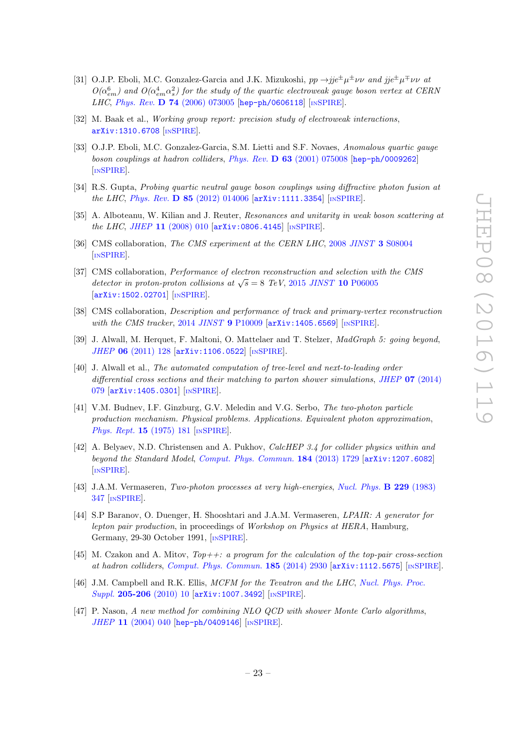- [31] O.J.P. Eboli, M.C. Gonzalez-Garcia and J.K. Mizukoshi,  $pp \rightarrow jje^{\pm} \mu^{\pm} \nu \nu$  and  $jje^{\pm} \mu^{\mp} \nu \nu$  at  $O(\alpha_{em}^6)$  and  $O(\alpha_{em}^4 \alpha_s^2)$  for the study of the quartic electroweak gauge boson vertex at CERN LHC, Phys. Rev. D 74 [\(2006\) 073005](http://dx.doi.org/10.1103/PhysRevD.74.073005) [[hep-ph/0606118](http://arxiv.org/abs/hep-ph/0606118)] [IN[SPIRE](http://inspirehep.net/search?p=find+EPRINT+hep-ph/0606118)].
- <span id="page-23-0"></span>[32] M. Baak et al., Working group report: precision study of electroweak interactions, [arXiv:1310.6708](http://arxiv.org/abs/1310.6708) [IN[SPIRE](http://inspirehep.net/search?p=find+EPRINT+arXiv:1310.6708)].
- <span id="page-23-1"></span>[33] O.J.P. Eboli, M.C. Gonzalez-Garcia, S.M. Lietti and S.F. Novaes, Anomalous quartic gauge boson couplings at hadron colliders, Phys. Rev. D 63 [\(2001\) 075008](http://dx.doi.org/10.1103/PhysRevD.63.075008) [[hep-ph/0009262](http://arxiv.org/abs/hep-ph/0009262)] [IN[SPIRE](http://inspirehep.net/search?p=find+EPRINT+hep-ph/0009262)].
- [34] R.S. Gupta, Probing quartic neutral gauge boson couplings using diffractive photon fusion at the LHC, Phys. Rev. D 85 [\(2012\) 014006](http://dx.doi.org/10.1103/PhysRevD.85.014006) [[arXiv:1111.3354](http://arxiv.org/abs/1111.3354)] [IN[SPIRE](http://inspirehep.net/search?p=find+EPRINT+arXiv:1111.3354)].
- <span id="page-23-2"></span>[35] A. Alboteanu, W. Kilian and J. Reuter, Resonances and unitarity in weak boson scattering at the LHC, JHEP 11 [\(2008\) 010](http://dx.doi.org/10.1088/1126-6708/2008/11/010) [[arXiv:0806.4145](http://arxiv.org/abs/0806.4145)] [IN[SPIRE](http://inspirehep.net/search?p=find+EPRINT+arXiv:0806.4145)].
- <span id="page-23-3"></span>[36] CMS collaboration, The CMS experiment at the CERN LHC, 2008 JINST 3 [S08004](http://dx.doi.org/10.1088/1748-0221/3/08/S08004) [IN[SPIRE](http://inspirehep.net/search?p=find+J+%22JINST,3,S08004%22)].
- <span id="page-23-4"></span>[37] CMS collaboration, Performance of electron reconstruction and selection with the CMS detector in proton-proton collisions at  $\sqrt{s} = 8$  TeV, 2015 JINST 10 [P06005](http://dx.doi.org/10.1088/1748-0221/10/06/P06005) [[arXiv:1502.02701](http://arxiv.org/abs/1502.02701)] [IN[SPIRE](http://inspirehep.net/search?p=find+EPRINT+arXiv:1502.02701)].
- <span id="page-23-5"></span>[38] CMS collaboration, *Description and performance of track and primary-vertex reconstruction* with the CMS tracker,  $2014$  JINST 9 [P10009](http://dx.doi.org/10.1088/1748-0221/9/10/P10009)  $arXiv:1405.6569$  [IN[SPIRE](http://inspirehep.net/search?p=find+EPRINT+arXiv:1405.6569)].
- <span id="page-23-6"></span>[39] J. Alwall, M. Herquet, F. Maltoni, O. Mattelaer and T. Stelzer, MadGraph 5: going beyond, JHEP 06 [\(2011\) 128](http://dx.doi.org/10.1007/JHEP06(2011)128) [[arXiv:1106.0522](http://arxiv.org/abs/1106.0522)] [IN[SPIRE](http://inspirehep.net/search?p=find+EPRINT+arXiv:1106.0522)].
- <span id="page-23-7"></span>[40] J. Alwall et al., The automated computation of tree-level and next-to-leading order differential cross sections and their matching to parton shower simulations, JHEP 07 [\(2014\)](http://dx.doi.org/10.1007/JHEP07(2014)079) [079](http://dx.doi.org/10.1007/JHEP07(2014)079) [[arXiv:1405.0301](http://arxiv.org/abs/1405.0301)] [IN[SPIRE](http://inspirehep.net/search?p=find+EPRINT+arXiv:1405.0301)].
- <span id="page-23-8"></span>[41] V.M. Budnev, I.F. Ginzburg, G.V. Meledin and V.G. Serbo, The two-photon particle production mechanism. Physical problems. Applications. Equivalent photon approximation, [Phys. Rept.](http://dx.doi.org/10.1016/0370-1573(75)90009-5) 15 (1975) 181 [IN[SPIRE](http://inspirehep.net/search?p=find+J+%22Phys.Rept.,15,181%22)].
- <span id="page-23-9"></span>[42] A. Belyaev, N.D. Christensen and A. Pukhov, CalcHEP 3.4 for collider physics within and beyond the Standard Model, [Comput. Phys. Commun.](http://dx.doi.org/10.1016/j.cpc.2013.01.014) 184 (2013) 1729 [[arXiv:1207.6082](http://arxiv.org/abs/1207.6082)] [IN[SPIRE](http://inspirehep.net/search?p=find+EPRINT+arXiv:1207.6082)].
- <span id="page-23-10"></span>[43] J.A.M. Vermaseren, Two-photon processes at very high-energies, [Nucl. Phys.](http://dx.doi.org/10.1016/0550-3213(83)90336-X) B 229 (1983) [347](http://dx.doi.org/10.1016/0550-3213(83)90336-X) [IN[SPIRE](http://inspirehep.net/search?p=find+J+%22Nucl.Phys.,B229,347%22)].
- <span id="page-23-11"></span>[44] S.P Baranov, O. Duenger, H. Shooshtari and J.A.M. Vermaseren, LPAIR: A generator for lepton pair production, in proceedings of Workshop on Physics at HERA, Hamburg, Germany, 29-30 October 1991, [IN[SPIRE](http://inspirehep.net/search?p=find+IRN+2712636)].
- <span id="page-23-12"></span>[45] M. Czakon and A. Mitov,  $Top++: a program for the calculation of the top-pair cross-section$ at hadron colliders, [Comput. Phys. Commun.](http://dx.doi.org/10.1016/j.cpc.2014.06.021) 185 (2014) 2930 [[arXiv:1112.5675](http://arxiv.org/abs/1112.5675)] [IN[SPIRE](http://inspirehep.net/search?p=find+EPRINT+arXiv:1112.5675)].
- <span id="page-23-13"></span>[46] J.M. Campbell and R.K. Ellis, MCFM for the Tevatron and the LHC, [Nucl. Phys. Proc.](http://dx.doi.org/10.1016/j.nuclphysBPS.2010.08.011) Suppl. 205-206 [\(2010\) 10](http://dx.doi.org/10.1016/j.nuclphysBPS.2010.08.011) [[arXiv:1007.3492](http://arxiv.org/abs/1007.3492)] [IN[SPIRE](http://inspirehep.net/search?p=find+EPRINT+arXiv:1007.3492)].
- <span id="page-23-14"></span>[47] P. Nason, A new method for combining NLO QCD with shower Monte Carlo algorithms, JHEP 11 [\(2004\) 040](http://dx.doi.org/10.1088/1126-6708/2004/11/040) [[hep-ph/0409146](http://arxiv.org/abs/hep-ph/0409146)] [IN[SPIRE](http://inspirehep.net/search?p=find+EPRINT+hep-ph/0409146)].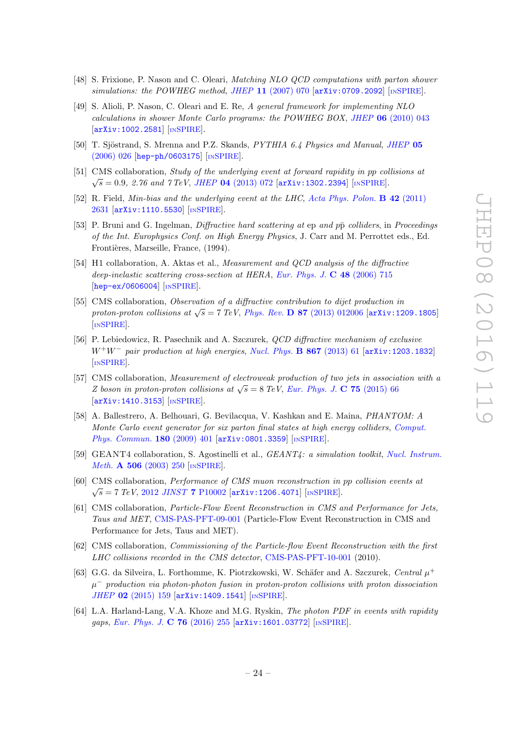- [48] S. Frixione, P. Nason and C. Oleari, Matching NLO QCD computations with parton shower simulations: the POWHEG method, JHEP 11 [\(2007\) 070](http://dx.doi.org/10.1088/1126-6708/2007/11/070)  $\left[$ [arXiv:0709.2092](http://arxiv.org/abs/0709.2092) $\right]$   $\left[$ IN[SPIRE](http://inspirehep.net/search?p=find+EPRINT+arXiv:0709.2092) $\right]$ .
- <span id="page-24-0"></span>[49] S. Alioli, P. Nason, C. Oleari and E. Re, A general framework for implementing NLO calculations in shower Monte Carlo programs: the POWHEG BOX, JHEP 06 [\(2010\) 043](http://dx.doi.org/10.1007/JHEP06(2010)043) [[arXiv:1002.2581](http://arxiv.org/abs/1002.2581)] [IN[SPIRE](http://inspirehep.net/search?p=find+EPRINT+arXiv:1002.2581)].
- <span id="page-24-1"></span>[50] T. Sjöstrand, S. Mrenna and P.Z. Skands, PYTHIA 6.4 Physics and Manual, [JHEP](http://dx.doi.org/10.1088/1126-6708/2006/05/026) 05 [\(2006\) 026](http://dx.doi.org/10.1088/1126-6708/2006/05/026) [[hep-ph/0603175](http://arxiv.org/abs/hep-ph/0603175)] [IN[SPIRE](http://inspirehep.net/search?p=find+EPRINT+hep-ph/0603175)].
- <span id="page-24-2"></span>[51] CMS collaboration, *Study of the underlying event at forward rapidity in pp collisions at*  $\sqrt{s} = 0.9$ , 2.76 and 7 TeV, JHEP 04 [\(2013\) 072](http://dx.doi.org/10.1007/JHEP04(2013)072) [[arXiv:1302.2394](http://arxiv.org/abs/1302.2394)] [IN[SPIRE](http://inspirehep.net/search?p=find+EPRINT+arXiv:1302.2394)].
- <span id="page-24-3"></span>[52] R. Field, Min-bias and the underlying event at the LHC, [Acta Phys. Polon.](http://dx.doi.org/10.5506/APhysPolB.42.2631) **B 42** (2011) [2631](http://dx.doi.org/10.5506/APhysPolB.42.2631) [[arXiv:1110.5530](http://arxiv.org/abs/1110.5530)] [IN[SPIRE](http://inspirehep.net/search?p=find+EPRINT+arXiv:1110.5530)].
- <span id="page-24-4"></span>[53] P. Bruni and G. Ingelman, *Diffractive hard scattering at* ep and  $p\bar{p}$  colliders, in Proceedings of the Int. Europhysics Conf. on High Energy Physics, J. Carr and M. Perrottet eds., Ed. Frontières, Marseille, France, (1994).
- <span id="page-24-5"></span>[54] H1 collaboration, A. Aktas et al., *Measurement and OCD analysis of the diffractive* deep-inelastic scattering cross-section at HERA, [Eur. Phys. J.](http://dx.doi.org/10.1140/epjc/s10052-006-0035-3) C 48 (2006) 715 [[hep-ex/0606004](http://arxiv.org/abs/hep-ex/0606004)] [IN[SPIRE](http://inspirehep.net/search?p=find+EPRINT+hep-ex/0606004)].
- <span id="page-24-6"></span>[55] CMS collaboration, Observation of a diffractive contribution to dijet production in proton-proton collisions at  $\sqrt{s} = 7 \text{ TeV}$ , Phys. Rev. **D 87** [\(2013\) 012006](http://dx.doi.org/10.1103/PhysRevD.87.012006) [[arXiv:1209.1805](http://arxiv.org/abs/1209.1805)] [IN[SPIRE](http://inspirehep.net/search?p=find+EPRINT+arXiv:1209.1805)].
- <span id="page-24-7"></span>[56] P. Lebiedowicz, R. Pasechnik and A. Szczurek, QCD diffractive mechanism of exclusive  $W^+W^-$  pair production at high energies, [Nucl. Phys.](http://dx.doi.org/10.1016/j.nuclphysb.2012.09.014) **B** 867 (2013) 61 [[arXiv:1203.1832](http://arxiv.org/abs/1203.1832)] [IN[SPIRE](http://inspirehep.net/search?p=find+EPRINT+arXiv:1203.1832)].
- <span id="page-24-8"></span>[57] CMS collaboration, Measurement of electroweak production of two jets in association with a Z boson in proton-proton collisions at  $\sqrt{s} = 8 \text{ TeV}$ , [Eur. Phys. J.](http://dx.doi.org/10.1140/epjc/s10052-014-3232-5) C 75 (2015) 66 [[arXiv:1410.3153](http://arxiv.org/abs/1410.3153)] [IN[SPIRE](http://inspirehep.net/search?p=find+EPRINT+arXiv:1410.3153)].
- <span id="page-24-9"></span>[58] A. Ballestrero, A. Belhouari, G. Bevilacqua, V. Kashkan and E. Maina, PHANTOM: A Monte Carlo event generator for six parton final states at high energy colliders, [Comput.](http://dx.doi.org/10.1016/j.cpc.2008.10.005) [Phys. Commun.](http://dx.doi.org/10.1016/j.cpc.2008.10.005) 180 (2009) 401 [[arXiv:0801.3359](http://arxiv.org/abs/0801.3359)] [IN[SPIRE](http://inspirehep.net/search?p=find+EPRINT+arXiv:0801.3359)].
- <span id="page-24-10"></span>[59] GEANT4 collaboration, S. Agostinelli et al., GEANT4: a simulation toolkit, [Nucl. Instrum.](http://dx.doi.org/10.1016/S0168-9002(03)01368-8) Meth. A 506 [\(2003\) 250](http://dx.doi.org/10.1016/S0168-9002(03)01368-8) [IN[SPIRE](http://inspirehep.net/search?p=find+J+%22Nucl.Instrum.Meth.,A506,250%22)].
- <span id="page-24-11"></span>[60] CMS collaboration, Performance of CMS muon reconstruction in pp collision events at  $\sqrt{s}$  = 7 TeV, 2012 JINST 7 [P10002](http://dx.doi.org/10.1088/1748-0221/7/10/P10002) [[arXiv:1206.4071](http://arxiv.org/abs/1206.4071)] [IN[SPIRE](http://inspirehep.net/search?p=find+EPRINT+arXiv:1206.4071)].
- <span id="page-24-12"></span>[61] CMS collaboration, Particle-Flow Event Reconstruction in CMS and Performance for Jets, Taus and MET, [CMS-PAS-PFT-09-001](http://cds.cern.ch/record/1194487) (Particle-Flow Event Reconstruction in CMS and Performance for Jets, Taus and MET).
- <span id="page-24-13"></span>[62] CMS collaboration, *Commissioning of the Particle-flow Event Reconstruction with the first* LHC collisions recorded in the CMS detector, [CMS-PAS-PFT-10-001](http://cds.cern.ch/record/1247373) (2010).
- <span id="page-24-14"></span>[63] G.G. da Silveira, L. Forthomme, K. Piotrzkowski, W. Schäfer and A. Szczurek, Central  $\mu^+$  $\mu^-$  production via photon-photon fusion in proton-proton collisions with proton dissociation JHEP 02 [\(2015\) 159](http://dx.doi.org/10.1007/JHEP02(2015)159) [[arXiv:1409.1541](http://arxiv.org/abs/1409.1541)] [IN[SPIRE](http://inspirehep.net/search?p=find+EPRINT+arXiv:1409.1541)].
- <span id="page-24-15"></span>[64] L.A. Harland-Lang, V.A. Khoze and M.G. Ryskin, The photon PDF in events with rapidity gaps, [Eur. Phys. J.](http://dx.doi.org/10.1140/epjc/s10052-016-4100-2) C 76 (2016) 255 [[arXiv:1601.03772](http://arxiv.org/abs/1601.03772)] [IN[SPIRE](http://inspirehep.net/search?p=find+EPRINT+arXiv:1601.03772)].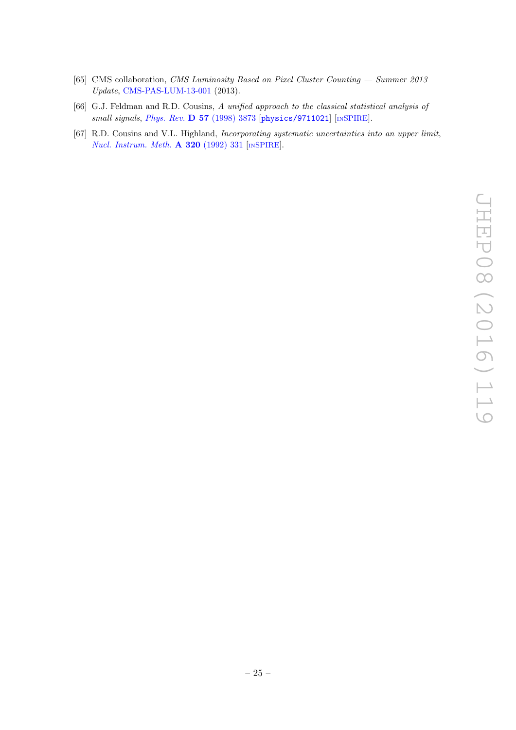- <span id="page-25-0"></span>[65] CMS collaboration, CMS Luminosity Based on Pixel Cluster Counting — Summer 2013 Update, [CMS-PAS-LUM-13-001](http://cds.cern.ch/record/1598864) (2013).
- <span id="page-25-1"></span>[66] G.J. Feldman and R.D. Cousins, A unified approach to the classical statistical analysis of small signals, Phys. Rev. D 57 [\(1998\) 3873](http://dx.doi.org/10.1103/PhysRevD.57.3873) [[physics/9711021](http://arxiv.org/abs/physics/9711021)] [IN[SPIRE](http://inspirehep.net/search?p=find+EPRINT+physics/9711021)].
- <span id="page-25-2"></span>[67] R.D. Cousins and V.L. Highland, Incorporating systematic uncertainties into an upper limit, [Nucl. Instrum. Meth.](http://dx.doi.org/10.1016/0168-9002(92)90794-5) A 320 (1992) 331 [IN[SPIRE](http://inspirehep.net/search?p=find+J+%22Nucl.Instrum.Meth.,A320,331%22)].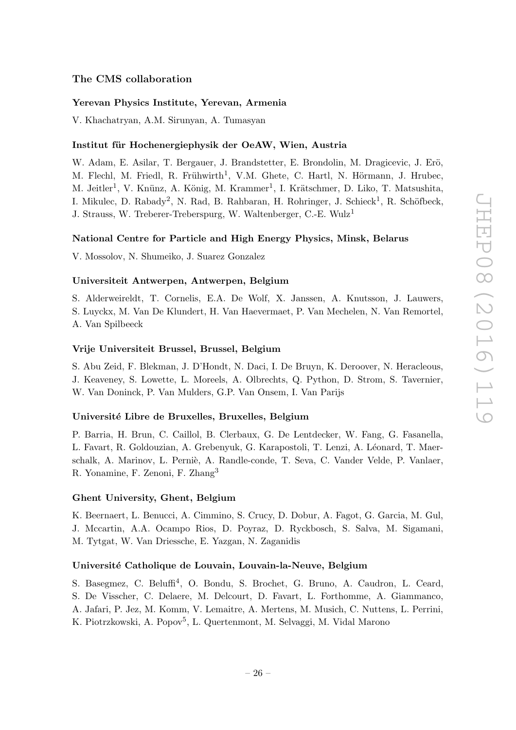## The CMS collaboration

#### <span id="page-26-0"></span>Yerevan Physics Institute, Yerevan, Armenia

V. Khachatryan, A.M. Sirunyan, A. Tumasyan

#### Institut für Hochenergiephysik der OeAW, Wien, Austria

W. Adam, E. Asilar, T. Bergauer, J. Brandstetter, E. Brondolin, M. Dragicevic, J. Erö, M. Flechl, M. Friedl, R. Frühwirth<sup>1</sup>, V.M. Ghete, C. Hartl, N. Hörmann, J. Hrubec, M. Jeitler<sup>1</sup>, V. Knünz, A. König, M. Krammer<sup>1</sup>, I. Krätschmer, D. Liko, T. Matsushita, I. Mikulec, D. Rabady<sup>2</sup>, N. Rad, B. Rahbaran, H. Rohringer, J. Schieck<sup>1</sup>, R. Schöfbeck, J. Strauss, W. Treberer-Treberspurg, W. Waltenberger, C.-E. Wulz<sup>1</sup>

#### National Centre for Particle and High Energy Physics, Minsk, Belarus

V. Mossolov, N. Shumeiko, J. Suarez Gonzalez

## Universiteit Antwerpen, Antwerpen, Belgium

S. Alderweireldt, T. Cornelis, E.A. De Wolf, X. Janssen, A. Knutsson, J. Lauwers, S. Luyckx, M. Van De Klundert, H. Van Haevermaet, P. Van Mechelen, N. Van Remortel, A. Van Spilbeeck

## Vrije Universiteit Brussel, Brussel, Belgium

S. Abu Zeid, F. Blekman, J. D'Hondt, N. Daci, I. De Bruyn, K. Deroover, N. Heracleous, J. Keaveney, S. Lowette, L. Moreels, A. Olbrechts, Q. Python, D. Strom, S. Tavernier, W. Van Doninck, P. Van Mulders, G.P. Van Onsem, I. Van Parijs

## Université Libre de Bruxelles, Bruxelles, Belgium

P. Barria, H. Brun, C. Caillol, B. Clerbaux, G. De Lentdecker, W. Fang, G. Fasanella, L. Favart, R. Goldouzian, A. Grebenyuk, G. Karapostoli, T. Lenzi, A. Léonard, T. Maerschalk, A. Marinov, L. Perniè, A. Randle-conde, T. Seva, C. Vander Velde, P. Vanlaer, R. Yonamine, F. Zenoni, F. Zhang<sup>3</sup>

#### Ghent University, Ghent, Belgium

K. Beernaert, L. Benucci, A. Cimmino, S. Crucy, D. Dobur, A. Fagot, G. Garcia, M. Gul, J. Mccartin, A.A. Ocampo Rios, D. Poyraz, D. Ryckbosch, S. Salva, M. Sigamani, M. Tytgat, W. Van Driessche, E. Yazgan, N. Zaganidis

#### Université Catholique de Louvain, Louvain-la-Neuve, Belgium

S. Basegmez, C. Beluffi<sup>4</sup>, O. Bondu, S. Brochet, G. Bruno, A. Caudron, L. Ceard,

S. De Visscher, C. Delaere, M. Delcourt, D. Favart, L. Forthomme, A. Giammanco,

A. Jafari, P. Jez, M. Komm, V. Lemaitre, A. Mertens, M. Musich, C. Nuttens, L. Perrini,

K. Piotrzkowski, A. Popov<sup>5</sup>, L. Quertenmont, M. Selvaggi, M. Vidal Marono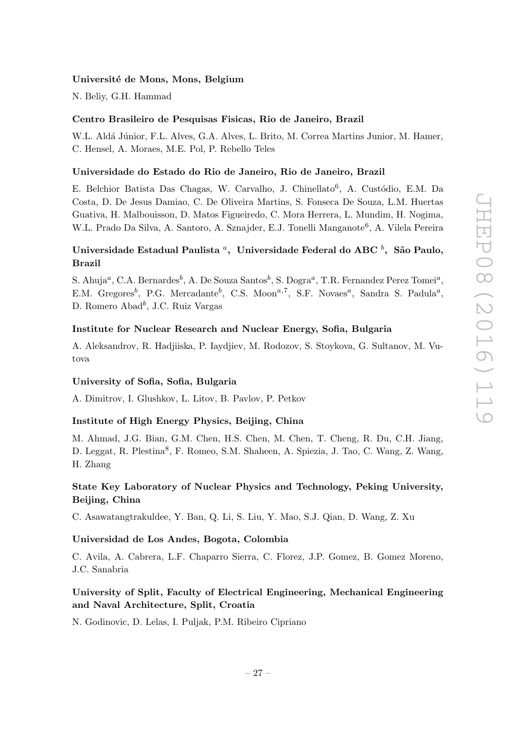#### Université de Mons, Mons, Belgium

N. Beliy, G.H. Hammad

#### Centro Brasileiro de Pesquisas Fisicas, Rio de Janeiro, Brazil

W.L. Aldá Júnior, F.L. Alves, G.A. Alves, L. Brito, M. Correa Martins Junior, M. Hamer, C. Hensel, A. Moraes, M.E. Pol, P. Rebello Teles

#### Universidade do Estado do Rio de Janeiro, Rio de Janeiro, Brazil

E. Belchior Batista Das Chagas, W. Carvalho, J. Chinellato<sup>6</sup>, A. Custódio, E.M. Da Costa, D. De Jesus Damiao, C. De Oliveira Martins, S. Fonseca De Souza, L.M. Huertas Guativa, H. Malbouisson, D. Matos Figueiredo, C. Mora Herrera, L. Mundim, H. Nogima, W.L. Prado Da Silva, A. Santoro, A. Sznajder, E.J. Tonelli Manganote<sup>6</sup>, A. Vilela Pereira

# Universidade Estadual Paulista  $^a,\,$  Universidade Federal do ABC  $^b,\,$  São Paulo, Brazil

S. Ahuja<sup>a</sup>, C.A. Bernardes<sup>b</sup>, A. De Souza Santos<sup>b</sup>, S. Dogra<sup>a</sup>, T.R. Fernandez Perez Tomei<sup>a</sup>, E.M. Gregores<sup>b</sup>, P.G. Mercadante<sup>b</sup>, C.S. Moon<sup>a,7</sup>, S.F. Novaes<sup>a</sup>, Sandra S. Padula<sup>a</sup>,  $D.$  Romero Abad<sup>b</sup>, J.C. Ruiz Vargas

#### Institute for Nuclear Research and Nuclear Energy, Sofia, Bulgaria

A. Aleksandrov, R. Hadjiiska, P. Iaydjiev, M. Rodozov, S. Stoykova, G. Sultanov, M. Vutova

#### University of Sofia, Sofia, Bulgaria

A. Dimitrov, I. Glushkov, L. Litov, B. Pavlov, P. Petkov

## Institute of High Energy Physics, Beijing, China

M. Ahmad, J.G. Bian, G.M. Chen, H.S. Chen, M. Chen, T. Cheng, R. Du, C.H. Jiang, D. Leggat, R. Plestina<sup>8</sup>, F. Romeo, S.M. Shaheen, A. Spiezia, J. Tao, C. Wang, Z. Wang, H. Zhang

# State Key Laboratory of Nuclear Physics and Technology, Peking University, Beijing, China

C. Asawatangtrakuldee, Y. Ban, Q. Li, S. Liu, Y. Mao, S.J. Qian, D. Wang, Z. Xu

#### Universidad de Los Andes, Bogota, Colombia

C. Avila, A. Cabrera, L.F. Chaparro Sierra, C. Florez, J.P. Gomez, B. Gomez Moreno, J.C. Sanabria

# University of Split, Faculty of Electrical Engineering, Mechanical Engineering and Naval Architecture, Split, Croatia

N. Godinovic, D. Lelas, I. Puljak, P.M. Ribeiro Cipriano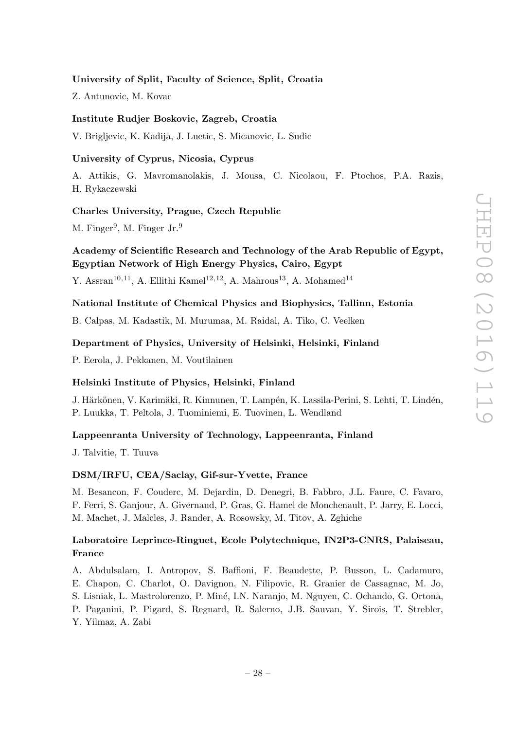#### University of Split, Faculty of Science, Split, Croatia

Z. Antunovic, M. Kovac

#### Institute Rudjer Boskovic, Zagreb, Croatia

V. Brigljevic, K. Kadija, J. Luetic, S. Micanovic, L. Sudic

#### University of Cyprus, Nicosia, Cyprus

A. Attikis, G. Mavromanolakis, J. Mousa, C. Nicolaou, F. Ptochos, P.A. Razis, H. Rykaczewski

#### Charles University, Prague, Czech Republic

M. Finger<sup>9</sup>, M. Finger Jr.<sup>9</sup>

# Academy of Scientific Research and Technology of the Arab Republic of Egypt, Egyptian Network of High Energy Physics, Cairo, Egypt

Y. Assran<sup>10,11</sup>, A. Ellithi Kamel<sup>12,12</sup>, A. Mahrous<sup>13</sup>, A. Mohamed<sup>14</sup>

## National Institute of Chemical Physics and Biophysics, Tallinn, Estonia

B. Calpas, M. Kadastik, M. Murumaa, M. Raidal, A. Tiko, C. Veelken

## Department of Physics, University of Helsinki, Helsinki, Finland

P. Eerola, J. Pekkanen, M. Voutilainen

#### Helsinki Institute of Physics, Helsinki, Finland

J. Härkönen, V. Karimäki, R. Kinnunen, T. Lampén, K. Lassila-Perini, S. Lehti, T. Lindén, P. Luukka, T. Peltola, J. Tuominiemi, E. Tuovinen, L. Wendland

#### Lappeenranta University of Technology, Lappeenranta, Finland

J. Talvitie, T. Tuuva

## DSM/IRFU, CEA/Saclay, Gif-sur-Yvette, France

M. Besancon, F. Couderc, M. Dejardin, D. Denegri, B. Fabbro, J.L. Faure, C. Favaro, F. Ferri, S. Ganjour, A. Givernaud, P. Gras, G. Hamel de Monchenault, P. Jarry, E. Locci, M. Machet, J. Malcles, J. Rander, A. Rosowsky, M. Titov, A. Zghiche

# Laboratoire Leprince-Ringuet, Ecole Polytechnique, IN2P3-CNRS, Palaiseau, France

A. Abdulsalam, I. Antropov, S. Baffioni, F. Beaudette, P. Busson, L. Cadamuro, E. Chapon, C. Charlot, O. Davignon, N. Filipovic, R. Granier de Cassagnac, M. Jo, S. Lisniak, L. Mastrolorenzo, P. Miné, I.N. Naranjo, M. Nguyen, C. Ochando, G. Ortona, P. Paganini, P. Pigard, S. Regnard, R. Salerno, J.B. Sauvan, Y. Sirois, T. Strebler, Y. Yilmaz, A. Zabi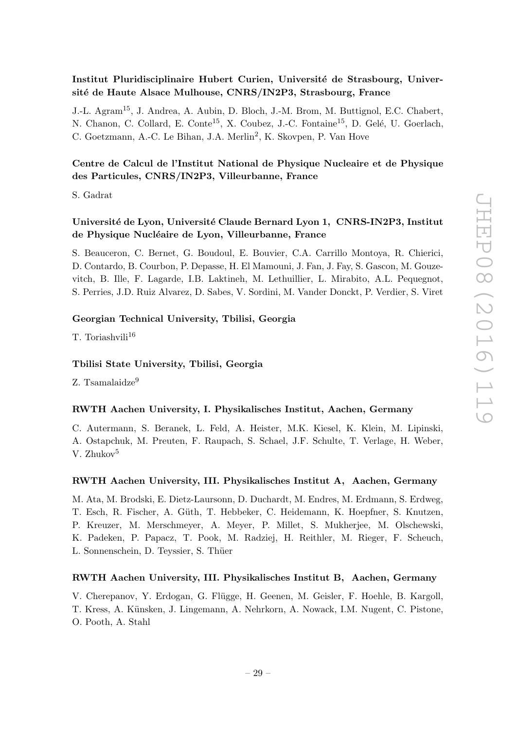# Institut Pluridisciplinaire Hubert Curien, Université de Strasbourg, Université de Haute Alsace Mulhouse, CNRS/IN2P3, Strasbourg, France

J.-L. Agram15, J. Andrea, A. Aubin, D. Bloch, J.-M. Brom, M. Buttignol, E.C. Chabert, N. Chanon, C. Collard, E. Conte<sup>15</sup>, X. Coubez, J.-C. Fontaine<sup>15</sup>, D. Gelé, U. Goerlach, C. Goetzmann, A.-C. Le Bihan, J.A. Merlin<sup>2</sup>, K. Skovpen, P. Van Hove

# Centre de Calcul de l'Institut National de Physique Nucleaire et de Physique des Particules, CNRS/IN2P3, Villeurbanne, France

S. Gadrat

# Université de Lyon, Université Claude Bernard Lyon 1, CNRS-IN2P3, Institut de Physique Nucléaire de Lyon, Villeurbanne, France

S. Beauceron, C. Bernet, G. Boudoul, E. Bouvier, C.A. Carrillo Montoya, R. Chierici, D. Contardo, B. Courbon, P. Depasse, H. El Mamouni, J. Fan, J. Fay, S. Gascon, M. Gouzevitch, B. Ille, F. Lagarde, I.B. Laktineh, M. Lethuillier, L. Mirabito, A.L. Pequegnot, S. Perries, J.D. Ruiz Alvarez, D. Sabes, V. Sordini, M. Vander Donckt, P. Verdier, S. Viret

## Georgian Technical University, Tbilisi, Georgia

T. Toriashvili $^{16}$ 

## Tbilisi State University, Tbilisi, Georgia

Z. Tsamalaidze<sup>9</sup>

## RWTH Aachen University, I. Physikalisches Institut, Aachen, Germany

C. Autermann, S. Beranek, L. Feld, A. Heister, M.K. Kiesel, K. Klein, M. Lipinski, A. Ostapchuk, M. Preuten, F. Raupach, S. Schael, J.F. Schulte, T. Verlage, H. Weber, V. Zhukov<sup>5</sup>

## RWTH Aachen University, III. Physikalisches Institut A, Aachen, Germany

M. Ata, M. Brodski, E. Dietz-Laursonn, D. Duchardt, M. Endres, M. Erdmann, S. Erdweg, T. Esch, R. Fischer, A. G¨uth, T. Hebbeker, C. Heidemann, K. Hoepfner, S. Knutzen, P. Kreuzer, M. Merschmeyer, A. Meyer, P. Millet, S. Mukherjee, M. Olschewski, K. Padeken, P. Papacz, T. Pook, M. Radziej, H. Reithler, M. Rieger, F. Scheuch, L. Sonnenschein, D. Teyssier, S. Thüer

## RWTH Aachen University, III. Physikalisches Institut B, Aachen, Germany

V. Cherepanov, Y. Erdogan, G. Fl¨ugge, H. Geenen, M. Geisler, F. Hoehle, B. Kargoll, T. Kress, A. Künsken, J. Lingemann, A. Nehrkorn, A. Nowack, I.M. Nugent, C. Pistone, O. Pooth, A. Stahl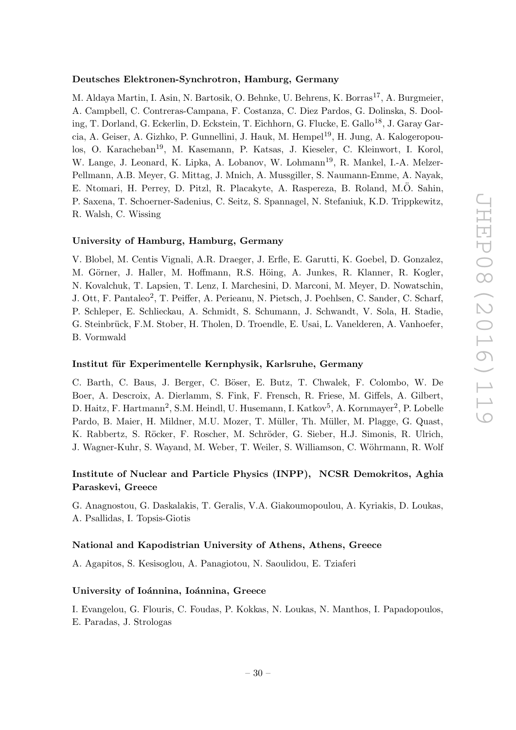#### Deutsches Elektronen-Synchrotron, Hamburg, Germany

M. Aldaya Martin, I. Asin, N. Bartosik, O. Behnke, U. Behrens, K. Borras<sup>17</sup>, A. Burgmeier, A. Campbell, C. Contreras-Campana, F. Costanza, C. Diez Pardos, G. Dolinska, S. Dooling, T. Dorland, G. Eckerlin, D. Eckstein, T. Eichhorn, G. Flucke, E. Gallo<sup>18</sup>, J. Garay Garcia, A. Geiser, A. Gizhko, P. Gunnellini, J. Hauk, M. Hempel<sup>19</sup>, H. Jung, A. Kalogeropoulos, O. Karacheban<sup>19</sup>, M. Kasemann, P. Katsas, J. Kieseler, C. Kleinwort, I. Korol, W. Lange, J. Leonard, K. Lipka, A. Lobanov, W. Lohmann<sup>19</sup>, R. Mankel, I.-A. Melzer-Pellmann, A.B. Meyer, G. Mittag, J. Mnich, A. Mussgiller, S. Naumann-Emme, A. Nayak, E. Ntomari, H. Perrey, D. Pitzl, R. Placakyte, A. Raspereza, B. Roland, M.O. Sahin, P. Saxena, T. Schoerner-Sadenius, C. Seitz, S. Spannagel, N. Stefaniuk, K.D. Trippkewitz, R. Walsh, C. Wissing

#### University of Hamburg, Hamburg, Germany

V. Blobel, M. Centis Vignali, A.R. Draeger, J. Erfle, E. Garutti, K. Goebel, D. Gonzalez, M. Görner, J. Haller, M. Hoffmann, R.S. Höing, A. Junkes, R. Klanner, R. Kogler, N. Kovalchuk, T. Lapsien, T. Lenz, I. Marchesini, D. Marconi, M. Meyer, D. Nowatschin, J. Ott, F. Pantaleo<sup>2</sup>, T. Peiffer, A. Perieanu, N. Pietsch, J. Poehlsen, C. Sander, C. Scharf, P. Schleper, E. Schlieckau, A. Schmidt, S. Schumann, J. Schwandt, V. Sola, H. Stadie, G. Steinbrück, F.M. Stober, H. Tholen, D. Troendle, E. Usai, L. Vanelderen, A. Vanhoefer, B. Vormwald

#### Institut für Experimentelle Kernphysik, Karlsruhe, Germany

C. Barth, C. Baus, J. Berger, C. Böser, E. Butz, T. Chwalek, F. Colombo, W. De Boer, A. Descroix, A. Dierlamm, S. Fink, F. Frensch, R. Friese, M. Giffels, A. Gilbert, D. Haitz, F. Hartmann<sup>2</sup>, S.M. Heindl, U. Husemann, I. Katkov<sup>5</sup>, A. Kornmayer<sup>2</sup>, P. Lobelle Pardo, B. Maier, H. Mildner, M.U. Mozer, T. Müller, Th. Müller, M. Plagge, G. Quast, K. Rabbertz, S. Röcker, F. Roscher, M. Schröder, G. Sieber, H.J. Simonis, R. Ulrich, J. Wagner-Kuhr, S. Wayand, M. Weber, T. Weiler, S. Williamson, C. Wöhrmann, R. Wolf

# Institute of Nuclear and Particle Physics (INPP), NCSR Demokritos, Aghia Paraskevi, Greece

G. Anagnostou, G. Daskalakis, T. Geralis, V.A. Giakoumopoulou, A. Kyriakis, D. Loukas, A. Psallidas, I. Topsis-Giotis

#### National and Kapodistrian University of Athens, Athens, Greece

A. Agapitos, S. Kesisoglou, A. Panagiotou, N. Saoulidou, E. Tziaferi

#### University of Ioánnina, Ioánnina, Greece

I. Evangelou, G. Flouris, C. Foudas, P. Kokkas, N. Loukas, N. Manthos, I. Papadopoulos, E. Paradas, J. Strologas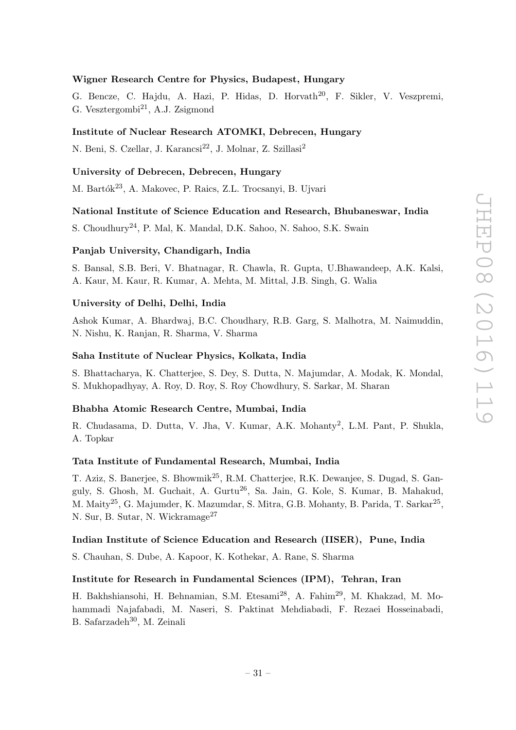#### Wigner Research Centre for Physics, Budapest, Hungary

G. Bencze, C. Hajdu, A. Hazi, P. Hidas, D. Horvath<sup>20</sup>, F. Sikler, V. Veszpremi, G. Vesztergombi $^{21}$ , A.J. Zsigmond

# Institute of Nuclear Research ATOMKI, Debrecen, Hungary

N. Beni, S. Czellar, J. Karancsi<sup>22</sup>, J. Molnar, Z. Szillasi<sup>2</sup>

## University of Debrecen, Debrecen, Hungary

M. Bartók<sup>23</sup>, A. Makovec, P. Raics, Z.L. Trocsanyi, B. Ujvari

#### National Institute of Science Education and Research, Bhubaneswar, India

S. Choudhury<sup>24</sup>, P. Mal, K. Mandal, D.K. Sahoo, N. Sahoo, S.K. Swain

## Panjab University, Chandigarh, India

S. Bansal, S.B. Beri, V. Bhatnagar, R. Chawla, R. Gupta, U.Bhawandeep, A.K. Kalsi, A. Kaur, M. Kaur, R. Kumar, A. Mehta, M. Mittal, J.B. Singh, G. Walia

#### University of Delhi, Delhi, India

Ashok Kumar, A. Bhardwaj, B.C. Choudhary, R.B. Garg, S. Malhotra, M. Naimuddin, N. Nishu, K. Ranjan, R. Sharma, V. Sharma

#### Saha Institute of Nuclear Physics, Kolkata, India

S. Bhattacharya, K. Chatterjee, S. Dey, S. Dutta, N. Majumdar, A. Modak, K. Mondal, S. Mukhopadhyay, A. Roy, D. Roy, S. Roy Chowdhury, S. Sarkar, M. Sharan

## Bhabha Atomic Research Centre, Mumbai, India

R. Chudasama, D. Dutta, V. Jha, V. Kumar, A.K. Mohanty<sup>2</sup>, L.M. Pant, P. Shukla, A. Topkar

## Tata Institute of Fundamental Research, Mumbai, India

T. Aziz, S. Banerjee, S. Bhowmik25, R.M. Chatterjee, R.K. Dewanjee, S. Dugad, S. Ganguly, S. Ghosh, M. Guchait, A. Gurtu26, Sa. Jain, G. Kole, S. Kumar, B. Mahakud, M. Maity<sup>25</sup>, G. Majumder, K. Mazumdar, S. Mitra, G.B. Mohanty, B. Parida, T. Sarkar<sup>25</sup>, N. Sur, B. Sutar, N. Wickramage<sup>27</sup>

#### Indian Institute of Science Education and Research (IISER), Pune, India

S. Chauhan, S. Dube, A. Kapoor, K. Kothekar, A. Rane, S. Sharma

## Institute for Research in Fundamental Sciences (IPM), Tehran, Iran

H. Bakhshiansohi, H. Behnamian, S.M. Etesami28, A. Fahim29, M. Khakzad, M. Mohammadi Najafabadi, M. Naseri, S. Paktinat Mehdiabadi, F. Rezaei Hosseinabadi, B. Safarzadeh<sup>30</sup>, M. Zeinali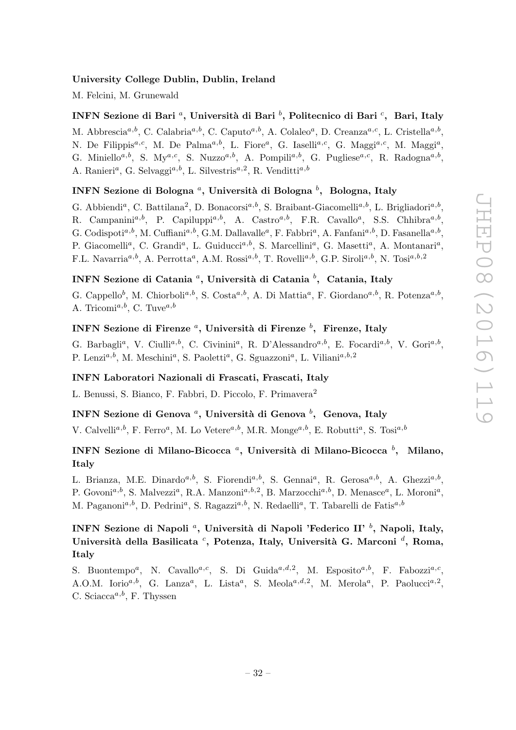#### University College Dublin, Dublin, Ireland

M. Felcini, M. Grunewald

# INFN Sezione di Bari <sup>a</sup>, Università di Bari  $^b$ , Politecnico di Bari  $^c$ , Bari, Italy

M. Abbrescia<sup>a,b</sup>, C. Calabria<sup>a,b</sup>, C. Caputo<sup>a,b</sup>, A. Colaleo<sup>a</sup>, D. Creanza<sup>a,c</sup>, L. Cristella<sup>a,b</sup>, N. De Filippis<sup>a,c</sup>, M. De Palma<sup>a,b</sup>, L. Fiore<sup>a</sup>, G. Iaselli<sup>a,c</sup>, G. Maggi<sup>a,c</sup>, M. Maggi<sup>a</sup>, G. Miniello<sup>a,b</sup>, S. My<sup>a,c</sup>, S. Nuzzo<sup>a,b</sup>, A. Pompili<sup>a,b</sup>, G. Pugliese<sup>a,c</sup>, R. Radogna<sup>a,b</sup>, A. Ranieri<sup>a</sup>, G. Selvaggi<sup>a,b</sup>, L. Silvestris<sup>a,2</sup>, R. Venditti<sup>a,b</sup>

# INFN Sezione di Bologna <sup>a</sup>, Università di Bologna  $^b$ , Bologna, Italy

G. Abbiendi<sup>a</sup>, C. Battilana<sup>2</sup>, D. Bonacorsi<sup>a,b</sup>, S. Braibant-Giacomelli<sup>a,b</sup>, L. Brigliadori<sup>a,b</sup>, R. Campanini<sup>a,b</sup>, P. Capiluppi<sup>a,b</sup>, A. Castro<sup>a,b</sup>, F.R. Cavallo<sup>a</sup>, S.S. Chhibra<sup>a,b</sup>, G. Codispoti<sup>a,b</sup>, M. Cuffiani<sup>a,b</sup>, G.M. Dallavalle<sup>a</sup>, F. Fabbri<sup>a</sup>, A. Fanfani<sup>a,b</sup>, D. Fasanella<sup>a,b</sup>, P. Giacomelli<sup>a</sup>, C. Grandi<sup>a</sup>, L. Guiducci<sup>a,b</sup>, S. Marcellini<sup>a</sup>, G. Masetti<sup>a</sup>, A. Montanari<sup>a</sup>, F.L. Navarria<sup>a,b</sup>, A. Perrotta<sup>a</sup>, A.M. Rossi<sup>a,b</sup>, T. Rovelli<sup>a,b</sup>, G.P. Siroli<sup>a,b</sup>, N. Tosi<sup>a,b,2</sup>

# INFN Sezione di Catania <sup>a</sup>, Università di Catania  $^b$ , Catania, Italy

G. Cappello<sup>b</sup>, M. Chiorboli<sup>a,b</sup>, S. Costa<sup>a,b</sup>, A. Di Mattia<sup>a</sup>, F. Giordano<sup>a,b</sup>, R. Potenza<sup>a,b</sup>, A. Tricomi<sup>a,b</sup>, C. Tuve<sup>a,b</sup>

# INFN Sezione di Firenze <sup>a</sup>, Università di Firenze  $^b$ , Firenze, Italy

G. Barbagli<sup>a</sup>, V. Ciulli<sup>a,b</sup>, C. Civinini<sup>a</sup>, R. D'Alessandro<sup>a,b</sup>, E. Focardi<sup>a,b</sup>, V. Gori<sup>a,b</sup>, P. Lenzi<sup>a,b</sup>, M. Meschini<sup>a</sup>, S. Paoletti<sup>a</sup>, G. Sguazzoni<sup>a</sup>, L. Viliani<sup>a,b,2</sup>

## INFN Laboratori Nazionali di Frascati, Frascati, Italy

L. Benussi, S. Bianco, F. Fabbri, D. Piccolo, F. Primavera<sup>2</sup>

# INFN Sezione di Genova <sup>a</sup>, Università di Genova  $^b$ , Genova, Italy

V. Calvelli<sup>a, b</sup>, F. Ferro<sup>a</sup>, M. Lo Vetere<sup>a, b</sup>, M.R. Monge<sup>a, b</sup>, E. Robutti<sup>a</sup>, S. Tosi<sup>a, b</sup>

# INFN Sezione di Milano-Bicocca <sup>a</sup>, Università di Milano-Bicocca <sup>b</sup>, Milano, Italy

L. Brianza, M.E. Dinardo<sup>a,b</sup>, S. Fiorendi<sup>a,b</sup>, S. Gennai<sup>a</sup>, R. Gerosa<sup>a,b</sup>, A. Ghezzi<sup>a,b</sup>, P. Govoni<sup>a, b</sup>, S. Malvezzi<sup>a</sup>, R.A. Manzoni<sup>a, b, 2</sup>, B. Marzocchi<sup>a, b</sup>, D. Menasce<sup>a</sup>, L. Moroni<sup>a</sup>, M. Paganoni<sup>a, b</sup>, D. Pedrini<sup>a</sup>, S. Ragazzi<sup>a, b</sup>, N. Redaelli<sup>a</sup>, T. Tabarelli de Fatis<sup>a, b</sup>

# INFN Sezione di Napoli <sup>a</sup>, Università di Napoli 'Federico II'  $^b$ , Napoli, Italy, Università della Basilicata  $^c$ , Potenza, Italy, Università G. Marconi  $^d$ , Roma, Italy

S. Buontempo<sup>a</sup>, N. Cavallo<sup>a,c</sup>, S. Di Guida<sup>a,d,2</sup>, M. Esposito<sup>a,b</sup>, F. Fabozzi<sup>a,c</sup>, A.O.M. Iorio<sup>a,b</sup>, G. Lanza<sup>a</sup>, L. Lista<sup>a</sup>, S. Meola<sup>a,d,2</sup>, M. Merola<sup>a</sup>, P. Paolucci<sup>a,2</sup>, C. Sciacca<sup> $a,b$ </sup>, F. Thyssen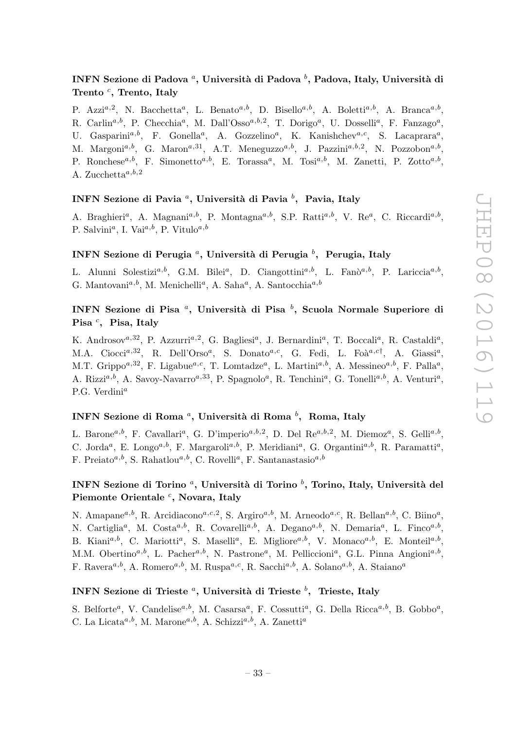# INFN Sezione di Padova <sup>a</sup>, Università di Padova  $^b$ , Padova, Italy, Università di  $Trento<sup>c</sup>$ , Trento, Italy

P. Azzi<sup>a,2</sup>, N. Bacchetta<sup>a</sup>, L. Benato<sup>a,b</sup>, D. Bisello<sup>a,b</sup>, A. Boletti<sup>a,b</sup>, A. Branca<sup>a,b</sup>, R. Carlin<sup>a,b</sup>, P. Checchia<sup>a</sup>, M. Dall'Osso<sup>a,b,2</sup>, T. Dorigo<sup>a</sup>, U. Dosselli<sup>a</sup>, F. Fanzago<sup>a</sup>, U. Gasparini<sup>a,b</sup>, F. Gonella<sup>a</sup>, A. Gozzelino<sup>a</sup>, K. Kanishchev<sup>a,c</sup>, S. Lacaprara<sup>a</sup>, M. Margoni<sup>a,b</sup>, G. Maron<sup>a,31</sup>, A.T. Meneguzzo<sup>a,b</sup>, J. Pazzini<sup>a,b,2</sup>, N. Pozzobon<sup>a,b</sup>, P. Ronchese<sup>a,b</sup>, F. Simonetto<sup>a,b</sup>, E. Torassa<sup>a</sup>, M. Tosi<sup>a,b</sup>, M. Zanetti, P. Zotto<sup>a,b</sup>, A. Zucchetta $a,b,2$ 

# INFN Sezione di Pavia <sup>a</sup>, Università di Pavia  $^b$ , Pavia, Italy

A. Braghieri<sup>a</sup>, A. Magnani<sup>a,b</sup>, P. Montagna<sup>a,b</sup>, S.P. Ratti<sup>a,b</sup>, V. Re<sup>a</sup>, C. Riccardi<sup>a,b</sup>, P. Salvini<sup>a</sup>, I. Vai<sup> $a,b$ </sup>, P. Vitulo $a,b$ 

# INFN Sezione di Perugia <sup>a</sup>, Università di Perugia  $^b$ , Perugia, Italy

L. Alunni Solestizi<sup>a,b</sup>, G.M. Bilei<sup>a</sup>, D. Ciangottini<sup>a,b</sup>, L. Fanò<sup>a,b</sup>, P. Lariccia<sup>a,b</sup>, G. Mantovani<sup>a,b</sup>, M. Menichelli<sup>a</sup>, A. Saha<sup>a</sup>, A. Santocchia<sup>a,b</sup>

# INFN Sezione di Pisa <sup>a</sup>, Università di Pisa <sup>b</sup>, Scuola Normale Superiore di Pisa<sup>c</sup>, Pisa, Italy

K. Androsov<sup>a,32</sup>, P. Azzurri<sup>a,2</sup>, G. Bagliesi<sup>a</sup>, J. Bernardini<sup>a</sup>, T. Boccali<sup>a</sup>, R. Castaldi<sup>a</sup>, M.A. Ciocci<sup>a,32</sup>, R. Dell'Orso<sup>a</sup>, S. Donato<sup>a,c</sup>, G. Fedi, L. Foà<sup>a,c†</sup>, A. Giassi<sup>a</sup>, M.T. Grippo<sup>a,32</sup>, F. Ligabue<sup>a,c</sup>, T. Lomtadze<sup>a</sup>, L. Martini<sup>a,b</sup>, A. Messineo<sup>a,b</sup>, F. Palla<sup>a</sup>, A. Rizzi<sup>a,b</sup>, A. Savoy-Navarro<sup>a,33</sup>, P. Spagnolo<sup>a</sup>, R. Tenchini<sup>a</sup>, G. Tonelli<sup>a,b</sup>, A. Venturi<sup>a</sup>, P.G. Verdini $^a$ 

# INFN Sezione di Roma  $^a,$  Università di Roma  $^b, \, \,$  Roma, Italy

L. Barone<sup>a,b</sup>, F. Cavallari<sup>a</sup>, G. D'imperio<sup>a,b,2</sup>, D. Del Re<sup>a,b,2</sup>, M. Diemoz<sup>a</sup>, S. Gelli<sup>a,b</sup>, C. Jorda<sup>a</sup>, E. Longo<sup>a,b</sup>, F. Margaroli<sup>a,b</sup>, P. Meridiani<sup>a</sup>, G. Organtini<sup>a,b</sup>, R. Paramatti<sup>a</sup>, F. Preiato<sup>*a*,*b*</sup>, S. Rahatlou<sup>*a*,*b*</sup>, C. Rovelli<sup>*a*</sup>, F. Santanastasio<sup>*a*,*b*</sup>

# INFN Sezione di Torino <sup>a</sup>, Università di Torino  $^b,$  Torino, Italy, Università del Piemonte Orientale  $^c$ , Novara, Italy

N. Amapane<sup>a,b</sup>, R. Arcidiacono<sup>a,c,2</sup>, S. Argiro<sup>a,b</sup>, M. Arneodo<sup>a,c</sup>, R. Bellan<sup>a,b</sup>, C. Biino<sup>a</sup>, N. Cartiglia<sup>a</sup>, M. Costa<sup>a,b</sup>, R. Covarelli<sup>a,b</sup>, A. Degano<sup>a,b</sup>, N. Demaria<sup>a</sup>, L. Finco<sup>a,b</sup>, B. Kiani<sup>a,b</sup>, C. Mariotti<sup>a</sup>, S. Maselli<sup>a</sup>, E. Migliore<sup>a,b</sup>, V. Monaco<sup>a,b</sup>, E. Monteil<sup>a,b</sup>, M.M. Obertino<sup>a,b</sup>, L. Pacher<sup>a,b</sup>, N. Pastrone<sup>a</sup>, M. Pelliccioni<sup>a</sup>, G.L. Pinna Angioni<sup>a,b</sup>, F. Ravera<sup>a,b</sup>, A. Romero<sup>a,b</sup>, M. Ruspa<sup>a,c</sup>, R. Sacchi<sup>a,b</sup>, A. Solano<sup>a,b</sup>, A. Staiano<sup>a</sup>

# INFN Sezione di Trieste <sup>a</sup>, Università di Trieste  $^b$ , Trieste, Italy

S. Belforte<sup>a</sup>, V. Candelise<sup>a,b</sup>, M. Casarsa<sup>a</sup>, F. Cossutti<sup>a</sup>, G. Della Ricca<sup>a,b</sup>, B. Gobbo<sup>a</sup>, C. La Licata<sup>a,b</sup>, M. Marone<sup>a,b</sup>, A. Schizzi<sup>a,b</sup>, A. Zanetti<sup>a</sup>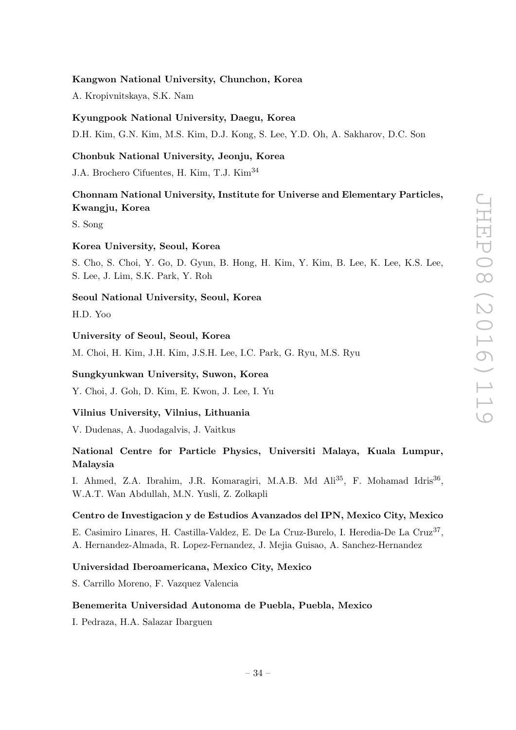#### Kangwon National University, Chunchon, Korea

A. Kropivnitskaya, S.K. Nam

#### Kyungpook National University, Daegu, Korea

D.H. Kim, G.N. Kim, M.S. Kim, D.J. Kong, S. Lee, Y.D. Oh, A. Sakharov, D.C. Son

#### Chonbuk National University, Jeonju, Korea

J.A. Brochero Cifuentes, H. Kim, T.J. Kim<sup>34</sup>

# Chonnam National University, Institute for Universe and Elementary Particles, Kwangju, Korea

S. Song

#### Korea University, Seoul, Korea

S. Cho, S. Choi, Y. Go, D. Gyun, B. Hong, H. Kim, Y. Kim, B. Lee, K. Lee, K.S. Lee, S. Lee, J. Lim, S.K. Park, Y. Roh

#### Seoul National University, Seoul, Korea

H.D. Yoo

## University of Seoul, Seoul, Korea

M. Choi, H. Kim, J.H. Kim, J.S.H. Lee, I.C. Park, G. Ryu, M.S. Ryu

#### Sungkyunkwan University, Suwon, Korea

Y. Choi, J. Goh, D. Kim, E. Kwon, J. Lee, I. Yu

## Vilnius University, Vilnius, Lithuania

V. Dudenas, A. Juodagalvis, J. Vaitkus

# National Centre for Particle Physics, Universiti Malaya, Kuala Lumpur, Malaysia

I. Ahmed, Z.A. Ibrahim, J.R. Komaragiri, M.A.B. Md Ali<sup>35</sup>, F. Mohamad Idris<sup>36</sup>, W.A.T. Wan Abdullah, M.N. Yusli, Z. Zolkapli

#### Centro de Investigacion y de Estudios Avanzados del IPN, Mexico City, Mexico

E. Casimiro Linares, H. Castilla-Valdez, E. De La Cruz-Burelo, I. Heredia-De La Cruz<sup>37</sup>, A. Hernandez-Almada, R. Lopez-Fernandez, J. Mejia Guisao, A. Sanchez-Hernandez

#### Universidad Iberoamericana, Mexico City, Mexico

S. Carrillo Moreno, F. Vazquez Valencia

#### Benemerita Universidad Autonoma de Puebla, Puebla, Mexico

I. Pedraza, H.A. Salazar Ibarguen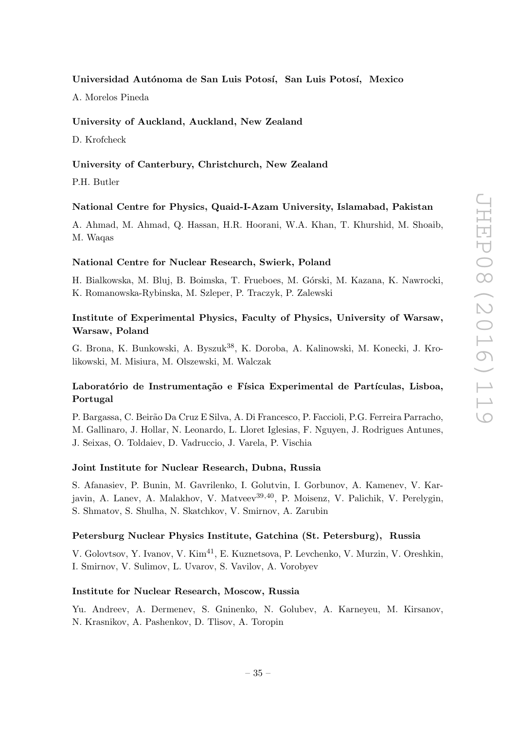#### Universidad Autónoma de San Luis Potosí, San Luis Potosí, Mexico

A. Morelos Pineda

#### University of Auckland, Auckland, New Zealand

D. Krofcheck

## University of Canterbury, Christchurch, New Zealand

P.H. Butler

#### National Centre for Physics, Quaid-I-Azam University, Islamabad, Pakistan

A. Ahmad, M. Ahmad, Q. Hassan, H.R. Hoorani, W.A. Khan, T. Khurshid, M. Shoaib, M. Waqas

#### National Centre for Nuclear Research, Swierk, Poland

H. Bialkowska, M. Bluj, B. Boimska, T. Frueboes, M. Górski, M. Kazana, K. Nawrocki, K. Romanowska-Rybinska, M. Szleper, P. Traczyk, P. Zalewski

# Institute of Experimental Physics, Faculty of Physics, University of Warsaw, Warsaw, Poland

G. Brona, K. Bunkowski, A. Byszuk38, K. Doroba, A. Kalinowski, M. Konecki, J. Krolikowski, M. Misiura, M. Olszewski, M. Walczak

# Laboratório de Instrumentação e Física Experimental de Partículas, Lisboa, Portugal

P. Bargassa, C. Beirão Da Cruz E Silva, A. Di Francesco, P. Faccioli, P.G. Ferreira Parracho, M. Gallinaro, J. Hollar, N. Leonardo, L. Lloret Iglesias, F. Nguyen, J. Rodrigues Antunes, J. Seixas, O. Toldaiev, D. Vadruccio, J. Varela, P. Vischia

#### Joint Institute for Nuclear Research, Dubna, Russia

S. Afanasiev, P. Bunin, M. Gavrilenko, I. Golutvin, I. Gorbunov, A. Kamenev, V. Karjavin, A. Lanev, A. Malakhov, V. Matveev<sup>39,40</sup>, P. Moisenz, V. Palichik, V. Perelygin, S. Shmatov, S. Shulha, N. Skatchkov, V. Smirnov, A. Zarubin

## Petersburg Nuclear Physics Institute, Gatchina (St. Petersburg), Russia

V. Golovtsov, Y. Ivanov, V. Kim<sup>41</sup>, E. Kuznetsova, P. Levchenko, V. Murzin, V. Oreshkin, I. Smirnov, V. Sulimov, L. Uvarov, S. Vavilov, A. Vorobyev

## Institute for Nuclear Research, Moscow, Russia

Yu. Andreev, A. Dermenev, S. Gninenko, N. Golubev, A. Karneyeu, M. Kirsanov, N. Krasnikov, A. Pashenkov, D. Tlisov, A. Toropin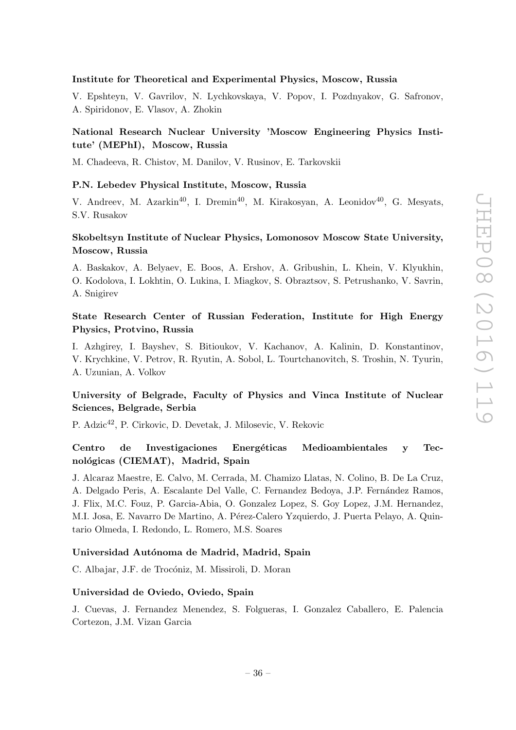#### Institute for Theoretical and Experimental Physics, Moscow, Russia

V. Epshteyn, V. Gavrilov, N. Lychkovskaya, V. Popov, I. Pozdnyakov, G. Safronov, A. Spiridonov, E. Vlasov, A. Zhokin

# National Research Nuclear University 'Moscow Engineering Physics Institute' (MEPhI), Moscow, Russia

M. Chadeeva, R. Chistov, M. Danilov, V. Rusinov, E. Tarkovskii

## P.N. Lebedev Physical Institute, Moscow, Russia

V. Andreev, M. Azarkin<sup>40</sup>, I. Dremin<sup>40</sup>, M. Kirakosyan, A. Leonidov<sup>40</sup>, G. Mesyats, S.V. Rusakov

# Skobeltsyn Institute of Nuclear Physics, Lomonosov Moscow State University, Moscow, Russia

A. Baskakov, A. Belyaev, E. Boos, A. Ershov, A. Gribushin, L. Khein, V. Klyukhin, O. Kodolova, I. Lokhtin, O. Lukina, I. Miagkov, S. Obraztsov, S. Petrushanko, V. Savrin, A. Snigirev

# State Research Center of Russian Federation, Institute for High Energy Physics, Protvino, Russia

I. Azhgirey, I. Bayshev, S. Bitioukov, V. Kachanov, A. Kalinin, D. Konstantinov, V. Krychkine, V. Petrov, R. Ryutin, A. Sobol, L. Tourtchanovitch, S. Troshin, N. Tyurin, A. Uzunian, A. Volkov

# University of Belgrade, Faculty of Physics and Vinca Institute of Nuclear Sciences, Belgrade, Serbia

P. Adzic42, P. Cirkovic, D. Devetak, J. Milosevic, V. Rekovic

# Centro de Investigaciones Energéticas Medioambientales y Tecnológicas (CIEMAT), Madrid, Spain

J. Alcaraz Maestre, E. Calvo, M. Cerrada, M. Chamizo Llatas, N. Colino, B. De La Cruz, A. Delgado Peris, A. Escalante Del Valle, C. Fernandez Bedova, J.P. Fernández Ramos, J. Flix, M.C. Fouz, P. Garcia-Abia, O. Gonzalez Lopez, S. Goy Lopez, J.M. Hernandez, M.I. Josa, E. Navarro De Martino, A. Pérez-Calero Yzquierdo, J. Puerta Pelayo, A. Quintario Olmeda, I. Redondo, L. Romero, M.S. Soares

#### Universidad Autónoma de Madrid, Madrid, Spain

C. Albajar, J.F. de Trocóniz, M. Missiroli, D. Moran

#### Universidad de Oviedo, Oviedo, Spain

J. Cuevas, J. Fernandez Menendez, S. Folgueras, I. Gonzalez Caballero, E. Palencia Cortezon, J.M. Vizan Garcia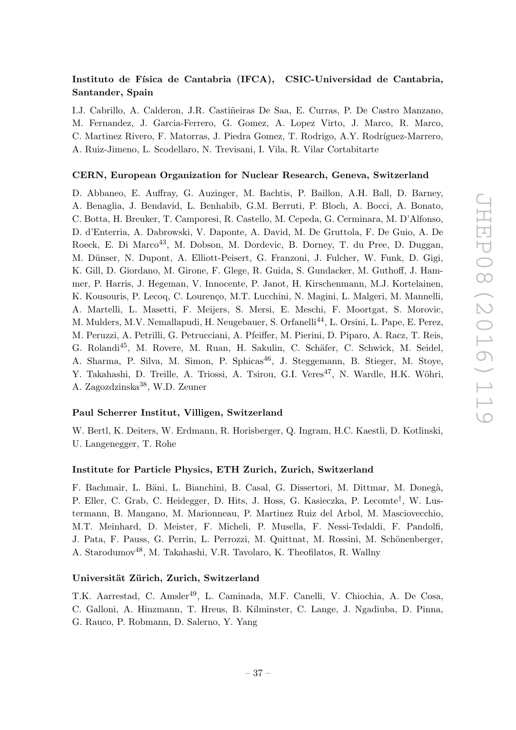# Instituto de Física de Cantabria (IFCA), CSIC-Universidad de Cantabria, Santander, Spain

I.J. Cabrillo, A. Calderon, J.R. Castiñeiras De Saa, E. Curras, P. De Castro Manzano, M. Fernandez, J. Garcia-Ferrero, G. Gomez, A. Lopez Virto, J. Marco, R. Marco, C. Martinez Rivero, F. Matorras, J. Piedra Gomez, T. Rodrigo, A.Y. Rodríguez-Marrero, A. Ruiz-Jimeno, L. Scodellaro, N. Trevisani, I. Vila, R. Vilar Cortabitarte

#### CERN, European Organization for Nuclear Research, Geneva, Switzerland

D. Abbaneo, E. Auffray, G. Auzinger, M. Bachtis, P. Baillon, A.H. Ball, D. Barney, A. Benaglia, J. Bendavid, L. Benhabib, G.M. Berruti, P. Bloch, A. Bocci, A. Bonato, C. Botta, H. Breuker, T. Camporesi, R. Castello, M. Cepeda, G. Cerminara, M. D'Alfonso, D. d'Enterria, A. Dabrowski, V. Daponte, A. David, M. De Gruttola, F. De Guio, A. De Roeck, E. Di Marco<sup>43</sup>, M. Dobson, M. Dordevic, B. Dorney, T. du Pree, D. Duggan, M. Dünser, N. Dupont, A. Elliott-Peisert, G. Franzoni, J. Fulcher, W. Funk, D. Gigi, K. Gill, D. Giordano, M. Girone, F. Glege, R. Guida, S. Gundacker, M. Guthoff, J. Hammer, P. Harris, J. Hegeman, V. Innocente, P. Janot, H. Kirschenmann, M.J. Kortelainen, K. Kousouris, P. Lecoq, C. Lourenço, M.T. Lucchini, N. Magini, L. Malgeri, M. Mannelli, A. Martelli, L. Masetti, F. Meijers, S. Mersi, E. Meschi, F. Moortgat, S. Morovic, M. Mulders, M.V. Nemallapudi, H. Neugebauer, S. Orfanelli<sup>44</sup>, L. Orsini, L. Pape, E. Perez, M. Peruzzi, A. Petrilli, G. Petrucciani, A. Pfeiffer, M. Pierini, D. Piparo, A. Racz, T. Reis, G. Rolandi<sup>45</sup>, M. Rovere, M. Ruan, H. Sakulin, C. Schäfer, C. Schwick, M. Seidel, A. Sharma, P. Silva, M. Simon, P. Sphicas<sup>46</sup>, J. Steggemann, B. Stieger, M. Stoye, Y. Takahashi, D. Treille, A. Triossi, A. Tsirou, G.I. Veres<sup>47</sup>, N. Wardle, H.K. Wöhri, A. Zagozdzinska38, W.D. Zeuner

## Paul Scherrer Institut, Villigen, Switzerland

W. Bertl, K. Deiters, W. Erdmann, R. Horisberger, Q. Ingram, H.C. Kaestli, D. Kotlinski, U. Langenegger, T. Rohe

## Institute for Particle Physics, ETH Zurich, Zurich, Switzerland

F. Bachmair, L. Bäni, L. Bianchini, B. Casal, G. Dissertori, M. Dittmar, M. Donegà, P. Eller, C. Grab, C. Heidegger, D. Hits, J. Hoss, G. Kasieczka, P. Lecomte† , W. Lustermann, B. Mangano, M. Marionneau, P. Martinez Ruiz del Arbol, M. Masciovecchio, M.T. Meinhard, D. Meister, F. Micheli, P. Musella, F. Nessi-Tedaldi, F. Pandolfi, J. Pata, F. Pauss, G. Perrin, L. Perrozzi, M. Quittnat, M. Rossini, M. Schönenberger, A. Starodumov48, M. Takahashi, V.R. Tavolaro, K. Theofilatos, R. Wallny

#### Universität Zürich, Zurich, Switzerland

T.K. Aarrestad, C. Amsler<sup>49</sup>, L. Caminada, M.F. Canelli, V. Chiochia, A. De Cosa, C. Galloni, A. Hinzmann, T. Hreus, B. Kilminster, C. Lange, J. Ngadiuba, D. Pinna, G. Rauco, P. Robmann, D. Salerno, Y. Yang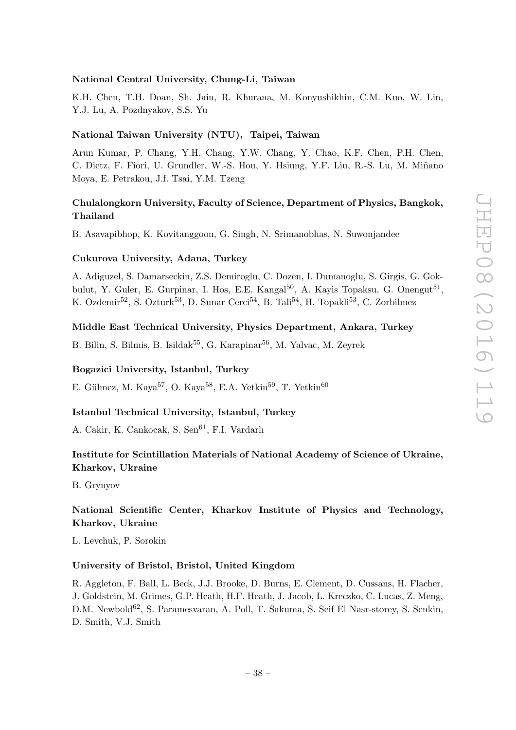## National Central University, Chung-Li, Taiwan

K.H. Chen, T.H. Doan, Sh. Jain, R. Khurana, M. Konyushikhin, C.M. Kuo, W. Lin, Y.J. Lu, A. Pozdnyakov, S.S. Yu

#### National Taiwan University (NTU), Taipei, Taiwan

Arun Kumar, P. Chang, Y.H. Chang, Y.W. Chang, Y. Chao, K.F. Chen, P.H. Chen, C. Dietz, F. Fiori, U. Grundler, W.-S. Hou, Y. Hsiung, Y.F. Liu, R.-S. Lu, M. Miñano Moya, E. Petrakou, J.f. Tsai, Y.M. Tzeng

# Chulalongkorn University, Faculty of Science, Department of Physics, Bangkok, Thailand

B. Asavapibhop, K. Kovitanggoon, G. Singh, N. Srimanobhas, N. Suwonjandee

#### Cukurova University, Adana, Turkey

A. Adiguzel, S. Damarseckin, Z.S. Demiroglu, C. Dozen, I. Dumanoglu, S. Girgis, G. Gokbulut, Y. Guler, E. Gurpinar, I. Hos, E.E. Kangal<sup>50</sup>, A. Kayis Topaksu, G. Onengut<sup>51</sup>, K. Ozdemir<sup>52</sup>, S. Ozturk<sup>53</sup>, D. Sunar Cerci<sup>54</sup>, B. Tali<sup>54</sup>, H. Topakli<sup>53</sup>, C. Zorbilmez

## Middle East Technical University, Physics Department, Ankara, Turkey

B. Bilin, S. Bilmis, B. Isildak<sup>55</sup>, G. Karapinar<sup>56</sup>, M. Yalvac, M. Zeyrek

## Bogazici University, Istanbul, Turkey

E. Gülmez, M. Kaya<sup>57</sup>, O. Kaya<sup>58</sup>, E.A. Yetkin<sup>59</sup>, T. Yetkin<sup>60</sup>

#### Istanbul Technical University, Istanbul, Turkey

A. Cakir, K. Cankocak, S. Sen<sup>61</sup>, F.I. Vardarlı

# Institute for Scintillation Materials of National Academy of Science of Ukraine, Kharkov, Ukraine

B. Grynyov

# National Scientific Center, Kharkov Institute of Physics and Technology, Kharkov, Ukraine

L. Levchuk, P. Sorokin

## University of Bristol, Bristol, United Kingdom

R. Aggleton, F. Ball, L. Beck, J.J. Brooke, D. Burns, E. Clement, D. Cussans, H. Flacher, J. Goldstein, M. Grimes, G.P. Heath, H.F. Heath, J. Jacob, L. Kreczko, C. Lucas, Z. Meng, D.M. Newbold<sup>62</sup>, S. Paramesvaran, A. Poll, T. Sakuma, S. Seif El Nasr-storey, S. Senkin, D. Smith, V.J. Smith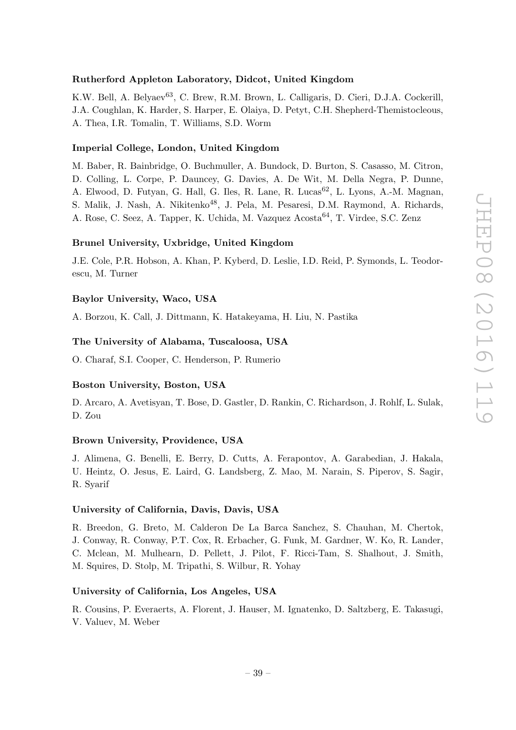#### Rutherford Appleton Laboratory, Didcot, United Kingdom

K.W. Bell, A. Belyaev<sup>63</sup>, C. Brew, R.M. Brown, L. Calligaris, D. Cieri, D.J.A. Cockerill, J.A. Coughlan, K. Harder, S. Harper, E. Olaiya, D. Petyt, C.H. Shepherd-Themistocleous, A. Thea, I.R. Tomalin, T. Williams, S.D. Worm

#### Imperial College, London, United Kingdom

M. Baber, R. Bainbridge, O. Buchmuller, A. Bundock, D. Burton, S. Casasso, M. Citron, D. Colling, L. Corpe, P. Dauncey, G. Davies, A. De Wit, M. Della Negra, P. Dunne, A. Elwood, D. Futyan, G. Hall, G. Iles, R. Lane, R. Lucas<sup>62</sup>, L. Lyons, A.-M. Magnan, S. Malik, J. Nash, A. Nikitenko<sup>48</sup>, J. Pela, M. Pesaresi, D.M. Raymond, A. Richards, A. Rose, C. Seez, A. Tapper, K. Uchida, M. Vazquez Acosta<sup>64</sup>, T. Virdee, S.C. Zenz

## Brunel University, Uxbridge, United Kingdom

J.E. Cole, P.R. Hobson, A. Khan, P. Kyberd, D. Leslie, I.D. Reid, P. Symonds, L. Teodorescu, M. Turner

#### Baylor University, Waco, USA

A. Borzou, K. Call, J. Dittmann, K. Hatakeyama, H. Liu, N. Pastika

#### The University of Alabama, Tuscaloosa, USA

O. Charaf, S.I. Cooper, C. Henderson, P. Rumerio

#### Boston University, Boston, USA

D. Arcaro, A. Avetisyan, T. Bose, D. Gastler, D. Rankin, C. Richardson, J. Rohlf, L. Sulak, D. Zou

#### Brown University, Providence, USA

J. Alimena, G. Benelli, E. Berry, D. Cutts, A. Ferapontov, A. Garabedian, J. Hakala, U. Heintz, O. Jesus, E. Laird, G. Landsberg, Z. Mao, M. Narain, S. Piperov, S. Sagir, R. Syarif

#### University of California, Davis, Davis, USA

R. Breedon, G. Breto, M. Calderon De La Barca Sanchez, S. Chauhan, M. Chertok, J. Conway, R. Conway, P.T. Cox, R. Erbacher, G. Funk, M. Gardner, W. Ko, R. Lander, C. Mclean, M. Mulhearn, D. Pellett, J. Pilot, F. Ricci-Tam, S. Shalhout, J. Smith, M. Squires, D. Stolp, M. Tripathi, S. Wilbur, R. Yohay

#### University of California, Los Angeles, USA

R. Cousins, P. Everaerts, A. Florent, J. Hauser, M. Ignatenko, D. Saltzberg, E. Takasugi, V. Valuev, M. Weber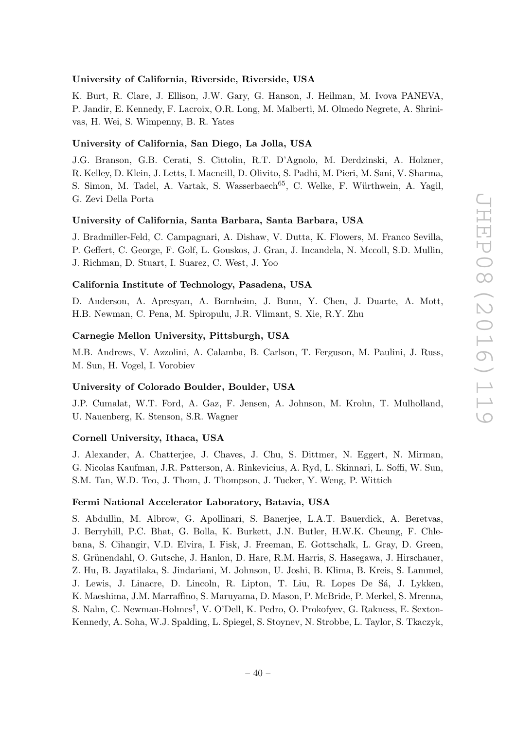#### University of California, Riverside, Riverside, USA

K. Burt, R. Clare, J. Ellison, J.W. Gary, G. Hanson, J. Heilman, M. Ivova PANEVA, P. Jandir, E. Kennedy, F. Lacroix, O.R. Long, M. Malberti, M. Olmedo Negrete, A. Shrinivas, H. Wei, S. Wimpenny, B. R. Yates

#### University of California, San Diego, La Jolla, USA

J.G. Branson, G.B. Cerati, S. Cittolin, R.T. D'Agnolo, M. Derdzinski, A. Holzner, R. Kelley, D. Klein, J. Letts, I. Macneill, D. Olivito, S. Padhi, M. Pieri, M. Sani, V. Sharma, S. Simon, M. Tadel, A. Vartak, S. Wasserbaech<sup>65</sup>, C. Welke, F. Würthwein, A. Yagil, G. Zevi Della Porta

#### University of California, Santa Barbara, Santa Barbara, USA

J. Bradmiller-Feld, C. Campagnari, A. Dishaw, V. Dutta, K. Flowers, M. Franco Sevilla, P. Geffert, C. George, F. Golf, L. Gouskos, J. Gran, J. Incandela, N. Mccoll, S.D. Mullin, J. Richman, D. Stuart, I. Suarez, C. West, J. Yoo

#### California Institute of Technology, Pasadena, USA

D. Anderson, A. Apresyan, A. Bornheim, J. Bunn, Y. Chen, J. Duarte, A. Mott, H.B. Newman, C. Pena, M. Spiropulu, J.R. Vlimant, S. Xie, R.Y. Zhu

#### Carnegie Mellon University, Pittsburgh, USA

M.B. Andrews, V. Azzolini, A. Calamba, B. Carlson, T. Ferguson, M. Paulini, J. Russ, M. Sun, H. Vogel, I. Vorobiev

#### University of Colorado Boulder, Boulder, USA

J.P. Cumalat, W.T. Ford, A. Gaz, F. Jensen, A. Johnson, M. Krohn, T. Mulholland, U. Nauenberg, K. Stenson, S.R. Wagner

#### Cornell University, Ithaca, USA

J. Alexander, A. Chatterjee, J. Chaves, J. Chu, S. Dittmer, N. Eggert, N. Mirman, G. Nicolas Kaufman, J.R. Patterson, A. Rinkevicius, A. Ryd, L. Skinnari, L. Soffi, W. Sun, S.M. Tan, W.D. Teo, J. Thom, J. Thompson, J. Tucker, Y. Weng, P. Wittich

#### Fermi National Accelerator Laboratory, Batavia, USA

S. Abdullin, M. Albrow, G. Apollinari, S. Banerjee, L.A.T. Bauerdick, A. Beretvas, J. Berryhill, P.C. Bhat, G. Bolla, K. Burkett, J.N. Butler, H.W.K. Cheung, F. Chlebana, S. Cihangir, V.D. Elvira, I. Fisk, J. Freeman, E. Gottschalk, L. Gray, D. Green, S. Grünendahl, O. Gutsche, J. Hanlon, D. Hare, R.M. Harris, S. Hasegawa, J. Hirschauer, Z. Hu, B. Jayatilaka, S. Jindariani, M. Johnson, U. Joshi, B. Klima, B. Kreis, S. Lammel, J. Lewis, J. Linacre, D. Lincoln, R. Lipton, T. Liu, R. Lopes De Sá, J. Lykken, K. Maeshima, J.M. Marraffino, S. Maruyama, D. Mason, P. McBride, P. Merkel, S. Mrenna, S. Nahn, C. Newman-Holmes† , V. O'Dell, K. Pedro, O. Prokofyev, G. Rakness, E. Sexton-Kennedy, A. Soha, W.J. Spalding, L. Spiegel, S. Stoynev, N. Strobbe, L. Taylor, S. Tkaczyk,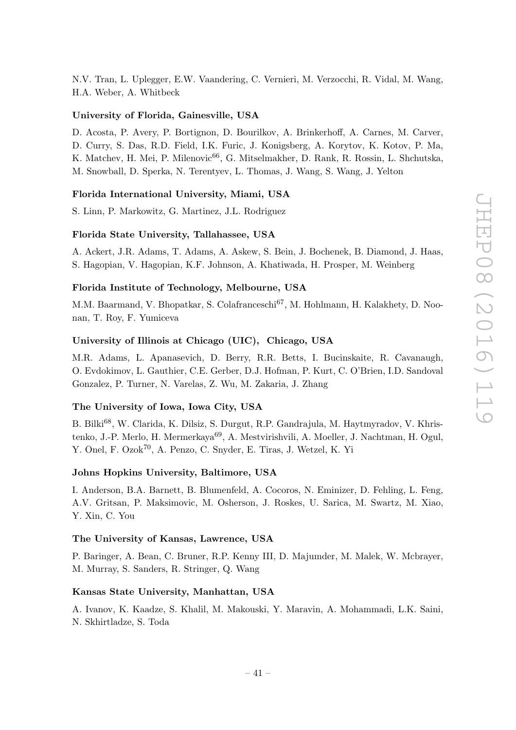N.V. Tran, L. Uplegger, E.W. Vaandering, C. Vernieri, M. Verzocchi, R. Vidal, M. Wang, H.A. Weber, A. Whitbeck

#### University of Florida, Gainesville, USA

D. Acosta, P. Avery, P. Bortignon, D. Bourilkov, A. Brinkerhoff, A. Carnes, M. Carver, D. Curry, S. Das, R.D. Field, I.K. Furic, J. Konigsberg, A. Korytov, K. Kotov, P. Ma, K. Matchev, H. Mei, P. Milenovic<sup>66</sup>, G. Mitselmakher, D. Rank, R. Rossin, L. Shchutska, M. Snowball, D. Sperka, N. Terentyev, L. Thomas, J. Wang, S. Wang, J. Yelton

#### Florida International University, Miami, USA

S. Linn, P. Markowitz, G. Martinez, J.L. Rodriguez

#### Florida State University, Tallahassee, USA

A. Ackert, J.R. Adams, T. Adams, A. Askew, S. Bein, J. Bochenek, B. Diamond, J. Haas, S. Hagopian, V. Hagopian, K.F. Johnson, A. Khatiwada, H. Prosper, M. Weinberg

## Florida Institute of Technology, Melbourne, USA

M.M. Baarmand, V. Bhopatkar, S. Colafranceschi<sup>67</sup>, M. Hohlmann, H. Kalakhety, D. Noonan, T. Roy, F. Yumiceva

## University of Illinois at Chicago (UIC), Chicago, USA

M.R. Adams, L. Apanasevich, D. Berry, R.R. Betts, I. Bucinskaite, R. Cavanaugh, O. Evdokimov, L. Gauthier, C.E. Gerber, D.J. Hofman, P. Kurt, C. O'Brien, I.D. Sandoval Gonzalez, P. Turner, N. Varelas, Z. Wu, M. Zakaria, J. Zhang

# The University of Iowa, Iowa City, USA

B. Bilki<sup>68</sup>, W. Clarida, K. Dilsiz, S. Durgut, R.P. Gandrajula, M. Haytmyradov, V. Khristenko, J.-P. Merlo, H. Mermerkaya<sup>69</sup>, A. Mestvirishvili, A. Moeller, J. Nachtman, H. Ogul, Y. Onel, F. Ozok<sup>70</sup>, A. Penzo, C. Snyder, E. Tiras, J. Wetzel, K. Yi

## Johns Hopkins University, Baltimore, USA

I. Anderson, B.A. Barnett, B. Blumenfeld, A. Cocoros, N. Eminizer, D. Fehling, L. Feng, A.V. Gritsan, P. Maksimovic, M. Osherson, J. Roskes, U. Sarica, M. Swartz, M. Xiao, Y. Xin, C. You

## The University of Kansas, Lawrence, USA

P. Baringer, A. Bean, C. Bruner, R.P. Kenny III, D. Majumder, M. Malek, W. Mcbrayer, M. Murray, S. Sanders, R. Stringer, Q. Wang

## Kansas State University, Manhattan, USA

A. Ivanov, K. Kaadze, S. Khalil, M. Makouski, Y. Maravin, A. Mohammadi, L.K. Saini, N. Skhirtladze, S. Toda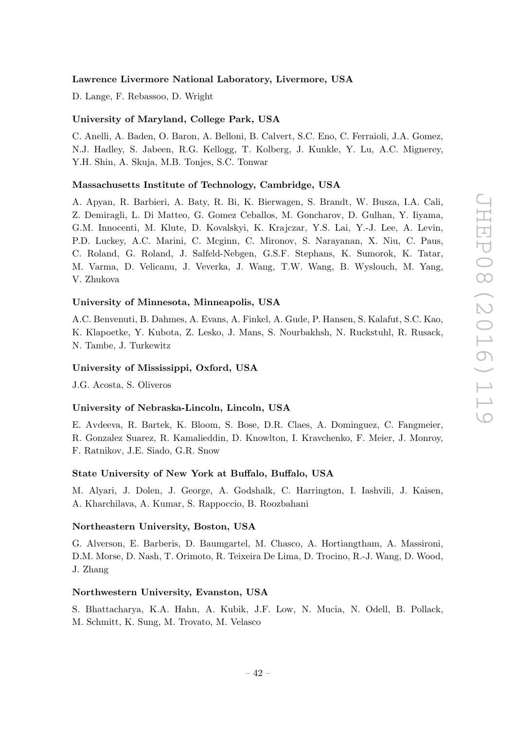#### Lawrence Livermore National Laboratory, Livermore, USA

D. Lange, F. Rebassoo, D. Wright

## University of Maryland, College Park, USA

C. Anelli, A. Baden, O. Baron, A. Belloni, B. Calvert, S.C. Eno, C. Ferraioli, J.A. Gomez, N.J. Hadley, S. Jabeen, R.G. Kellogg, T. Kolberg, J. Kunkle, Y. Lu, A.C. Mignerey, Y.H. Shin, A. Skuja, M.B. Tonjes, S.C. Tonwar

## Massachusetts Institute of Technology, Cambridge, USA

A. Apyan, R. Barbieri, A. Baty, R. Bi, K. Bierwagen, S. Brandt, W. Busza, I.A. Cali, Z. Demiragli, L. Di Matteo, G. Gomez Ceballos, M. Goncharov, D. Gulhan, Y. Iiyama, G.M. Innocenti, M. Klute, D. Kovalskyi, K. Krajczar, Y.S. Lai, Y.-J. Lee, A. Levin, P.D. Luckey, A.C. Marini, C. Mcginn, C. Mironov, S. Narayanan, X. Niu, C. Paus, C. Roland, G. Roland, J. Salfeld-Nebgen, G.S.F. Stephans, K. Sumorok, K. Tatar, M. Varma, D. Velicanu, J. Veverka, J. Wang, T.W. Wang, B. Wyslouch, M. Yang, V. Zhukova

## University of Minnesota, Minneapolis, USA

A.C. Benvenuti, B. Dahmes, A. Evans, A. Finkel, A. Gude, P. Hansen, S. Kalafut, S.C. Kao, K. Klapoetke, Y. Kubota, Z. Lesko, J. Mans, S. Nourbakhsh, N. Ruckstuhl, R. Rusack, N. Tambe, J. Turkewitz

#### University of Mississippi, Oxford, USA

J.G. Acosta, S. Oliveros

#### University of Nebraska-Lincoln, Lincoln, USA

E. Avdeeva, R. Bartek, K. Bloom, S. Bose, D.R. Claes, A. Dominguez, C. Fangmeier, R. Gonzalez Suarez, R. Kamalieddin, D. Knowlton, I. Kravchenko, F. Meier, J. Monroy, F. Ratnikov, J.E. Siado, G.R. Snow

#### State University of New York at Buffalo, Buffalo, USA

M. Alyari, J. Dolen, J. George, A. Godshalk, C. Harrington, I. Iashvili, J. Kaisen, A. Kharchilava, A. Kumar, S. Rappoccio, B. Roozbahani

#### Northeastern University, Boston, USA

G. Alverson, E. Barberis, D. Baumgartel, M. Chasco, A. Hortiangtham, A. Massironi, D.M. Morse, D. Nash, T. Orimoto, R. Teixeira De Lima, D. Trocino, R.-J. Wang, D. Wood, J. Zhang

#### Northwestern University, Evanston, USA

S. Bhattacharya, K.A. Hahn, A. Kubik, J.F. Low, N. Mucia, N. Odell, B. Pollack, M. Schmitt, K. Sung, M. Trovato, M. Velasco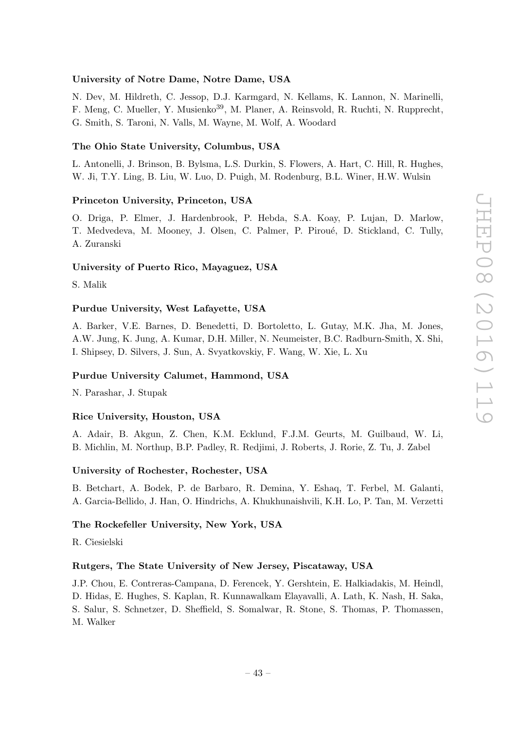#### University of Notre Dame, Notre Dame, USA

N. Dev, M. Hildreth, C. Jessop, D.J. Karmgard, N. Kellams, K. Lannon, N. Marinelli, F. Meng, C. Mueller, Y. Musienko<sup>39</sup>, M. Planer, A. Reinsvold, R. Ruchti, N. Rupprecht, G. Smith, S. Taroni, N. Valls, M. Wayne, M. Wolf, A. Woodard

#### The Ohio State University, Columbus, USA

L. Antonelli, J. Brinson, B. Bylsma, L.S. Durkin, S. Flowers, A. Hart, C. Hill, R. Hughes, W. Ji, T.Y. Ling, B. Liu, W. Luo, D. Puigh, M. Rodenburg, B.L. Winer, H.W. Wulsin

#### Princeton University, Princeton, USA

O. Driga, P. Elmer, J. Hardenbrook, P. Hebda, S.A. Koay, P. Lujan, D. Marlow, T. Medvedeva, M. Mooney, J. Olsen, C. Palmer, P. Piroué, D. Stickland, C. Tully, A. Zuranski

#### University of Puerto Rico, Mayaguez, USA

S. Malik

## Purdue University, West Lafayette, USA

A. Barker, V.E. Barnes, D. Benedetti, D. Bortoletto, L. Gutay, M.K. Jha, M. Jones, A.W. Jung, K. Jung, A. Kumar, D.H. Miller, N. Neumeister, B.C. Radburn-Smith, X. Shi, I. Shipsey, D. Silvers, J. Sun, A. Svyatkovskiy, F. Wang, W. Xie, L. Xu

#### Purdue University Calumet, Hammond, USA

N. Parashar, J. Stupak

## Rice University, Houston, USA

A. Adair, B. Akgun, Z. Chen, K.M. Ecklund, F.J.M. Geurts, M. Guilbaud, W. Li, B. Michlin, M. Northup, B.P. Padley, R. Redjimi, J. Roberts, J. Rorie, Z. Tu, J. Zabel

## University of Rochester, Rochester, USA

B. Betchart, A. Bodek, P. de Barbaro, R. Demina, Y. Eshaq, T. Ferbel, M. Galanti, A. Garcia-Bellido, J. Han, O. Hindrichs, A. Khukhunaishvili, K.H. Lo, P. Tan, M. Verzetti

#### The Rockefeller University, New York, USA

R. Ciesielski

#### Rutgers, The State University of New Jersey, Piscataway, USA

J.P. Chou, E. Contreras-Campana, D. Ferencek, Y. Gershtein, E. Halkiadakis, M. Heindl, D. Hidas, E. Hughes, S. Kaplan, R. Kunnawalkam Elayavalli, A. Lath, K. Nash, H. Saka, S. Salur, S. Schnetzer, D. Sheffield, S. Somalwar, R. Stone, S. Thomas, P. Thomassen, M. Walker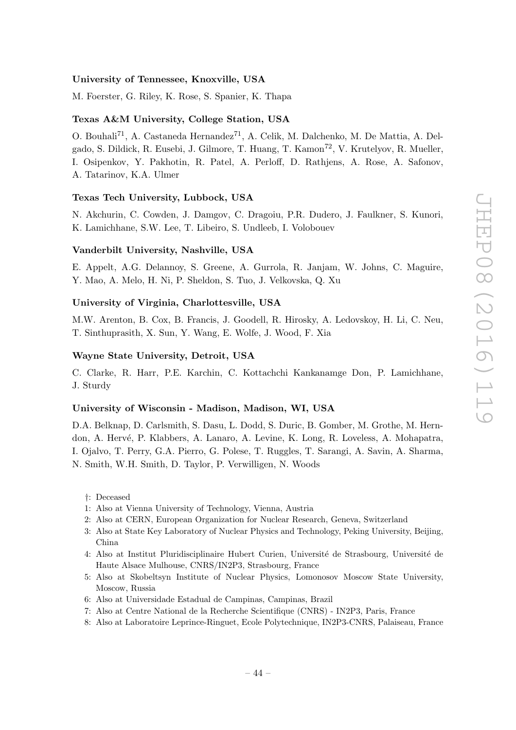#### University of Tennessee, Knoxville, USA

M. Foerster, G. Riley, K. Rose, S. Spanier, K. Thapa

#### Texas A&M University, College Station, USA

O. Bouhali<sup>71</sup>, A. Castaneda Hernandez<sup>71</sup>, A. Celik, M. Dalchenko, M. De Mattia, A. Delgado, S. Dildick, R. Eusebi, J. Gilmore, T. Huang, T. Kamon<sup>72</sup>, V. Krutelyov, R. Mueller, I. Osipenkov, Y. Pakhotin, R. Patel, A. Perloff, D. Rathjens, A. Rose, A. Safonov, A. Tatarinov, K.A. Ulmer

#### Texas Tech University, Lubbock, USA

N. Akchurin, C. Cowden, J. Damgov, C. Dragoiu, P.R. Dudero, J. Faulkner, S. Kunori, K. Lamichhane, S.W. Lee, T. Libeiro, S. Undleeb, I. Volobouev

#### Vanderbilt University, Nashville, USA

E. Appelt, A.G. Delannoy, S. Greene, A. Gurrola, R. Janjam, W. Johns, C. Maguire, Y. Mao, A. Melo, H. Ni, P. Sheldon, S. Tuo, J. Velkovska, Q. Xu

#### University of Virginia, Charlottesville, USA

M.W. Arenton, B. Cox, B. Francis, J. Goodell, R. Hirosky, A. Ledovskoy, H. Li, C. Neu, T. Sinthuprasith, X. Sun, Y. Wang, E. Wolfe, J. Wood, F. Xia

#### Wayne State University, Detroit, USA

C. Clarke, R. Harr, P.E. Karchin, C. Kottachchi Kankanamge Don, P. Lamichhane, J. Sturdy

#### University of Wisconsin - Madison, Madison, WI, USA

D.A. Belknap, D. Carlsmith, S. Dasu, L. Dodd, S. Duric, B. Gomber, M. Grothe, M. Herndon, A. Herv´e, P. Klabbers, A. Lanaro, A. Levine, K. Long, R. Loveless, A. Mohapatra, I. Ojalvo, T. Perry, G.A. Pierro, G. Polese, T. Ruggles, T. Sarangi, A. Savin, A. Sharma, N. Smith, W.H. Smith, D. Taylor, P. Verwilligen, N. Woods

- †: Deceased
- 1: Also at Vienna University of Technology, Vienna, Austria
- 2: Also at CERN, European Organization for Nuclear Research, Geneva, Switzerland
- 3: Also at State Key Laboratory of Nuclear Physics and Technology, Peking University, Beijing, China
- 4: Also at Institut Pluridisciplinaire Hubert Curien, Université de Strasbourg, Université de Haute Alsace Mulhouse, CNRS/IN2P3, Strasbourg, France
- 5: Also at Skobeltsyn Institute of Nuclear Physics, Lomonosov Moscow State University, Moscow, Russia
- 6: Also at Universidade Estadual de Campinas, Campinas, Brazil
- 7: Also at Centre National de la Recherche Scientifique (CNRS) IN2P3, Paris, France
- 8: Also at Laboratoire Leprince-Ringuet, Ecole Polytechnique, IN2P3-CNRS, Palaiseau, France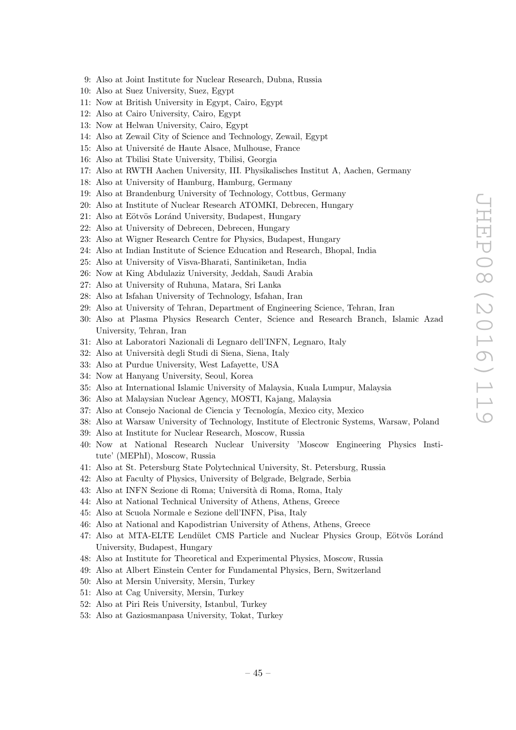- 9: Also at Joint Institute for Nuclear Research, Dubna, Russia
- 10: Also at Suez University, Suez, Egypt
- 11: Now at British University in Egypt, Cairo, Egypt
- 12: Also at Cairo University, Cairo, Egypt
- 13: Now at Helwan University, Cairo, Egypt
- 14: Also at Zewail City of Science and Technology, Zewail, Egypt
- 15: Also at Université de Haute Alsace, Mulhouse, France
- 16: Also at Tbilisi State University, Tbilisi, Georgia
- 17: Also at RWTH Aachen University, III. Physikalisches Institut A, Aachen, Germany
- 18: Also at University of Hamburg, Hamburg, Germany
- 19: Also at Brandenburg University of Technology, Cottbus, Germany
- 20: Also at Institute of Nuclear Research ATOMKI, Debrecen, Hungary
- 21: Also at Eötvös Loránd University, Budapest, Hungary
- 22: Also at University of Debrecen, Debrecen, Hungary
- 23: Also at Wigner Research Centre for Physics, Budapest, Hungary
- 24: Also at Indian Institute of Science Education and Research, Bhopal, India
- 25: Also at University of Visva-Bharati, Santiniketan, India
- 26: Now at King Abdulaziz University, Jeddah, Saudi Arabia
- 27: Also at University of Ruhuna, Matara, Sri Lanka
- 28: Also at Isfahan University of Technology, Isfahan, Iran
- 29: Also at University of Tehran, Department of Engineering Science, Tehran, Iran
- 30: Also at Plasma Physics Research Center, Science and Research Branch, Islamic Azad University, Tehran, Iran
- 31: Also at Laboratori Nazionali di Legnaro dell'INFN, Legnaro, Italy
- 32: Also at Università degli Studi di Siena, Siena, Italy
- 33: Also at Purdue University, West Lafayette, USA
- 34: Now at Hanyang University, Seoul, Korea
- 35: Also at International Islamic University of Malaysia, Kuala Lumpur, Malaysia
- 36: Also at Malaysian Nuclear Agency, MOSTI, Kajang, Malaysia
- 37: Also at Consejo Nacional de Ciencia y Tecnología, Mexico city, Mexico
- 38: Also at Warsaw University of Technology, Institute of Electronic Systems, Warsaw, Poland
- 39: Also at Institute for Nuclear Research, Moscow, Russia
- 40: Now at National Research Nuclear University 'Moscow Engineering Physics Institute' (MEPhI), Moscow, Russia
- 41: Also at St. Petersburg State Polytechnical University, St. Petersburg, Russia
- 42: Also at Faculty of Physics, University of Belgrade, Belgrade, Serbia
- 43: Also at INFN Sezione di Roma; Università di Roma, Roma, Italy
- 44: Also at National Technical University of Athens, Athens, Greece
- 45: Also at Scuola Normale e Sezione dell'INFN, Pisa, Italy
- 46: Also at National and Kapodistrian University of Athens, Athens, Greece
- 47: Also at MTA-ELTE Lendület CMS Particle and Nuclear Physics Group, Eötvös Loránd University, Budapest, Hungary
- 48: Also at Institute for Theoretical and Experimental Physics, Moscow, Russia
- 49: Also at Albert Einstein Center for Fundamental Physics, Bern, Switzerland
- 50: Also at Mersin University, Mersin, Turkey
- 51: Also at Cag University, Mersin, Turkey
- 52: Also at Piri Reis University, Istanbul, Turkey
- 53: Also at Gaziosmanpasa University, Tokat, Turkey